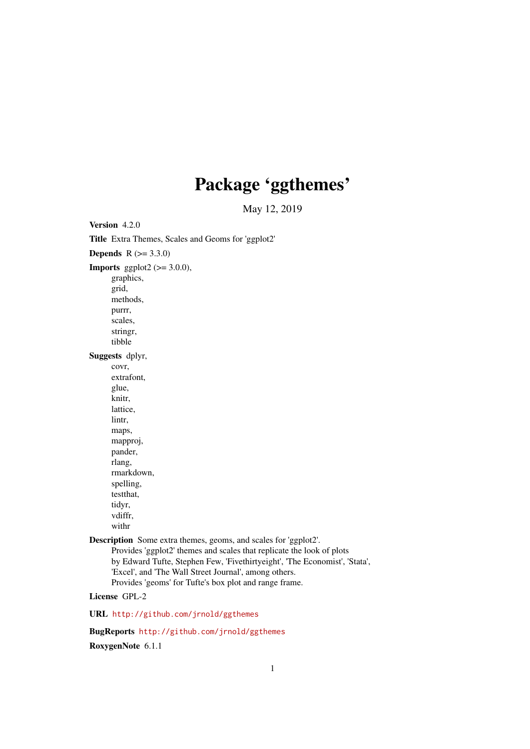# Package 'ggthemes'

May 12, 2019

<span id="page-0-0"></span>Version 4.2.0 Title Extra Themes, Scales and Geoms for 'ggplot2' **Depends**  $R (= 3.3.0)$ **Imports** ggplot2 ( $>= 3.0.0$ ), graphics, grid, methods, purrr, scales, stringr, tibble Suggests dplyr, covr, extrafont, glue, knitr, lattice, lintr, maps, mapproj, pander, rlang, rmarkdown, spelling, testthat, tidyr, vdiffr, withr Description Some extra themes, geoms, and scales for 'ggplot2'. Provides 'ggplot2' themes and scales that replicate the look of plots by Edward Tufte, Stephen Few, 'Fivethirtyeight', 'The Economist', 'Stata', 'Excel', and 'The Wall Street Journal', among others. Provides 'geoms' for Tufte's box plot and range frame. License GPL-2

URL <http://github.com/jrnold/ggthemes>

BugReports <http://github.com/jrnold/ggthemes>

RoxygenNote 6.1.1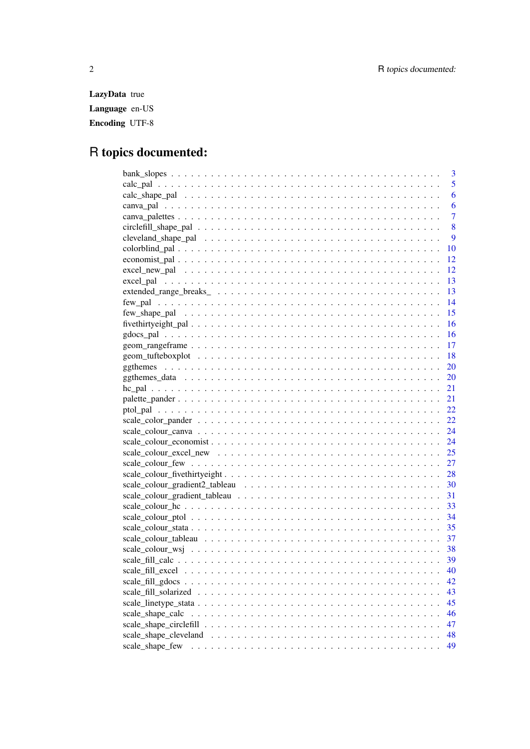LazyData true Language en-US Encoding UTF-8

# R topics documented:

|                  | 3              |
|------------------|----------------|
|                  | 5              |
|                  | 6              |
|                  | 6              |
|                  | $\overline{7}$ |
|                  | 8              |
|                  | 9              |
|                  | 10             |
|                  | 12             |
|                  | 12             |
|                  | 13             |
|                  | 13             |
|                  | 14             |
|                  | 15             |
|                  | 16             |
|                  | <b>16</b>      |
|                  | 17             |
|                  | 18             |
|                  | 20             |
|                  | 20             |
|                  | 21             |
|                  | 21             |
|                  | 22             |
|                  | 22             |
|                  | 24             |
|                  | 24             |
|                  |                |
|                  |                |
|                  |                |
|                  | 30             |
|                  | 31             |
|                  | 33             |
|                  | - 34           |
|                  | 35             |
|                  | 37             |
|                  | 38             |
|                  |                |
|                  | 40             |
|                  | 42             |
|                  | 43             |
|                  | 45             |
| scale_shape_calc | 46             |
|                  | 47             |
|                  | 48             |
| scale shape few  | 49             |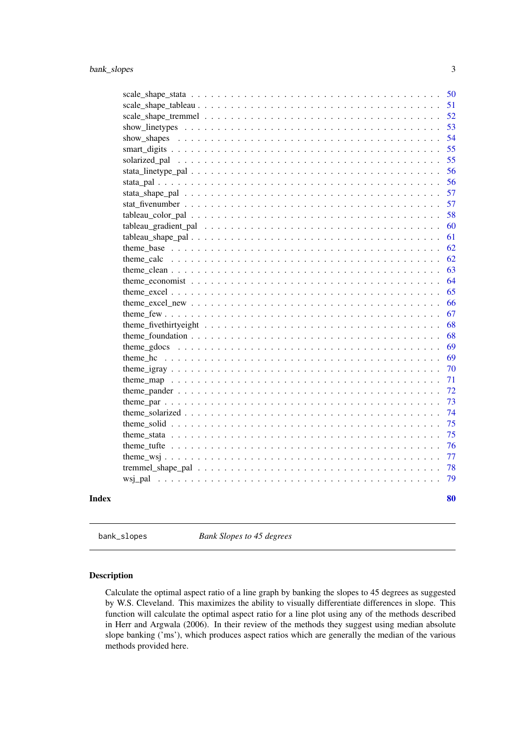<span id="page-2-0"></span>

|              | - 50 |
|--------------|------|
|              | 51   |
|              | 52   |
|              | 53   |
|              | 54   |
|              | 55   |
|              | 55   |
|              | 56   |
|              | 56   |
|              | 57   |
|              | 57   |
|              | 58   |
|              | 60   |
|              | 61   |
|              | 62   |
|              | 62   |
|              | 63   |
|              | 64   |
|              | 65   |
|              | 66   |
|              | 67   |
|              | 68   |
|              | 68   |
|              | 69   |
|              | 69   |
|              | 70   |
|              | 71   |
|              | 72   |
|              | 73   |
|              | 74   |
|              | 75   |
|              | 75   |
|              | 76   |
|              | 77   |
|              | 78   |
|              | 79   |
| <b>Index</b> | 80   |

bank\_slopes *Bank Slopes to 45 degrees*

# Description

Calculate the optimal aspect ratio of a line graph by banking the slopes to 45 degrees as suggested by W.S. Cleveland. This maximizes the ability to visually differentiate differences in slope. This function will calculate the optimal aspect ratio for a line plot using any of the methods described in Herr and Argwala (2006). In their review of the methods they suggest using median absolute slope banking ('ms'), which produces aspect ratios which are generally the median of the various methods provided here.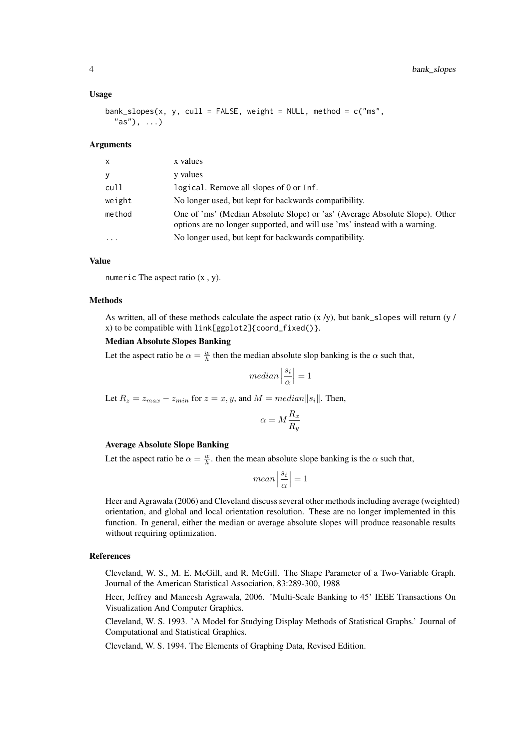#### Usage

```
bank_slopes(x, y, cull = FALSE, weight = NULL, method = c("ms",
  "as"), \ldots)
```
#### Arguments

| X         | x values                                                                                                                                                  |
|-----------|-----------------------------------------------------------------------------------------------------------------------------------------------------------|
| y         | y values                                                                                                                                                  |
| cull      | logical. Remove all slopes of 0 or Inf.                                                                                                                   |
| weight    | No longer used, but kept for backwards compatibility.                                                                                                     |
| method    | One of 'ms' (Median Absolute Slope) or 'as' (Average Absolute Slope). Other<br>options are no longer supported, and will use 'ms' instead with a warning. |
| $\ddotsc$ | No longer used, but kept for backwards compatibility.                                                                                                     |

# Value

numeric The aspect ratio  $(x, y)$ .

# Methods

As written, all of these methods calculate the aspect ratio  $(x / y)$ , but bank\_slopes will return  $(y / y)$ x) to be compatible with link[ggplot2]{coord\_fixed()}.

# Median Absolute Slopes Banking

Let the aspect ratio be  $\alpha = \frac{w}{h}$  then the median absolute slop banking is the  $\alpha$  such that,

$$
median\left|\frac{s_i}{\alpha}\right|=1
$$

Let  $R_z = z_{max} - z_{min}$  for  $z = x, y$ , and  $M = median||s_i||$ . Then,

$$
\alpha = M \frac{R_x}{R_y}
$$

#### Average Absolute Slope Banking

Let the aspect ratio be  $\alpha = \frac{w}{h}$ , then the mean absolute slope banking is the  $\alpha$  such that,

$$
mean\left|\frac{s_i}{\alpha}\right| = 1
$$

Heer and Agrawala (2006) and Cleveland discuss several other methods including average (weighted) orientation, and global and local orientation resolution. These are no longer implemented in this function. In general, either the median or average absolute slopes will produce reasonable results without requiring optimization.

#### References

Cleveland, W. S., M. E. McGill, and R. McGill. The Shape Parameter of a Two-Variable Graph. Journal of the American Statistical Association, 83:289-300, 1988

Heer, Jeffrey and Maneesh Agrawala, 2006. 'Multi-Scale Banking to 45' IEEE Transactions On Visualization And Computer Graphics.

Cleveland, W. S. 1993. 'A Model for Studying Display Methods of Statistical Graphs.' Journal of Computational and Statistical Graphics.

Cleveland, W. S. 1994. The Elements of Graphing Data, Revised Edition.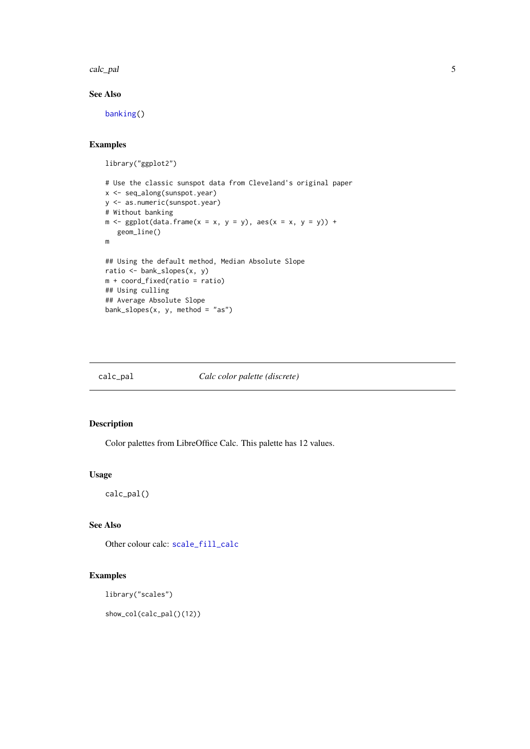<span id="page-4-0"></span>calc\_pal 5

# See Also

[banking\(](#page-0-0))

# Examples

```
library("ggplot2")
```

```
# Use the classic sunspot data from Cleveland's original paper
x <- seq_along(sunspot.year)
y <- as.numeric(sunspot.year)
# Without banking
m \leq - ggplot(data.frame(x = x, y = y), aes(x = x, y = y)) +
   geom_line()
m
## Using the default method, Median Absolute Slope
ratio <- bank_slopes(x, y)
m + coord_fixed(ratio = ratio)
## Using culling
## Average Absolute Slope
bank_slopes(x, y, method = "as")
```
#### calc\_pal *Calc color palette (discrete)*

#### Description

Color palettes from LibreOffice Calc. This palette has 12 values.

#### Usage

calc\_pal()

# See Also

Other colour calc: [scale\\_fill\\_calc](#page-38-1)

# Examples

library("scales")

show\_col(calc\_pal()(12))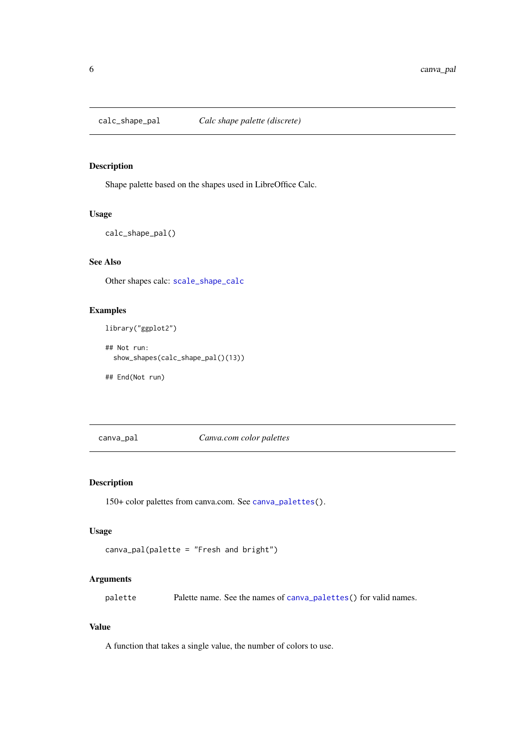<span id="page-5-0"></span>

# Description

Shape palette based on the shapes used in LibreOffice Calc.

#### Usage

```
calc_shape_pal()
```
# See Also

Other shapes calc: [scale\\_shape\\_calc](#page-45-1)

# Examples

library("ggplot2")

## Not run: show\_shapes(calc\_shape\_pal()(13))

## End(Not run)

canva\_pal *Canva.com color palettes*

# Description

150+ color palettes from canva.com. See [canva\\_palettes\(](#page-6-1)).

#### Usage

```
canva_pal(palette = "Fresh and bright")
```
# Arguments

palette Palette name. See the names of [canva\\_palettes\(](#page-6-1)) for valid names.

# Value

A function that takes a single value, the number of colors to use.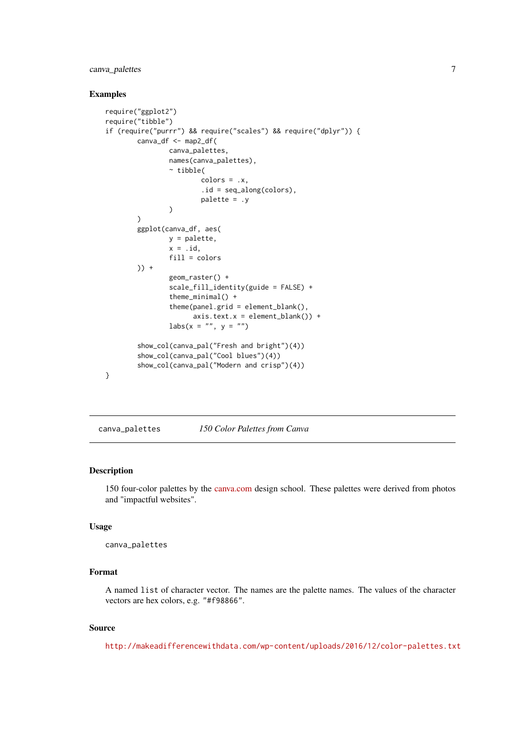# <span id="page-6-0"></span>canva\_palettes 7

#### Examples

```
require("ggplot2")
require("tibble")
if (require("purrr") && require("scales") && require("dplyr")) {
        canva_df <- map2_df(
                canva_palettes,
                names(canva_palettes),
                 ~ tibble(
                         colors = .x,
                         .id = seq_along(colors),
                         palette = .y
                )
        )
        ggplot(canva_df, aes(
                y = palette,
                x = .id,
                fill = colors
        )) +geom_raster() +
                scale_fill_identity(guide = FALSE) +
                 theme_minimal() +
                 theme(panel.grid = element_blank(),
                       axis.text.x = element_blank() +
                \text{labs}(x = \text{""}, y = \text{""})show_col(canva_pal("Fresh and bright")(4))
        show_col(canva_pal("Cool blues")(4))
        show_col(canva_pal("Modern and crisp")(4))
}
```
<span id="page-6-1"></span>canva\_palettes *150 Color Palettes from Canva*

#### Description

150 four-color palettes by the [canva.com](https://designschool.canva.com) design school. These palettes were derived from photos and "impactful websites".

#### Usage

```
canva_palettes
```
# Format

A named list of character vector. The names are the palette names. The values of the character vectors are hex colors, e.g. "#f98866".

# Source

<http://makeadifferencewithdata.com/wp-content/uploads/2016/12/color-palettes.txt>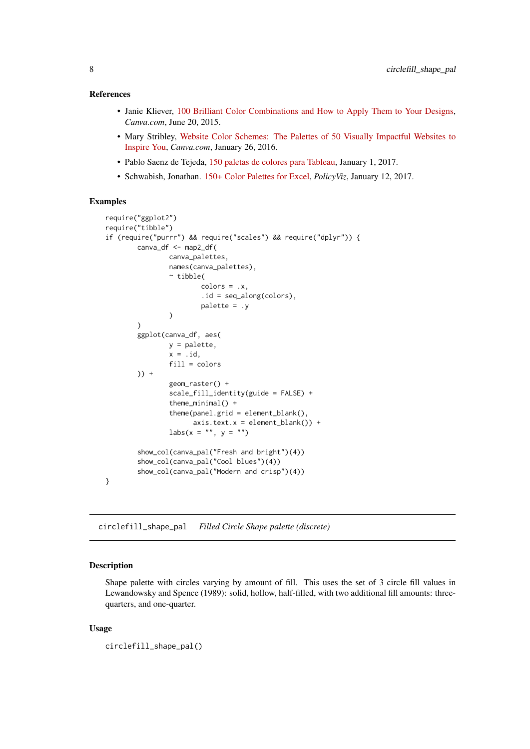#### <span id="page-7-0"></span>References

- Janie Kliever, [100 Brilliant Color Combinations and How to Apply Them to Your Designs,](https://designschool.canva.com/blog/100-color-combinations/) *Canva.com*, June 20, 2015.
- Mary Stribley, [Website Color Schemes: The Palettes of 50 Visually Impactful Websites to](https://designschool.canva.com/blog/website-color-schemes/) [Inspire You,](https://designschool.canva.com/blog/website-color-schemes/) *Canva.com*, January 26, 2016.
- Pablo Saenz de Tejeda, [150 paletas de colores para Tableau,](http://makeadifferencewithdata.com/2017/01/150-paletas-colores-tableau/) January 1, 2017.
- Schwabish, Jonathan. [150+ Color Palettes for Excel,](https://policyviz.com/2017/01/12/150-color-palettes-for-excel/) *PolicyViz*, January 12, 2017.

#### Examples

```
require("ggplot2")
require("tibble")
if (require("purrr") && require("scales") && require("dplyr")) {
        canva_df <- map2_df(
                canva_palettes,
                names(canva_palettes),
                 ~ tibble(
                         colors = .x,
                         .id = seq_along(colors),
                         palette = .y
                 )
        \lambdaggplot(canva_df, aes(
                y = palette,
                x = .id,
                 fill = colors
        )) +
                 geom_raster() +
                 scale_fill_identity(guide = FALSE) +
                 theme_minimal() +
                 theme(panel.grid = element_blank(),
                       axis.text.x = element_blank()) +\text{labs}(x = \text{""}, y = \text{""})show_col(canva_pal("Fresh and bright")(4))
        show_col(canva_pal("Cool blues")(4))
        show_col(canva_pal("Modern and crisp")(4))
}
```
<span id="page-7-1"></span>circlefill\_shape\_pal *Filled Circle Shape palette (discrete)*

#### Description

Shape palette with circles varying by amount of fill. This uses the set of 3 circle fill values in Lewandowsky and Spence (1989): solid, hollow, half-filled, with two additional fill amounts: threequarters, and one-quarter.

# Usage

```
circlefill_shape_pal()
```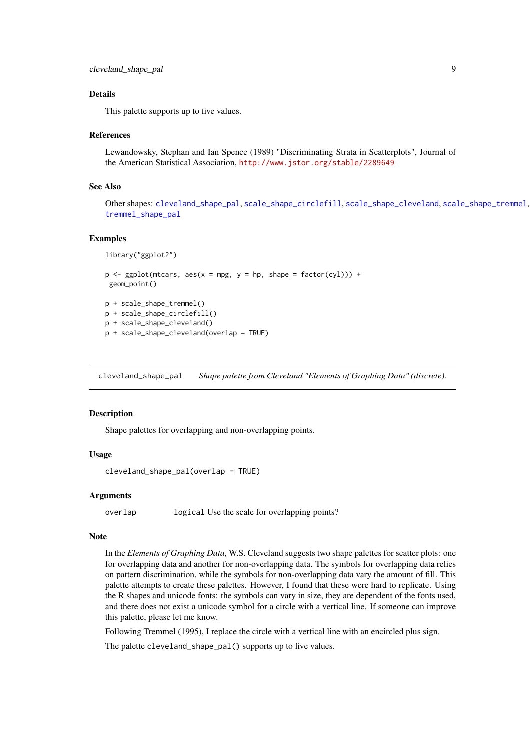#### <span id="page-8-0"></span>Details

This palette supports up to five values.

#### References

Lewandowsky, Stephan and Ian Spence (1989) "Discriminating Strata in Scatterplots", Journal of the American Statistical Association, <http://www.jstor.org/stable/2289649>

#### See Also

Other shapes: [cleveland\\_shape\\_pal](#page-8-1), [scale\\_shape\\_circlefill](#page-46-1), [scale\\_shape\\_cleveland](#page-47-1), [scale\\_shape\\_tremmel](#page-51-1), [tremmel\\_shape\\_pal](#page-77-1)

#### Examples

```
library("ggplot2")
```

```
p \leftarrow \text{ggplot}(\text{mtcars}, \text{aes}(x = mpg, y = hp, \text{shape} = \text{factor}(cyl))) +geom_point()
p + scale_shape_tremmel()
p + scale_shape_circlefill()
```

```
p + scale_shape_cleveland()
```

```
p + scale_shape_cleveland(overlap = TRUE)
```
<span id="page-8-1"></span>cleveland\_shape\_pal *Shape palette from Cleveland "Elements of Graphing Data" (discrete).*

#### Description

Shape palettes for overlapping and non-overlapping points.

#### Usage

cleveland\_shape\_pal(overlap = TRUE)

#### Arguments

overlap logical Use the scale for overlapping points?

#### Note

In the *Elements of Graphing Data*, W.S. Cleveland suggests two shape palettes for scatter plots: one for overlapping data and another for non-overlapping data. The symbols for overlapping data relies on pattern discrimination, while the symbols for non-overlapping data vary the amount of fill. This palette attempts to create these palettes. However, I found that these were hard to replicate. Using the R shapes and unicode fonts: the symbols can vary in size, they are dependent of the fonts used, and there does not exist a unicode symbol for a circle with a vertical line. If someone can improve this palette, please let me know.

Following Tremmel (1995), I replace the circle with a vertical line with an encircled plus sign.

The palette cleveland\_shape\_pal() supports up to five values.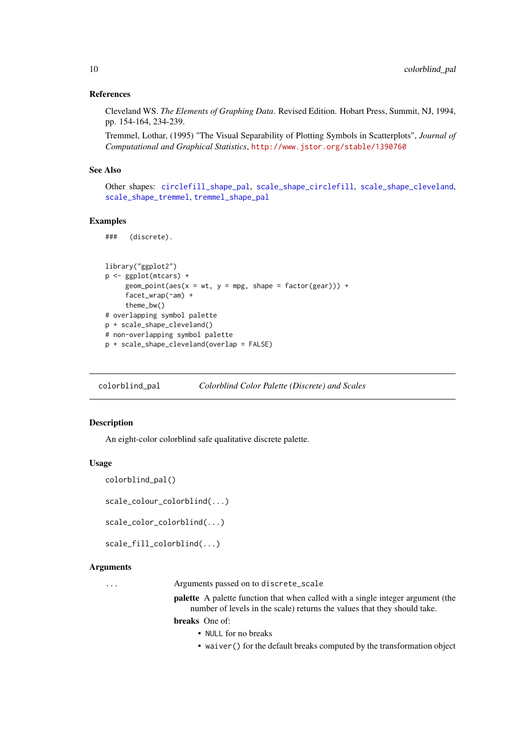#### References

Cleveland WS. *The Elements of Graphing Data*. Revised Edition. Hobart Press, Summit, NJ, 1994, pp. 154-164, 234-239.

Tremmel, Lothar, (1995) "The Visual Separability of Plotting Symbols in Scatterplots", *Journal of Computational and Graphical Statistics*, <http://www.jstor.org/stable/1390760>

# See Also

Other shapes: [circlefill\\_shape\\_pal](#page-7-1), [scale\\_shape\\_circlefill](#page-46-1), [scale\\_shape\\_cleveland](#page-47-1), [scale\\_shape\\_tremmel](#page-51-1), [tremmel\\_shape\\_pal](#page-77-1)

#### Examples

### (discrete).

```
library("ggplot2")
p <- ggplot(mtcars) +
     geom\_point(aes(x = wt, y = mp, shape = factor(gear))) +facet_wrap(~am) +
     theme_bw()
# overlapping symbol palette
p + scale_shape_cleveland()
# non-overlapping symbol palette
p + scale_shape_cleveland(overlap = FALSE)
```
colorblind\_pal *Colorblind Color Palette (Discrete) and Scales*

# Description

An eight-color colorblind safe qualitative discrete palette.

#### Usage

```
colorblind_pal()
```
scale\_colour\_colorblind(...)

scale\_color\_colorblind(...)

scale\_fill\_colorblind(...)

#### Arguments

... Arguments passed on to discrete\_scale

palette A palette function that when called with a single integer argument (the number of levels in the scale) returns the values that they should take.

breaks One of:

- NULL for no breaks
- waiver() for the default breaks computed by the transformation object

<span id="page-9-0"></span>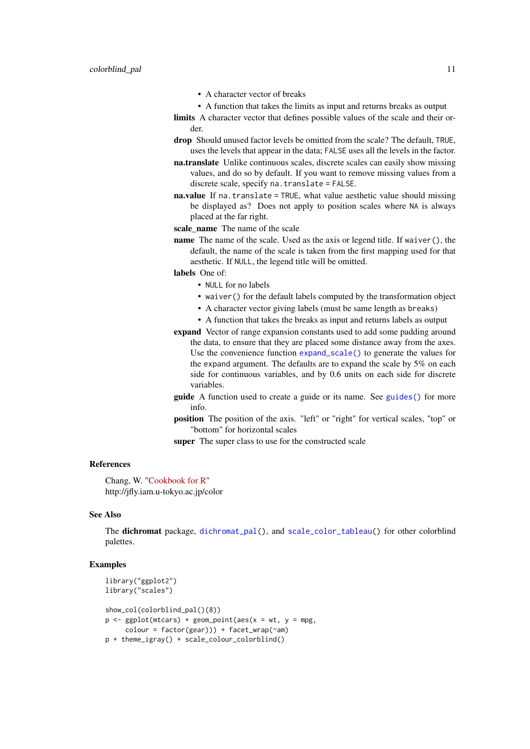- A character vector of breaks
- A function that takes the limits as input and returns breaks as output

limits A character vector that defines possible values of the scale and their order.

- drop Should unused factor levels be omitted from the scale? The default, TRUE, uses the levels that appear in the data; FALSE uses all the levels in the factor.
- na.translate Unlike continuous scales, discrete scales can easily show missing values, and do so by default. If you want to remove missing values from a discrete scale, specify na.translate = FALSE.
- na.value If na.translate = TRUE, what value aesthetic value should missing be displayed as? Does not apply to position scales where NA is always placed at the far right.

scale\_name The name of the scale

name The name of the scale. Used as the axis or legend title. If waiver(), the default, the name of the scale is taken from the first mapping used for that aesthetic. If NULL, the legend title will be omitted.

labels One of:

- NULL for no labels
- waiver() for the default labels computed by the transformation object
- A character vector giving labels (must be same length as breaks)
- A function that takes the breaks as input and returns labels as output
- expand Vector of range expansion constants used to add some padding around the data, to ensure that they are placed some distance away from the axes. Use the convenience function [expand\\_scale\(\)](#page-0-0) to generate the values for the expand argument. The defaults are to expand the scale by 5% on each side for continuous variables, and by 0.6 units on each side for discrete variables.
- guide A function used to create a guide or its name. See [guides\(\)](#page-0-0) for more info.
- position The position of the axis. "left" or "right" for vertical scales, "top" or "bottom" for horizontal scales

super The super class to use for the constructed scale

## References

Chang, W. ["Cookbook for R"](http://www.cookbook-r.com/Graphs/Colors_(ggplot2)/#a-colorblind-friendly-palette) http://jfly.iam.u-tokyo.ac.jp/color

#### See Also

The dichromat package, [dichromat\\_pal\(](#page-0-0)), and [scale\\_color\\_tableau\(](#page-36-1)) for other colorblind palettes.

#### Examples

```
library("ggplot2")
library("scales")
show_col(colorblind_pal()(8))
p \leftarrow \text{ggplot}(\text{mtcars}) + \text{geom\_point}(\text{aes}(x = wt, y = mpg,color = factor(gear)) + facet_wrap(\text{ram})p + theme_igray() + scale_colour_colorblind()
```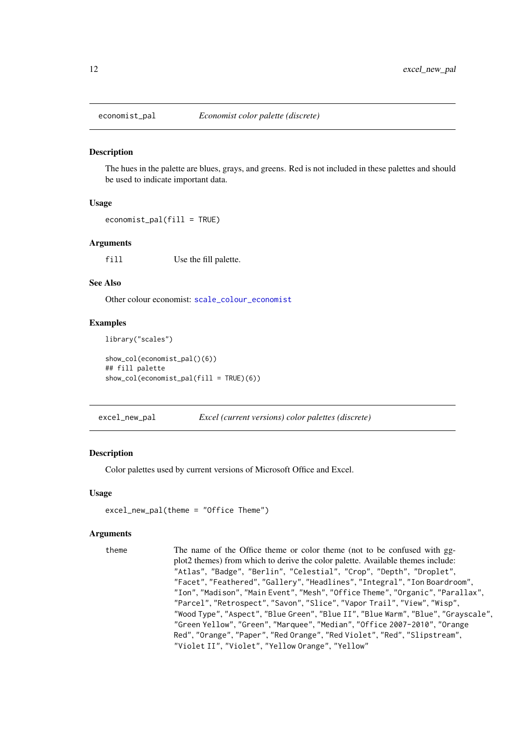<span id="page-11-2"></span><span id="page-11-0"></span>

#### Description

The hues in the palette are blues, grays, and greens. Red is not included in these palettes and should be used to indicate important data.

#### Usage

```
economist_pal(fill = TRUE)
```
#### Arguments

fill Use the fill palette.

#### See Also

Other colour economist: [scale\\_colour\\_economist](#page-23-1)

#### Examples

library("scales")

```
show_col(economist_pal()(6))
## fill palette
show_col(economist_pal(fill = TRUE)(6))
```
<span id="page-11-1"></span>excel\_new\_pal *Excel (current versions) color palettes (discrete)*

#### Description

Color palettes used by current versions of Microsoft Office and Excel.

#### Usage

```
excel_new_pal(theme = "Office Theme")
```
#### Arguments

theme The name of the Office theme or color theme (not to be confused with ggplot2 themes) from which to derive the color palette. Available themes include: "Atlas", "Badge", "Berlin", "Celestial", "Crop", "Depth", "Droplet", "Facet", "Feathered", "Gallery", "Headlines", "Integral", "Ion Boardroom", "Ion", "Madison", "Main Event", "Mesh", "Office Theme", "Organic", "Parallax", "Parcel", "Retrospect", "Savon", "Slice", "Vapor Trail", "View", "Wisp", "Wood Type", "Aspect", "Blue Green", "Blue II", "Blue Warm", "Blue", "Grayscale", "Green Yellow", "Green", "Marquee", "Median", "Office 2007-2010", "Orange Red", "Orange", "Paper", "Red Orange", "Red Violet", "Red", "Slipstream", "Violet II", "Violet", "Yellow Orange", "Yellow"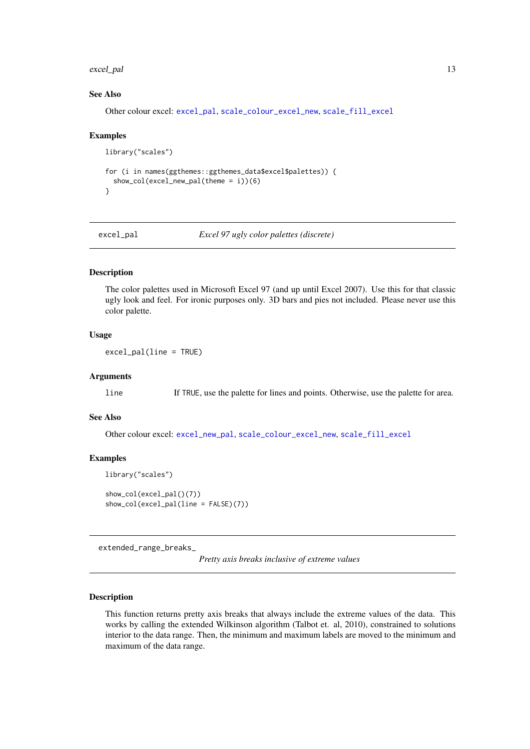#### <span id="page-12-0"></span>excel\_pal 13

#### See Also

Other colour excel: [excel\\_pal](#page-12-1), [scale\\_colour\\_excel\\_new](#page-24-1), [scale\\_fill\\_excel](#page-39-1)

# Examples

```
library("scales")
for (i in names(ggthemes::ggthemes_data$excel$palettes)) {
  show_col(excel_new_pal(theme = i))(6)
}
```
<span id="page-12-1"></span>

excel\_pal *Excel 97 ugly color palettes (discrete)*

### Description

The color palettes used in Microsoft Excel 97 (and up until Excel 2007). Use this for that classic ugly look and feel. For ironic purposes only. 3D bars and pies not included. Please never use this color palette.

# Usage

excel\_pal(line = TRUE)

#### Arguments

line If TRUE, use the palette for lines and points. Otherwise, use the palette for area.

# See Also

Other colour excel: [excel\\_new\\_pal](#page-11-1), [scale\\_colour\\_excel\\_new](#page-24-1), [scale\\_fill\\_excel](#page-39-1)

#### Examples

```
library("scales")
```
show\_col(excel\_pal()(7)) show\_col(excel\_pal(line = FALSE)(7))

extended\_range\_breaks\_

*Pretty axis breaks inclusive of extreme values*

## Description

This function returns pretty axis breaks that always include the extreme values of the data. This works by calling the extended Wilkinson algorithm (Talbot et. al, 2010), constrained to solutions interior to the data range. Then, the minimum and maximum labels are moved to the minimum and maximum of the data range.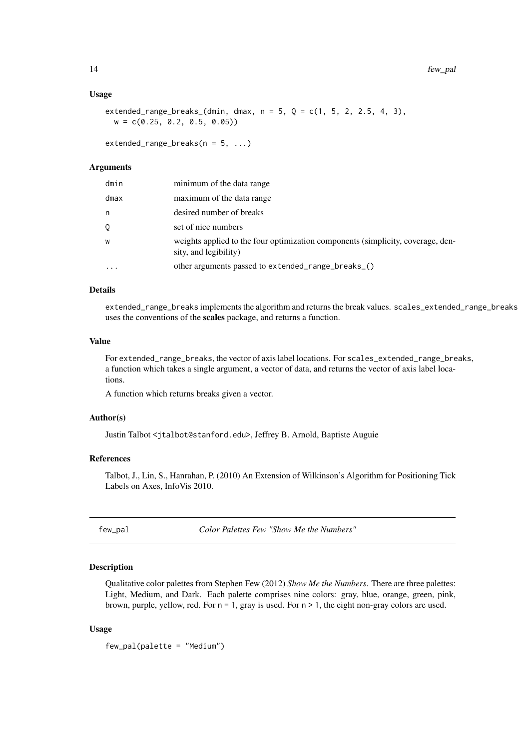#### Usage

extended\_range\_breaks\_(dmin, dmax,  $n = 5$ ,  $Q = c(1, 5, 2, 2.5, 4, 3)$ ,  $w = c(0.25, 0.2, 0.5, 0.05)$ 

extended\_range\_breaks( $n = 5, ...$ )

#### Arguments

| dmin              | minimum of the data range                                                                                |
|-------------------|----------------------------------------------------------------------------------------------------------|
| dmax              | maximum of the data range                                                                                |
| n                 | desired number of breaks                                                                                 |
| 0                 | set of nice numbers                                                                                      |
| W                 | weights applied to the four optimization components (simplicity, coverage, den-<br>sity, and legibility) |
| $\cdot\cdot\cdot$ | other arguments passed to extended_range_breaks_()                                                       |

# Details

extended\_range\_breaks implements the algorithm and returns the break values. scales\_extended\_range\_breaks uses the conventions of the scales package, and returns a function.

#### Value

For extended\_range\_breaks, the vector of axis label locations. For scales\_extended\_range\_breaks, a function which takes a single argument, a vector of data, and returns the vector of axis label locations.

A function which returns breaks given a vector.

#### Author(s)

Justin Talbot <jtalbot@stanford.edu>, Jeffrey B. Arnold, Baptiste Auguie

#### References

Talbot, J., Lin, S., Hanrahan, P. (2010) An Extension of Wilkinson's Algorithm for Positioning Tick Labels on Axes, InfoVis 2010.

<span id="page-13-1"></span>few\_pal *Color Palettes Few "Show Me the Numbers"*

#### Description

Qualitative color palettes from Stephen Few (2012) *Show Me the Numbers*. There are three palettes: Light, Medium, and Dark. Each palette comprises nine colors: gray, blue, orange, green, pink, brown, purple, yellow, red. For  $n = 1$ , gray is used. For  $n > 1$ , the eight non-gray colors are used.

#### Usage

few\_pal(palette = "Medium")

<span id="page-13-0"></span>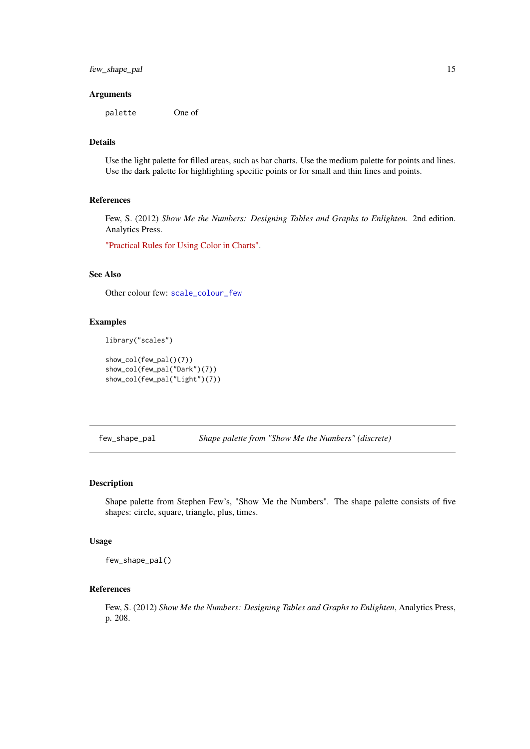<span id="page-14-0"></span>few\_shape\_pal 15

# Arguments

palette One of

### Details

Use the light palette for filled areas, such as bar charts. Use the medium palette for points and lines. Use the dark palette for highlighting specific points or for small and thin lines and points.

#### References

Few, S. (2012) *Show Me the Numbers: Designing Tables and Graphs to Enlighten*. 2nd edition. Analytics Press.

["Practical Rules for Using Color in Charts".](http://www.perceptualedge.com/articles/visual_business_intelligence/rules_for_using_color.pdf)

#### See Also

Other colour few: [scale\\_colour\\_few](#page-26-1)

#### Examples

library("scales")

```
show_col(few_pal()(7))
show_col(few_pal("Dark")(7))
show_col(few_pal("Light")(7))
```
few\_shape\_pal *Shape palette from "Show Me the Numbers" (discrete)*

# Description

Shape palette from Stephen Few's, "Show Me the Numbers". The shape palette consists of five shapes: circle, square, triangle, plus, times.

# Usage

few\_shape\_pal()

# References

Few, S. (2012) *Show Me the Numbers: Designing Tables and Graphs to Enlighten*, Analytics Press, p. 208.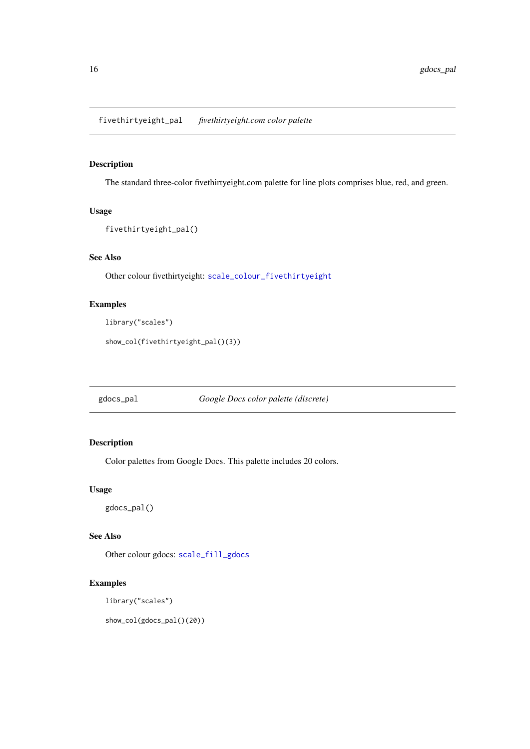<span id="page-15-1"></span><span id="page-15-0"></span>fivethirtyeight\_pal *fivethirtyeight.com color palette*

# Description

The standard three-color fivethirtyeight.com palette for line plots comprises blue, red, and green.

# Usage

```
fivethirtyeight_pal()
```
# See Also

Other colour fivethirtyeight: [scale\\_colour\\_fivethirtyeight](#page-27-1)

# Examples

```
library("scales")
```
show\_col(fivethirtyeight\_pal()(3))

gdocs\_pal *Google Docs color palette (discrete)*

# Description

Color palettes from Google Docs. This palette includes 20 colors.

# Usage

gdocs\_pal()

## See Also

Other colour gdocs: [scale\\_fill\\_gdocs](#page-41-1)

# Examples

library("scales")

show\_col(gdocs\_pal()(20))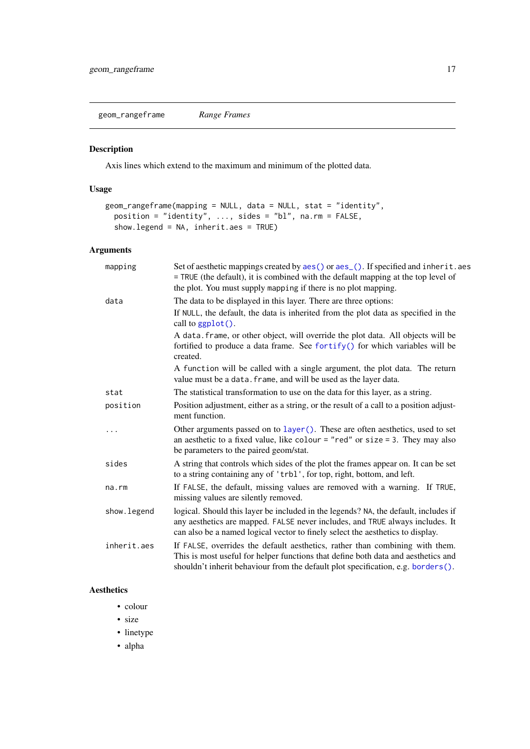<span id="page-16-1"></span><span id="page-16-0"></span>geom\_rangeframe *Range Frames*

# Description

Axis lines which extend to the maximum and minimum of the plotted data.

# Usage

```
geom_rangeframe(mapping = NULL, data = NULL, stat = "identity",
  position = "identity", ..., sides = "bl", na.rm = FALSE,
  show.legend = NA, inherit.aes = TRUE)
```
# Arguments

| mapping     | Set of aesthetic mappings created by aes() or aes_(). If specified and inherit.aes<br>= TRUE (the default), it is combined with the default mapping at the top level of<br>the plot. You must supply mapping if there is no plot mapping.              |
|-------------|--------------------------------------------------------------------------------------------------------------------------------------------------------------------------------------------------------------------------------------------------------|
| data        | The data to be displayed in this layer. There are three options:                                                                                                                                                                                       |
|             | If NULL, the default, the data is inherited from the plot data as specified in the<br>call to $ggplot()$ .                                                                                                                                             |
|             | A data. frame, or other object, will override the plot data. All objects will be<br>fortified to produce a data frame. See fortify() for which variables will be<br>created.                                                                           |
|             | A function will be called with a single argument, the plot data. The return<br>value must be a data. frame, and will be used as the layer data.                                                                                                        |
| stat        | The statistical transformation to use on the data for this layer, as a string.                                                                                                                                                                         |
| position    | Position adjustment, either as a string, or the result of a call to a position adjust-<br>ment function.                                                                                                                                               |
| .           | Other arguments passed on to layer (). These are often aesthetics, used to set<br>an aesthetic to a fixed value, like colour = "red" or size = 3. They may also<br>be parameters to the paired geom/stat.                                              |
| sides       | A string that controls which sides of the plot the frames appear on. It can be set<br>to a string containing any of 'trbl', for top, right, bottom, and left.                                                                                          |
| na.rm       | If FALSE, the default, missing values are removed with a warning. If TRUE,<br>missing values are silently removed.                                                                                                                                     |
| show.legend | logical. Should this layer be included in the legends? NA, the default, includes if<br>any aesthetics are mapped. FALSE never includes, and TRUE always includes. It<br>can also be a named logical vector to finely select the aesthetics to display. |
| inherit.aes | If FALSE, overrides the default aesthetics, rather than combining with them.<br>This is most useful for helper functions that define both data and aesthetics and<br>shouldn't inherit behaviour from the default plot specification, e.g. borders().  |

# Aesthetics

- colour
- size
- linetype
- alpha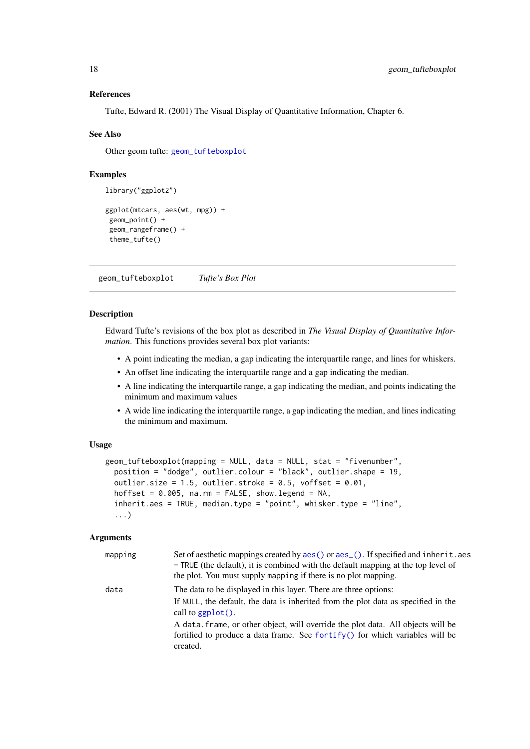#### References

Tufte, Edward R. (2001) The Visual Display of Quantitative Information, Chapter 6.

#### See Also

Other geom tufte: [geom\\_tufteboxplot](#page-17-1)

#### Examples

```
library("ggplot2")
ggplot(mtcars, aes(wt, mpg)) +
geom_point() +
 geom_rangeframe() +
 theme_tufte()
```
<span id="page-17-1"></span>geom\_tufteboxplot *Tufte's Box Plot*

#### Description

Edward Tufte's revisions of the box plot as described in *The Visual Display of Quantitative Information*. This functions provides several box plot variants:

- A point indicating the median, a gap indicating the interquartile range, and lines for whiskers.
- An offset line indicating the interquartile range and a gap indicating the median.
- A line indicating the interquartile range, a gap indicating the median, and points indicating the minimum and maximum values
- A wide line indicating the interquartile range, a gap indicating the median, and lines indicating the minimum and maximum.

# Usage

```
geom_tufteboxplot(mapping = NULL, data = NULL, stat = "fivenumber",
 position = "dodge", outlier.colour = "black", outlier.shape = 19,
 outlier.size = 1.5, outlier.stroke = 0.5, voffset = 0.01,
 hoffset = 0.005, na.rm = FALSE, show.legend = NA,
  inherit.aes = TRUE, median.type = "point", whisker.type = "line",
  ...)
```
#### Arguments

| mapping | Set of aesthetic mappings created by aes () or aes (). If specified and inherit.aes<br>$=$ TRUE (the default), it is combined with the default mapping at the top level of<br>the plot. You must supply mapping if there is no plot mapping.                                                                                                                 |
|---------|--------------------------------------------------------------------------------------------------------------------------------------------------------------------------------------------------------------------------------------------------------------------------------------------------------------------------------------------------------------|
| data    | The data to be displayed in this layer. There are three options:<br>If NULL, the default, the data is inherited from the plot data as specified in the<br>call to $graph()$ .<br>A data frame, or other object, will override the plot data. All objects will be<br>fortified to produce a data frame. See fortify() for which variables will be<br>created. |

<span id="page-17-0"></span>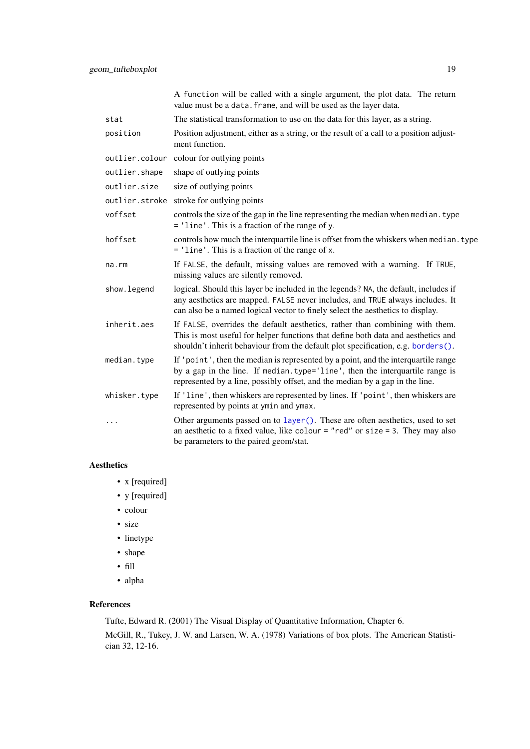|               | A function will be called with a single argument, the plot data. The return<br>value must be a data. frame, and will be used as the layer data.                                                                                                        |
|---------------|--------------------------------------------------------------------------------------------------------------------------------------------------------------------------------------------------------------------------------------------------------|
| stat          | The statistical transformation to use on the data for this layer, as a string.                                                                                                                                                                         |
| position      | Position adjustment, either as a string, or the result of a call to a position adjust-<br>ment function.                                                                                                                                               |
|               | outlier.colour colour for outlying points                                                                                                                                                                                                              |
| outlier.shape | shape of outlying points                                                                                                                                                                                                                               |
| outlier.size  | size of outlying points                                                                                                                                                                                                                                |
|               | outlier.stroke stroke for outlying points                                                                                                                                                                                                              |
| voffset       | controls the size of the gap in the line representing the median when median. type<br>= 'line'. This is a fraction of the range of y.                                                                                                                  |
| hoffset       | controls how much the interquartile line is offset from the whiskers when median. type<br>$=$ 'line'. This is a fraction of the range of x.                                                                                                            |
| $na$ . $rm$   | If FALSE, the default, missing values are removed with a warning. If TRUE,<br>missing values are silently removed.                                                                                                                                     |
| show. legend  | logical. Should this layer be included in the legends? NA, the default, includes if<br>any aesthetics are mapped. FALSE never includes, and TRUE always includes. It<br>can also be a named logical vector to finely select the aesthetics to display. |
| inherit.aes   | If FALSE, overrides the default aesthetics, rather than combining with them.<br>This is most useful for helper functions that define both data and aesthetics and<br>shouldn't inherit behaviour from the default plot specification, e.g. borders().  |
| median.type   | If 'point', then the median is represented by a point, and the interquartile range<br>by a gap in the line. If median.type='line', then the interquartile range is<br>represented by a line, possibly offset, and the median by a gap in the line.     |
| whisker.type  | If 'line', then whiskers are represented by lines. If 'point', then whiskers are<br>represented by points at ymin and ymax.                                                                                                                            |
| .             | Other arguments passed on to layer(). These are often aesthetics, used to set<br>an aesthetic to a fixed value, like colour = "red" or size = 3. They may also<br>be parameters to the paired geom/stat.                                               |

# Aesthetics

- x [required]
- y [required]
- colour
- size
- linetype
- shape
- fill
- alpha

#### References

Tufte, Edward R. (2001) The Visual Display of Quantitative Information, Chapter 6.

McGill, R., Tukey, J. W. and Larsen, W. A. (1978) Variations of box plots. The American Statistician 32, 12-16.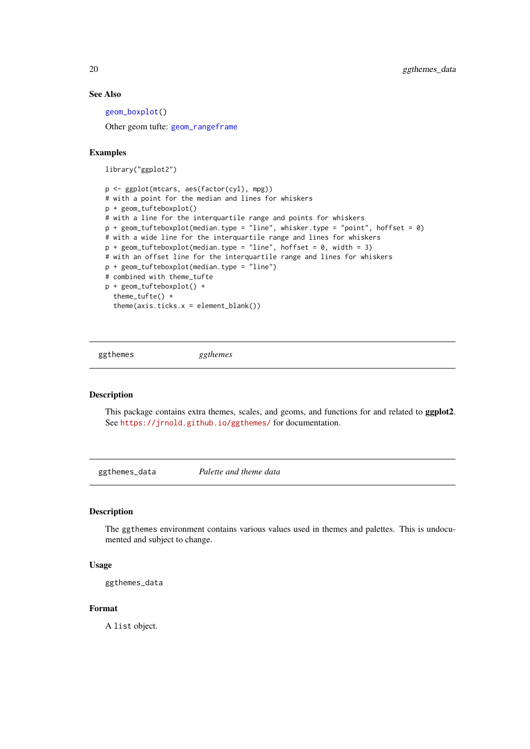#### See Also

[geom\\_boxplot\(](#page-0-0))

Other geom tufte: [geom\\_rangeframe](#page-16-1)

# Examples

library("ggplot2")

```
p <- ggplot(mtcars, aes(factor(cyl), mpg))
# with a point for the median and lines for whiskers
p + geom_tufteboxplot()
# with a line for the interquartile range and points for whiskers
p + geom_tufteboxplot(median.type = "line", whisker.type = "point", hoffset = 0)
# with a wide line for the interquartile range and lines for whiskers
p + geom_tufteboxplot(median.type = "line", hoffset = 0, width = 3)# with an offset line for the interquartile range and lines for whiskers
p + geom_tufteboxplot(median.type = "line")
# combined with theme_tufte
p + geom_tufteboxplot() +
  theme_tufte() +
  theme(axis.ticks.x = element_blank())
```
ggthemes *ggthemes*

# Description

This package contains extra themes, scales, and geoms, and functions for and related to ggplot2. See <https://jrnold.github.io/ggthemes/> for documentation.

ggthemes\_data *Palette and theme data*

#### Description

The ggthemes environment contains various values used in themes and palettes. This is undocumented and subject to change.

# Usage

ggthemes\_data

## Format

A list object.

<span id="page-19-0"></span>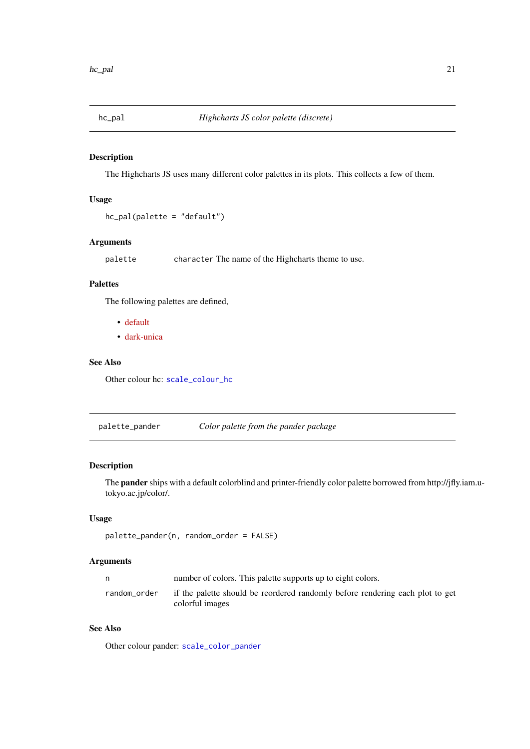<span id="page-20-2"></span><span id="page-20-0"></span>

#### Description

The Highcharts JS uses many different color palettes in its plots. This collects a few of them.

# Usage

```
hc_pal(palette = "default")
```
# Arguments

palette character The name of the Highcharts theme to use.

# Palettes

The following palettes are defined,

- [default](http://www.highcharts.com/demo)
- [dark-unica](http://www.highcharts.com/demo/line-basic/dark-unica)

#### See Also

Other colour hc: [scale\\_colour\\_hc](#page-32-1)

<span id="page-20-1"></span>palette\_pander *Color palette from the pander package*

# Description

The pander ships with a default colorblind and printer-friendly color palette borrowed from http://jfly.iam.utokyo.ac.jp/color/.

#### Usage

```
palette_pander(n, random_order = FALSE)
```
# Arguments

|              | number of colors. This palette supports up to eight colors.                                      |
|--------------|--------------------------------------------------------------------------------------------------|
| random order | if the palette should be reordered randomly before rendering each plot to get<br>colorful images |

# See Also

Other colour pander: [scale\\_color\\_pander](#page-21-1)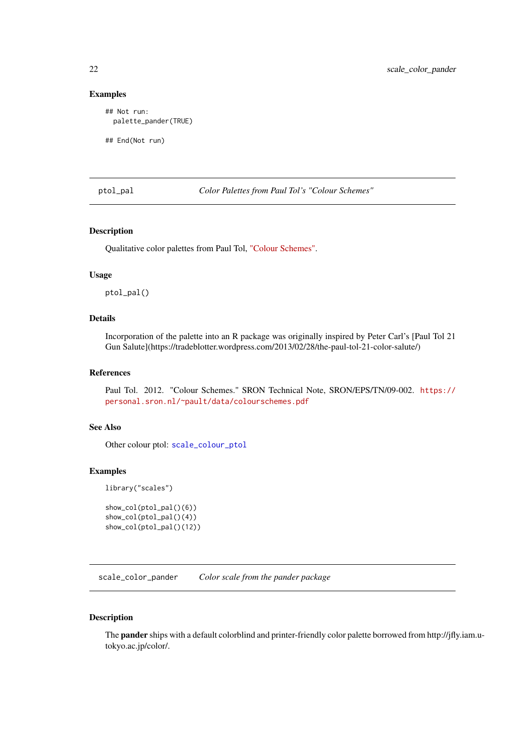# Examples

## Not run: palette\_pander(TRUE)

## End(Not run)

<span id="page-21-2"></span>ptol\_pal *Color Palettes from Paul Tol's "Colour Schemes"*

# Description

Qualitative color palettes from Paul Tol, ["Colour Schemes".](https://personal.sron.nl/~pault/)

#### Usage

ptol\_pal()

# Details

Incorporation of the palette into an R package was originally inspired by Peter Carl's [Paul Tol 21 Gun Salute](https://tradeblotter.wordpress.com/2013/02/28/the-paul-tol-21-color-salute/)

#### References

Paul Tol. 2012. "Colour Schemes." SRON Technical Note, SRON/EPS/TN/09-002. [https://](https://personal.sron.nl/~pault/data/colourschemes.pdf) [personal.sron.nl/~pault/data/colourschemes.pdf](https://personal.sron.nl/~pault/data/colourschemes.pdf)

# See Also

Other colour ptol: [scale\\_colour\\_ptol](#page-33-1)

# Examples

library("scales")

```
show_col(ptol_pal()(6))
show_col(ptol_pal()(4))
show_col(ptol_pal()(12))
```
<span id="page-21-1"></span>scale\_color\_pander *Color scale from the pander package*

# Description

The pander ships with a default colorblind and printer-friendly color palette borrowed from http://jfly.iam.utokyo.ac.jp/color/.

<span id="page-21-0"></span>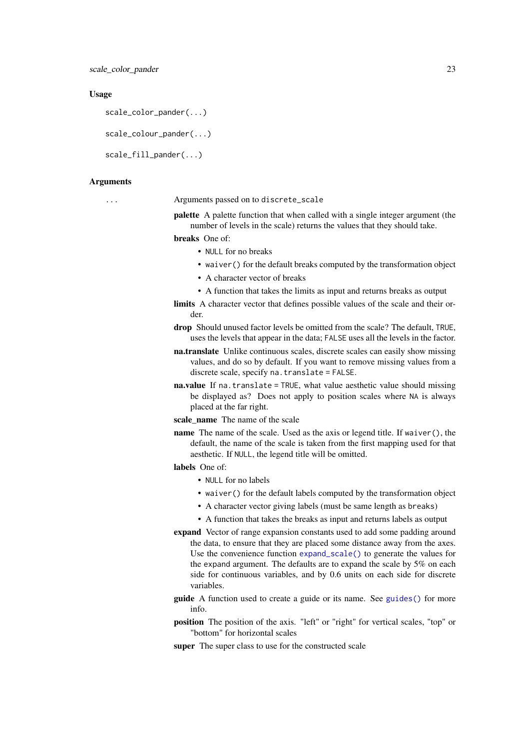#### Usage

```
scale_color_pander(...)
```
scale\_colour\_pander(...)

```
scale fill pander( \ldots)
```
#### Arguments

... Arguments passed on to discrete\_scale

palette A palette function that when called with a single integer argument (the number of levels in the scale) returns the values that they should take.

breaks One of:

- NULL for no breaks
- waiver() for the default breaks computed by the transformation object
- A character vector of breaks
- A function that takes the limits as input and returns breaks as output
- limits A character vector that defines possible values of the scale and their order.
- drop Should unused factor levels be omitted from the scale? The default, TRUE, uses the levels that appear in the data; FALSE uses all the levels in the factor.
- na.translate Unlike continuous scales, discrete scales can easily show missing values, and do so by default. If you want to remove missing values from a discrete scale, specify na.translate = FALSE.
- na.value If na.translate = TRUE, what value aesthetic value should missing be displayed as? Does not apply to position scales where NA is always placed at the far right.
- scale\_name The name of the scale
- name The name of the scale. Used as the axis or legend title. If waiver(), the default, the name of the scale is taken from the first mapping used for that aesthetic. If NULL, the legend title will be omitted.

# labels One of:

- NULL for no labels
- waiver() for the default labels computed by the transformation object
- A character vector giving labels (must be same length as breaks)
- A function that takes the breaks as input and returns labels as output
- expand Vector of range expansion constants used to add some padding around the data, to ensure that they are placed some distance away from the axes. Use the convenience function [expand\\_scale\(\)](#page-0-0) to generate the values for the expand argument. The defaults are to expand the scale by 5% on each side for continuous variables, and by 0.6 units on each side for discrete variables.
- guide A function used to create a guide or its name. See [guides\(\)](#page-0-0) for more info.
- position The position of the axis. "left" or "right" for vertical scales, "top" or "bottom" for horizontal scales
- super The super class to use for the constructed scale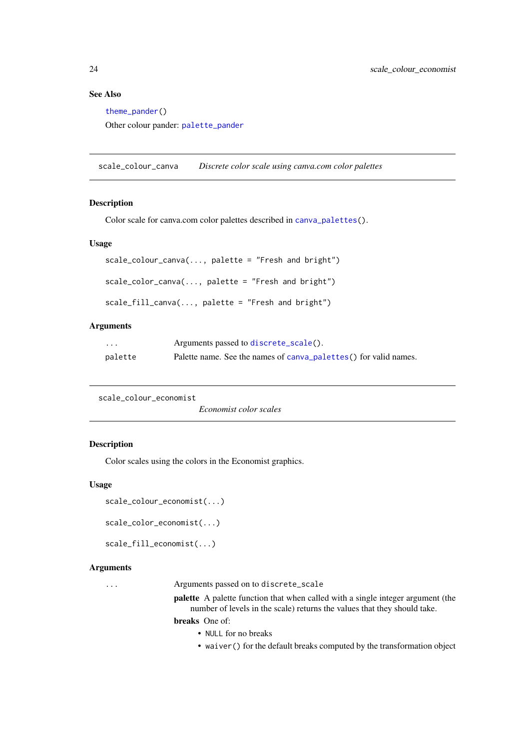# <span id="page-23-0"></span>See Also

[theme\\_pander\(](#page-71-1)) Other colour pander: [palette\\_pander](#page-20-1)

scale\_colour\_canva *Discrete color scale using canva.com color palettes*

#### Description

Color scale for canva.com color palettes described in [canva\\_palettes\(](#page-6-1)).

#### Usage

```
scale_colour_canva(..., palette = "Fresh and bright")
scale_color_canva(..., palette = "Fresh and bright")
scale_fill_canva(..., palette = "Fresh and bright")
```
# Arguments

| $\cdot$ | Arguments passed to discrete_scale().                            |
|---------|------------------------------------------------------------------|
| palette | Palette name. See the names of canva_palettes() for valid names. |

```
scale_colour_economist
```
*Economist color scales*

# Description

Color scales using the colors in the Economist graphics.

# Usage

```
scale_colour_economist(...)
```
scale\_color\_economist(...)

```
scale_fill_economist(...)
```
#### Arguments

... Arguments passed on to discrete\_scale

palette A palette function that when called with a single integer argument (the number of levels in the scale) returns the values that they should take.

breaks One of:

- NULL for no breaks
- waiver() for the default breaks computed by the transformation object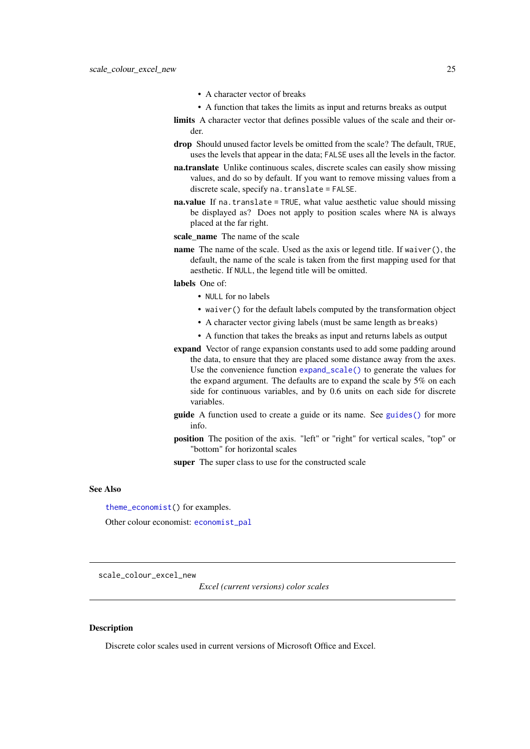- A character vector of breaks
- A function that takes the limits as input and returns breaks as output
- <span id="page-24-0"></span>limits A character vector that defines possible values of the scale and their order.
- drop Should unused factor levels be omitted from the scale? The default, TRUE, uses the levels that appear in the data; FALSE uses all the levels in the factor.
- na.translate Unlike continuous scales, discrete scales can easily show missing values, and do so by default. If you want to remove missing values from a discrete scale, specify na.translate = FALSE.
- na.value If na.translate = TRUE, what value aesthetic value should missing be displayed as? Does not apply to position scales where NA is always placed at the far right.
- scale\_name The name of the scale
- name The name of the scale. Used as the axis or legend title. If waiver(), the default, the name of the scale is taken from the first mapping used for that aesthetic. If NULL, the legend title will be omitted.
- labels One of:
	- NULL for no labels
	- waiver() for the default labels computed by the transformation object
	- A character vector giving labels (must be same length as breaks)
	- A function that takes the breaks as input and returns labels as output
- expand Vector of range expansion constants used to add some padding around the data, to ensure that they are placed some distance away from the axes. Use the convenience function [expand\\_scale\(\)](#page-0-0) to generate the values for the expand argument. The defaults are to expand the scale by 5% on each side for continuous variables, and by 0.6 units on each side for discrete variables.
- guide A function used to create a guide or its name. See [guides\(\)](#page-0-0) for more info.
- position The position of the axis. "left" or "right" for vertical scales, "top" or "bottom" for horizontal scales

super The super class to use for the constructed scale

#### See Also

[theme\\_economist\(](#page-63-1)) for examples.

Other colour economist: [economist\\_pal](#page-11-2)

<span id="page-24-1"></span>scale\_colour\_excel\_new

*Excel (current versions) color scales*

#### Description

Discrete color scales used in current versions of Microsoft Office and Excel.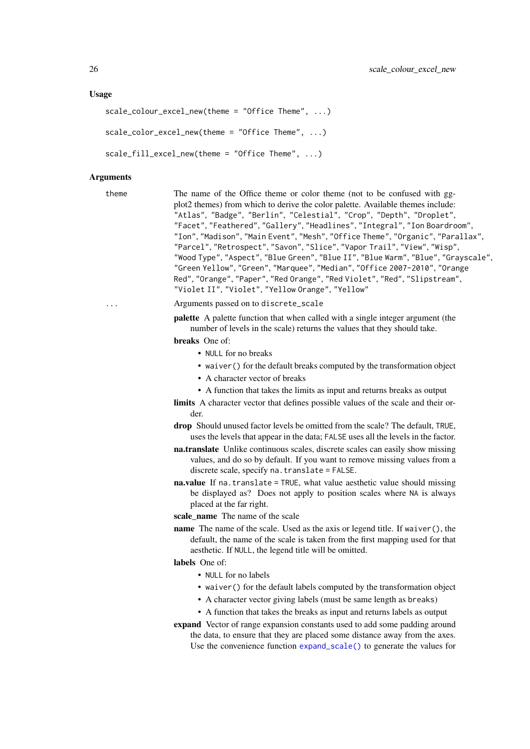#### Usage

```
scale_colour_excel_new(theme = "Office Theme", ...)
scale_color_excel_new(theme = "Office Theme", ...)
scale_fill_excel_new(theme = "Office Theme", ...)
```
#### Arguments

theme The name of the Office theme or color theme (not to be confused with ggplot2 themes) from which to derive the color palette. Available themes include: "Atlas", "Badge", "Berlin", "Celestial", "Crop", "Depth", "Droplet", "Facet", "Feathered", "Gallery", "Headlines", "Integral", "Ion Boardroom", "Ion", "Madison", "Main Event", "Mesh", "Office Theme", "Organic", "Parallax", "Parcel", "Retrospect", "Savon", "Slice", "Vapor Trail", "View", "Wisp", "Wood Type", "Aspect", "Blue Green", "Blue II", "Blue Warm", "Blue", "Grayscale", "Green Yellow", "Green", "Marquee", "Median", "Office 2007-2010", "Orange Red", "Orange", "Paper", "Red Orange", "Red Violet", "Red", "Slipstream", "Violet II", "Violet", "Yellow Orange", "Yellow"

# ... Arguments passed on to discrete\_scale

palette A palette function that when called with a single integer argument (the number of levels in the scale) returns the values that they should take.

breaks One of:

- NULL for no breaks
- waiver() for the default breaks computed by the transformation object
- A character vector of breaks
- A function that takes the limits as input and returns breaks as output
- limits A character vector that defines possible values of the scale and their order.
- drop Should unused factor levels be omitted from the scale? The default, TRUE, uses the levels that appear in the data; FALSE uses all the levels in the factor.
- na.translate Unlike continuous scales, discrete scales can easily show missing values, and do so by default. If you want to remove missing values from a discrete scale, specify na.translate = FALSE.
- na.value If na.translate = TRUE, what value aesthetic value should missing be displayed as? Does not apply to position scales where NA is always placed at the far right.
- scale\_name The name of the scale
- name The name of the scale. Used as the axis or legend title. If waiver(), the default, the name of the scale is taken from the first mapping used for that aesthetic. If NULL, the legend title will be omitted.

# labels One of:

- NULL for no labels
- waiver() for the default labels computed by the transformation object
- A character vector giving labels (must be same length as breaks)
- A function that takes the breaks as input and returns labels as output
- expand Vector of range expansion constants used to add some padding around the data, to ensure that they are placed some distance away from the axes.
	- Use the convenience function [expand\\_scale\(\)](#page-0-0) to generate the values for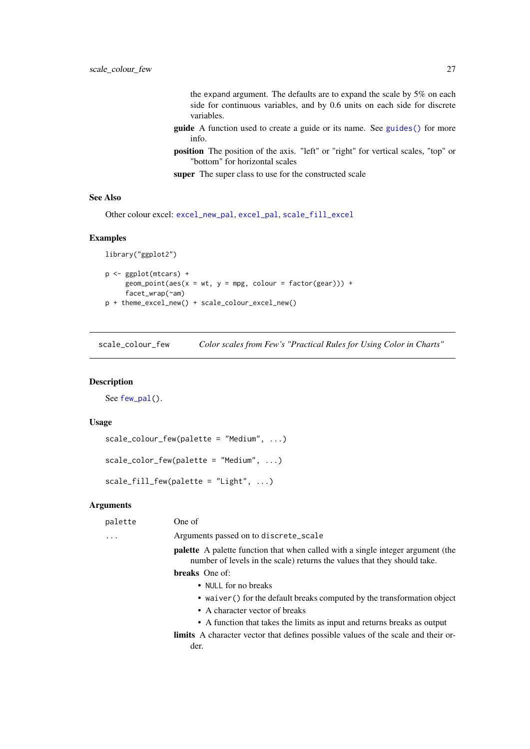the expand argument. The defaults are to expand the scale by 5% on each side for continuous variables, and by 0.6 units on each side for discrete variables.

- <span id="page-26-0"></span>guide A function used to create a guide or its name. See [guides\(\)](#page-0-0) for more info.
- position The position of the axis. "left" or "right" for vertical scales, "top" or "bottom" for horizontal scales

super The super class to use for the constructed scale

# See Also

Other colour excel: [excel\\_new\\_pal](#page-11-1), [excel\\_pal](#page-12-1), [scale\\_fill\\_excel](#page-39-1)

# Examples

```
library("ggplot2")
p <- ggplot(mtcars) +
     geom\_point(aes(x = wt, y = mpg, colour = factor(gear))) +facet_wrap(~am)
p + theme_excel_new() + scale_colour_excel_new()
```
<span id="page-26-1"></span>scale\_colour\_few *Color scales from Few's "Practical Rules for Using Color in Charts"*

#### Description

See [few\\_pal\(](#page-13-1)).

# Usage

```
scale_colour_few(palette = "Medium", ...)
scale_color_few(palette = "Medium", ...)
```
scale\_fill\_few(palette = "Light", ...)

# Arguments

| palette | One of                                                                                                                                                             |
|---------|--------------------------------------------------------------------------------------------------------------------------------------------------------------------|
| $\cdot$ | Arguments passed on to discrete_scale                                                                                                                              |
|         | <b>palette</b> A palette function that when called with a single integer argument (the<br>number of levels in the scale) returns the values that they should take. |
|         | <b>breaks</b> One of:                                                                                                                                              |
|         | • NULL for no breaks                                                                                                                                               |
|         | • waiver () for the default breaks computed by the transformation object                                                                                           |
|         | • A character vector of breaks                                                                                                                                     |
|         | • A function that takes the limits as input and returns breaks as output                                                                                           |
|         | <b>limits</b> A character vector that defines possible values of the scale and their or-<br>der.                                                                   |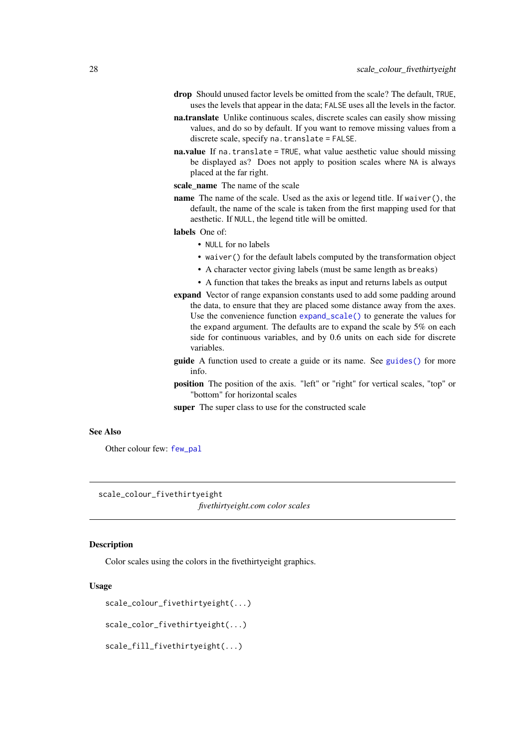- <span id="page-27-0"></span>drop Should unused factor levels be omitted from the scale? The default, TRUE, uses the levels that appear in the data; FALSE uses all the levels in the factor.
- na.translate Unlike continuous scales, discrete scales can easily show missing values, and do so by default. If you want to remove missing values from a discrete scale, specify na.translate = FALSE.
- na.value If na.translate = TRUE, what value aesthetic value should missing be displayed as? Does not apply to position scales where NA is always placed at the far right.
- scale\_name The name of the scale
- name The name of the scale. Used as the axis or legend title. If waiver(), the default, the name of the scale is taken from the first mapping used for that aesthetic. If NULL, the legend title will be omitted.

labels One of:

- NULL for no labels
- waiver() for the default labels computed by the transformation object
- A character vector giving labels (must be same length as breaks)
- A function that takes the breaks as input and returns labels as output
- expand Vector of range expansion constants used to add some padding around the data, to ensure that they are placed some distance away from the axes. Use the convenience function [expand\\_scale\(\)](#page-0-0) to generate the values for the expand argument. The defaults are to expand the scale by 5% on each side for continuous variables, and by 0.6 units on each side for discrete variables.
- guide A function used to create a guide or its name. See [guides\(\)](#page-0-0) for more info.
- position The position of the axis. "left" or "right" for vertical scales, "top" or "bottom" for horizontal scales
- super The super class to use for the constructed scale

# See Also

Other colour few: [few\\_pal](#page-13-1)

<span id="page-27-1"></span>scale\_colour\_fivethirtyeight

*fivethirtyeight.com color scales*

# **Description**

Color scales using the colors in the fivethirtyeight graphics.

# Usage

```
scale_colour_fivethirtyeight(...)
```
scale\_color\_fivethirtyeight(...)

scale\_fill\_fivethirtyeight(...)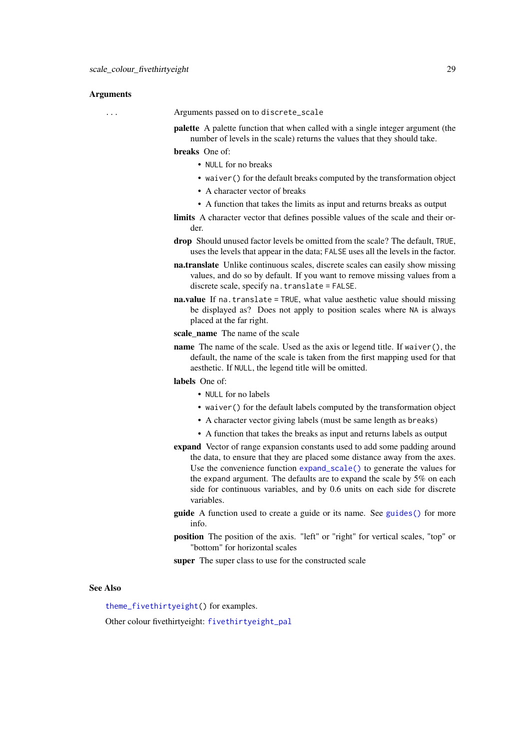#### Arguments

... Arguments passed on to discrete\_scale

palette A palette function that when called with a single integer argument (the number of levels in the scale) returns the values that they should take.

breaks One of:

- NULL for no breaks
- waiver() for the default breaks computed by the transformation object
- A character vector of breaks
- A function that takes the limits as input and returns breaks as output
- limits A character vector that defines possible values of the scale and their order.
- drop Should unused factor levels be omitted from the scale? The default, TRUE, uses the levels that appear in the data; FALSE uses all the levels in the factor.
- na.translate Unlike continuous scales, discrete scales can easily show missing values, and do so by default. If you want to remove missing values from a discrete scale, specify na.translate = FALSE.
- na.value If na.translate = TRUE, what value aesthetic value should missing be displayed as? Does not apply to position scales where NA is always placed at the far right.
- scale\_name The name of the scale
- name The name of the scale. Used as the axis or legend title. If waiver(), the default, the name of the scale is taken from the first mapping used for that aesthetic. If NULL, the legend title will be omitted.

### labels One of:

- NULL for no labels
- waiver() for the default labels computed by the transformation object
- A character vector giving labels (must be same length as breaks)
- A function that takes the breaks as input and returns labels as output
- expand Vector of range expansion constants used to add some padding around the data, to ensure that they are placed some distance away from the axes. Use the convenience function [expand\\_scale\(\)](#page-0-0) to generate the values for the expand argument. The defaults are to expand the scale by 5% on each side for continuous variables, and by 0.6 units on each side for discrete variables.
- guide A function used to create a guide or its name. See [guides\(\)](#page-0-0) for more info.
- position The position of the axis. "left" or "right" for vertical scales, "top" or "bottom" for horizontal scales

super The super class to use for the constructed scale

#### See Also

[theme\\_fivethirtyeight\(](#page-67-1)) for examples.

Other colour fivethirtyeight: [fivethirtyeight\\_pal](#page-15-1)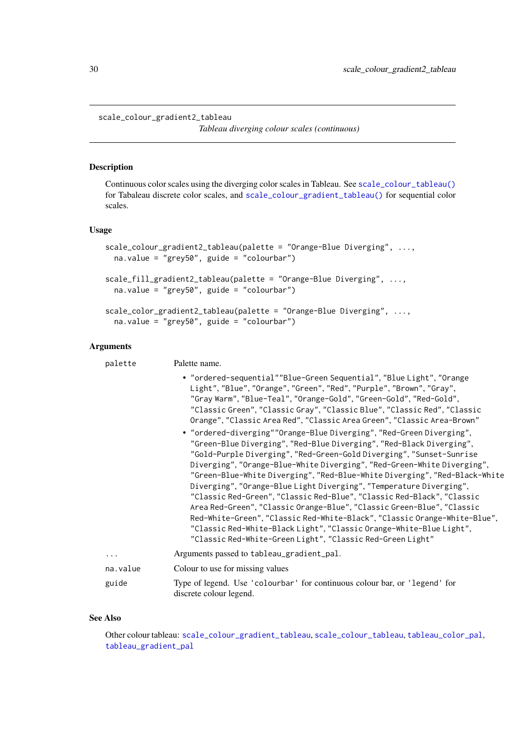#### <span id="page-29-1"></span><span id="page-29-0"></span>scale\_colour\_gradient2\_tableau

*Tableau diverging colour scales (continuous)*

#### Description

Continuous color scales using the diverging color scales in Tableau. See [scale\\_colour\\_tableau\(\)](#page-36-2) for Tabaleau discrete color scales, and [scale\\_colour\\_gradient\\_tableau\(\)](#page-30-1) for sequential color scales.

# Usage

```
scale_colour_gradient2_tableau(palette = "Orange-Blue Diverging", ...,
 na.value = "grey50", guide = "colourbar")
scale_fill_gradient2_tableau(palette = "Orange-Blue Diverging", ...,
 na.value = "grey50", guide = "colourbar")
```

```
scale_color_gradient2_tableau(palette = "Orange-Blue Diverging", ...,
 na.value = "grey50", guide = "colourbar")
```
# Arguments

| palette  | Palette name.                                                                                                                                                                                                                                                                                                                                                                                                                                                                                                                                                                                                                                                                                                                                                                                                              |
|----------|----------------------------------------------------------------------------------------------------------------------------------------------------------------------------------------------------------------------------------------------------------------------------------------------------------------------------------------------------------------------------------------------------------------------------------------------------------------------------------------------------------------------------------------------------------------------------------------------------------------------------------------------------------------------------------------------------------------------------------------------------------------------------------------------------------------------------|
|          | • "ordered-sequential""Blue-Green Sequential", "Blue Light", "Orange<br>Light", "Blue", "Orange", "Green", "Red", "Purple", "Brown", "Gray",<br>"Gray Warm", "Blue-Teal", "Orange-Gold", "Green-Gold", "Red-Gold",<br>"Classic Green", "Classic Gray", "Classic Blue", "Classic Red", "Classic<br>Orange", "Classic Area Red", "Classic Area Green", "Classic Area-Brown"                                                                                                                                                                                                                                                                                                                                                                                                                                                  |
|          | • "ordered-diverging""Orange-Blue Diverging", "Red-Green Diverging",<br>"Green-Blue Diverging", "Red-Blue Diverging", "Red-Black Diverging",<br>"Gold-Purple Diverging", "Red-Green-Gold Diverging", "Sunset-Sunrise<br>Diverging", "Orange-Blue-White Diverging", "Red-Green-White Diverging",<br>"Green-Blue-White Diverging", "Red-Blue-White Diverging", "Red-Black-White<br>Diverging", "Orange-Blue Light Diverging", "Temperature Diverging",<br>"Classic Red-Green", "Classic Red-Blue", "Classic Red-Black", "Classic<br>Area Red-Green", "Classic Orange-Blue", "Classic Green-Blue", "Classic<br>Red-White-Green", "Classic Red-White-Black", "Classic Orange-White-Blue",<br>"Classic Red-White-Black Light", "Classic Orange-White-Blue Light",<br>"Classic Red-White-Green Light", "Classic Red-Green Light" |
| .        | Arguments passed to tableau_gradient_pal.                                                                                                                                                                                                                                                                                                                                                                                                                                                                                                                                                                                                                                                                                                                                                                                  |
| na.value | Colour to use for missing values                                                                                                                                                                                                                                                                                                                                                                                                                                                                                                                                                                                                                                                                                                                                                                                           |
| guide    | Type of legend. Use 'colourbar' for continuous colour bar, or 'legend' for<br>discrete colour legend.                                                                                                                                                                                                                                                                                                                                                                                                                                                                                                                                                                                                                                                                                                                      |

# See Also

Other colour tableau: [scale\\_colour\\_gradient\\_tableau](#page-30-1), [scale\\_colour\\_tableau](#page-36-2), [tableau\\_color\\_pal](#page-57-1), [tableau\\_gradient\\_pal](#page-59-1)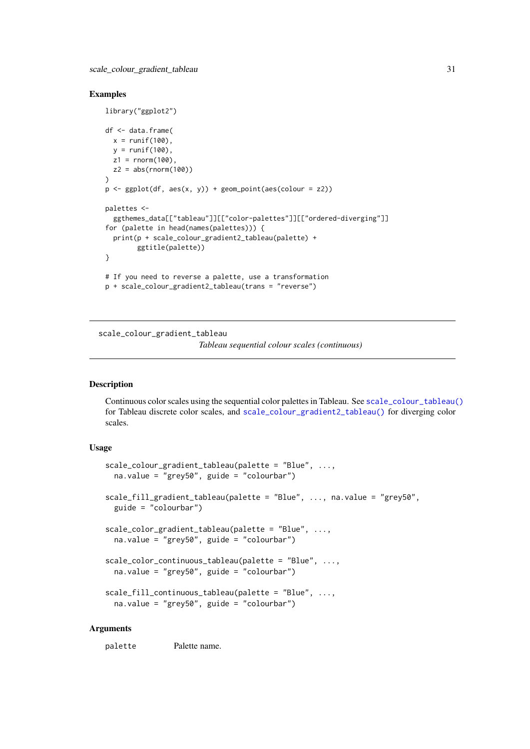<span id="page-30-0"></span>scale\_colour\_gradient\_tableau 31

#### Examples

```
library("ggplot2")
df <- data.frame(
 x = runif(100),
  y = runif(100),
 z1 = rnorm(100),
 z2 = abs(rnorm(100)))
p <- ggplot(df, aes(x, y)) + geom_point(aes(colour = z2))
palettes <-
  ggthemes_data[["tableau"]][["color-palettes"]][["ordered-diverging"]]
for (palette in head(names(palettes))) {
 print(p + scale_colour_gradient2_tableau(palette) +
        ggtitle(palette))
}
# If you need to reverse a palette, use a transformation
p + scale_colour_gradient2_tableau(trans = "reverse")
```
<span id="page-30-1"></span>scale\_colour\_gradient\_tableau

*Tableau sequential colour scales (continuous)*

# Description

Continuous color scales using the sequential color palettes in Tableau. See [scale\\_colour\\_tableau\(\)](#page-36-2) for Tableau discrete color scales, and [scale\\_colour\\_gradient2\\_tableau\(\)](#page-29-1) for diverging color scales.

# Usage

```
scale_colour_gradient_tableau(palette = "Blue", ...,
 na.value = "grey50", guide = "colourbar")
scale_fill_gradient_tableau(palette = "Blue", ..., na.value = "grey50",
  guide = "colourbar")
scale_color_gradient_tableau(palette = "Blue", ...,
 na.value = "grey50", guide = "colourbar")
scale_color_continuous_tableau(palette = "Blue", ...,
 na.value = "grey50", guide = "colourbar")
scale_fill_continuous_tableau(palette = "Blue", ...,
 na.value = "grey50", guide = "colourbar")
```
#### Arguments

palette Palette name.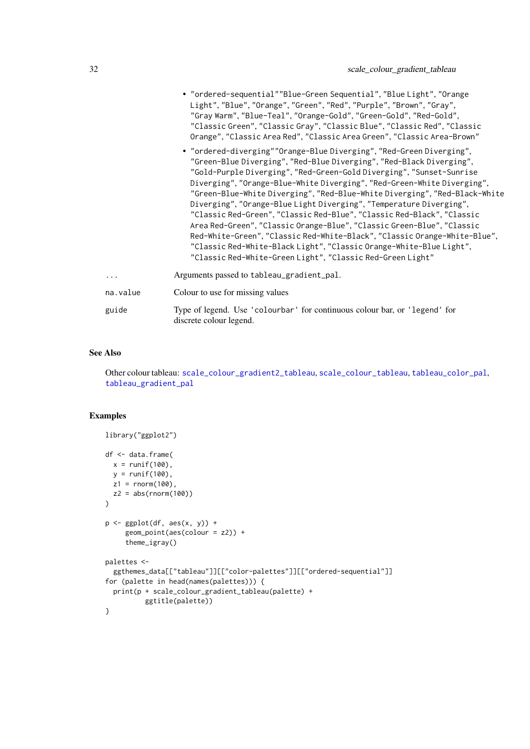|          | • "ordered-sequential""Blue-Green Sequential", "Blue Light", "Orange<br>Light", "Blue", "Orange", "Green", "Red", "Purple", "Brown", "Gray",<br>"Gray Warm", "Blue-Teal", "Orange-Gold", "Green-Gold", "Red-Gold",<br>"Classic Green", "Classic Gray", "Classic Blue", "Classic Red", "Classic<br>Orange", "Classic Area Red", "Classic Area Green", "Classic Area-Brown"<br>• "ordered-diverging""Orange-Blue Diverging", "Red-Green Diverging",<br>"Green-Blue Diverging", "Red-Blue Diverging", "Red-Black Diverging",<br>"Gold-Purple Diverging", "Red-Green-Gold Diverging", "Sunset-Sunrise<br>Diverging", "Orange-Blue-White Diverging", "Red-Green-White Diverging",<br>"Green-Blue-White Diverging", "Red-Blue-White Diverging", "Red-Black-White<br>Diverging", "Orange-Blue Light Diverging", "Temperature Diverging",<br>"Classic Red-Green", "Classic Red-Blue", "Classic Red-Black", "Classic<br>Area Red-Green", "Classic Orange-Blue", "Classic Green-Blue", "Classic<br>Red-White-Green", "Classic Red-White-Black", "Classic Orange-White-Blue",<br>"Classic Red-White-Black Light", "Classic Orange-White-Blue Light",<br>"Classic Red-White-Green Light", "Classic Red-Green Light" |
|----------|---------------------------------------------------------------------------------------------------------------------------------------------------------------------------------------------------------------------------------------------------------------------------------------------------------------------------------------------------------------------------------------------------------------------------------------------------------------------------------------------------------------------------------------------------------------------------------------------------------------------------------------------------------------------------------------------------------------------------------------------------------------------------------------------------------------------------------------------------------------------------------------------------------------------------------------------------------------------------------------------------------------------------------------------------------------------------------------------------------------------------------------------------------------------------------------------------------|
| .        | Arguments passed to tableau_gradient_pal.                                                                                                                                                                                                                                                                                                                                                                                                                                                                                                                                                                                                                                                                                                                                                                                                                                                                                                                                                                                                                                                                                                                                                               |
| na.value | Colour to use for missing values                                                                                                                                                                                                                                                                                                                                                                                                                                                                                                                                                                                                                                                                                                                                                                                                                                                                                                                                                                                                                                                                                                                                                                        |
| guide    | Type of legend. Use 'colourbar' for continuous colour bar, or 'legend' for<br>discrete colour legend.                                                                                                                                                                                                                                                                                                                                                                                                                                                                                                                                                                                                                                                                                                                                                                                                                                                                                                                                                                                                                                                                                                   |

# See Also

Other colour tableau: [scale\\_colour\\_gradient2\\_tableau](#page-29-1), [scale\\_colour\\_tableau](#page-36-2), [tableau\\_color\\_pal](#page-57-1), [tableau\\_gradient\\_pal](#page-59-1)

# Examples

```
library("ggplot2")
df <- data.frame(
 x = runif(100),
  y = runif(100),
 z1 = rnorm(100),
 z2 = abs(rnorm(100)))
p \leftarrow \text{ggplot}(df, \text{aes}(x, y)) +geom_point(aes(colour = z2)) +
     theme_igray()
palettes <-
  ggthemes_data[["tableau"]][["color-palettes"]][["ordered-sequential"]]
for (palette in head(names(palettes))) {
  print(p + scale_colour_gradient_tableau(palette) +
          ggtitle(palette))
}
```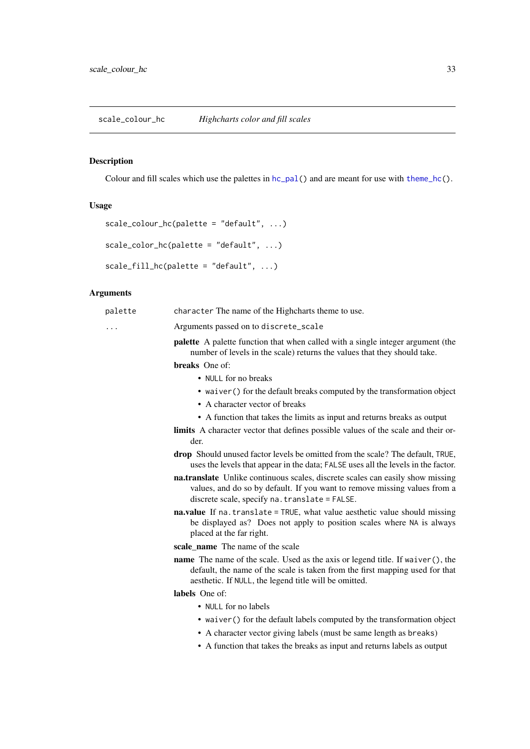# <span id="page-32-1"></span><span id="page-32-0"></span>Description

Colour and fill scales which use the palettes in  $hc\_pal()$  and are meant for use with [theme\\_hc\(](#page-68-1)).

# Usage

```
scale_colour_hc(palette = "default", ...)
```

```
scale\_color_hc(palette = "default", ...)
```

```
scale_fill_hc(palette = "default", ...)
```
# Arguments

| palette | character The name of the Highcharts theme to use.                                                                                                                                                                             |
|---------|--------------------------------------------------------------------------------------------------------------------------------------------------------------------------------------------------------------------------------|
| .       | Arguments passed on to discrete_scale                                                                                                                                                                                          |
|         | palette A palette function that when called with a single integer argument (the<br>number of levels in the scale) returns the values that they should take.                                                                    |
|         | breaks One of:                                                                                                                                                                                                                 |
|         | • NULL for no breaks                                                                                                                                                                                                           |
|         | • waiver () for the default breaks computed by the transformation object                                                                                                                                                       |
|         | • A character vector of breaks                                                                                                                                                                                                 |
|         | • A function that takes the limits as input and returns breaks as output                                                                                                                                                       |
|         | limits A character vector that defines possible values of the scale and their or-<br>der.                                                                                                                                      |
|         | <b>drop</b> Should unused factor levels be omitted from the scale? The default, TRUE,<br>uses the levels that appear in the data; FALSE uses all the levels in the factor.                                                     |
|         | na.translate Unlike continuous scales, discrete scales can easily show missing<br>values, and do so by default. If you want to remove missing values from a<br>discrete scale, specify na. translate = FALSE.                  |
|         | na.value If na.translate = TRUE, what value aesthetic value should missing<br>be displayed as? Does not apply to position scales where NA is always<br>placed at the far right.                                                |
|         | scale_name The name of the scale                                                                                                                                                                                               |
|         | <b>name</b> The name of the scale. Used as the axis or legend title. If waiver(), the<br>default, the name of the scale is taken from the first mapping used for that<br>aesthetic. If NULL, the legend title will be omitted. |
|         | labels One of:                                                                                                                                                                                                                 |
|         | • NULL for no labels                                                                                                                                                                                                           |
|         | • waiver () for the default labels computed by the transformation object                                                                                                                                                       |
|         | • A character vector giving labels (must be same length as breaks)                                                                                                                                                             |
|         | • A function that takes the breaks as input and returns labels as output                                                                                                                                                       |
|         |                                                                                                                                                                                                                                |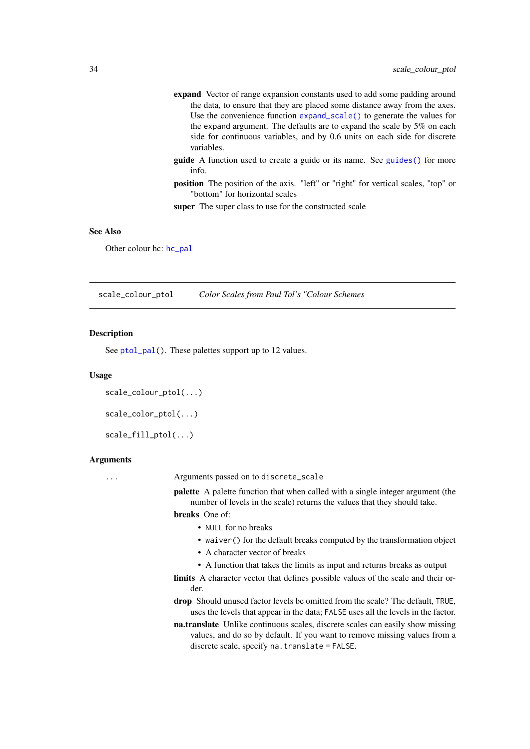- <span id="page-33-0"></span>expand Vector of range expansion constants used to add some padding around the data, to ensure that they are placed some distance away from the axes. Use the convenience function [expand\\_scale\(\)](#page-0-0) to generate the values for the expand argument. The defaults are to expand the scale by 5% on each side for continuous variables, and by 0.6 units on each side for discrete variables.
- guide A function used to create a guide or its name. See [guides\(\)](#page-0-0) for more info.
- position The position of the axis. "left" or "right" for vertical scales, "top" or "bottom" for horizontal scales

super The super class to use for the constructed scale

#### See Also

Other colour hc: [hc\\_pal](#page-20-2)

<span id="page-33-1"></span>scale\_colour\_ptol *Color Scales from Paul Tol's "Colour Schemes*

#### Description

See [ptol\\_pal\(](#page-21-2)). These palettes support up to 12 values.

#### Usage

```
scale_colour_ptol(...)
```

```
scale_color_ptol(...)
```
scale\_fill\_ptol(...)

#### Arguments

... Arguments passed on to discrete\_scale

palette A palette function that when called with a single integer argument (the number of levels in the scale) returns the values that they should take.

breaks One of:

- NULL for no breaks
- waiver() for the default breaks computed by the transformation object
- A character vector of breaks
- A function that takes the limits as input and returns breaks as output
- limits A character vector that defines possible values of the scale and their order.
- drop Should unused factor levels be omitted from the scale? The default, TRUE, uses the levels that appear in the data; FALSE uses all the levels in the factor.
- na.translate Unlike continuous scales, discrete scales can easily show missing values, and do so by default. If you want to remove missing values from a discrete scale, specify na.translate = FALSE.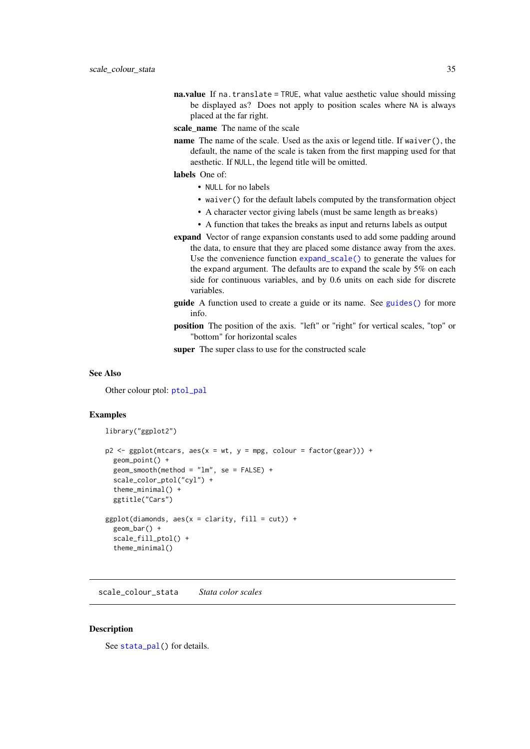<span id="page-34-0"></span>na.value If na.translate = TRUE, what value aesthetic value should missing be displayed as? Does not apply to position scales where NA is always placed at the far right.

scale\_name The name of the scale

name The name of the scale. Used as the axis or legend title. If waiver(), the default, the name of the scale is taken from the first mapping used for that aesthetic. If NULL, the legend title will be omitted.

labels One of:

- NULL for no labels
- waiver() for the default labels computed by the transformation object
- A character vector giving labels (must be same length as breaks)
- A function that takes the breaks as input and returns labels as output
- expand Vector of range expansion constants used to add some padding around the data, to ensure that they are placed some distance away from the axes. Use the convenience function [expand\\_scale\(\)](#page-0-0) to generate the values for the expand argument. The defaults are to expand the scale by 5% on each side for continuous variables, and by 0.6 units on each side for discrete variables.
- guide A function used to create a guide or its name. See [guides\(\)](#page-0-0) for more info.
- position The position of the axis. "left" or "right" for vertical scales, "top" or "bottom" for horizontal scales

super The super class to use for the constructed scale

#### See Also

Other colour ptol: [ptol\\_pal](#page-21-2)

#### Examples

```
library("ggplot2")
```

```
p2 \leq - ggplot(mtcars, aes(x = wt, y = mpg, colour = factor(gear))) +geom_point() +
  geom_smooth(method = "lm", se = FALSE) +
  scale_color_ptol("cyl") +
  theme_minimal() +
  ggtitle("Cars")
ggplot(diamonds, aes(x = clarity, fill = cut)) +geom_bar() +
  scale_fill_ptol() +
  theme_minimal()
```
scale\_colour\_stata *Stata color scales*

#### **Description**

See [stata\\_pal\(](#page-55-1)) for details.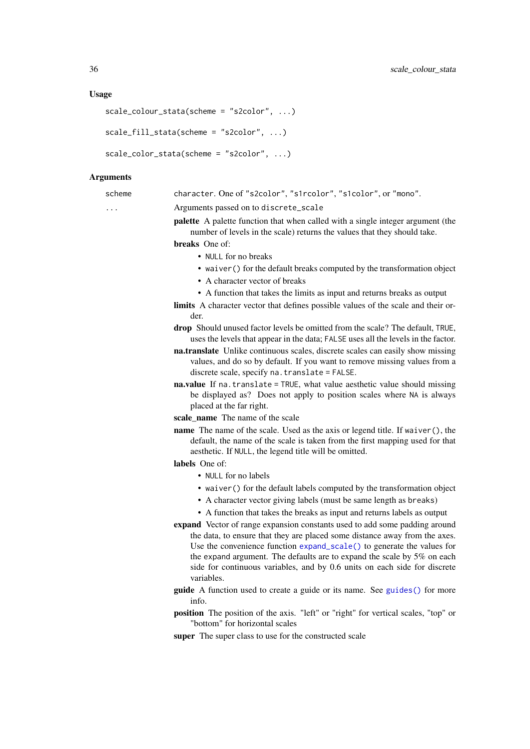#### Usage

```
scale_colour_stata(scheme = "s2color", ...)
```

```
scale_fill_stata(scheme = "s2color", ...)
```

```
scale_color_stata(scheme = "s2color", ...)
```
#### Arguments

scheme character. One of "s2color", "s1rcolor", "s1color", or "mono".

... Arguments passed on to discrete\_scale

palette A palette function that when called with a single integer argument (the number of levels in the scale) returns the values that they should take.

breaks One of:

- NULL for no breaks
- waiver() for the default breaks computed by the transformation object
- A character vector of breaks
- A function that takes the limits as input and returns breaks as output
- limits A character vector that defines possible values of the scale and their order.
- drop Should unused factor levels be omitted from the scale? The default, TRUE, uses the levels that appear in the data; FALSE uses all the levels in the factor.
- na.translate Unlike continuous scales, discrete scales can easily show missing values, and do so by default. If you want to remove missing values from a discrete scale, specify na.translate = FALSE.
- na.value If na.translate = TRUE, what value aesthetic value should missing be displayed as? Does not apply to position scales where NA is always placed at the far right.
- scale name The name of the scale
- name The name of the scale. Used as the axis or legend title. If waiver(), the default, the name of the scale is taken from the first mapping used for that aesthetic. If NULL, the legend title will be omitted.

labels One of:

- NULL for no labels
- waiver() for the default labels computed by the transformation object
- A character vector giving labels (must be same length as breaks)
- A function that takes the breaks as input and returns labels as output
- expand Vector of range expansion constants used to add some padding around the data, to ensure that they are placed some distance away from the axes. Use the convenience function [expand\\_scale\(\)](#page-0-0) to generate the values for the expand argument. The defaults are to expand the scale by 5% on each side for continuous variables, and by 0.6 units on each side for discrete variables.
- guide A function used to create a guide or its name. See [guides\(\)](#page-0-0) for more info.
- position The position of the axis. "left" or "right" for vertical scales, "top" or "bottom" for horizontal scales
- super The super class to use for the constructed scale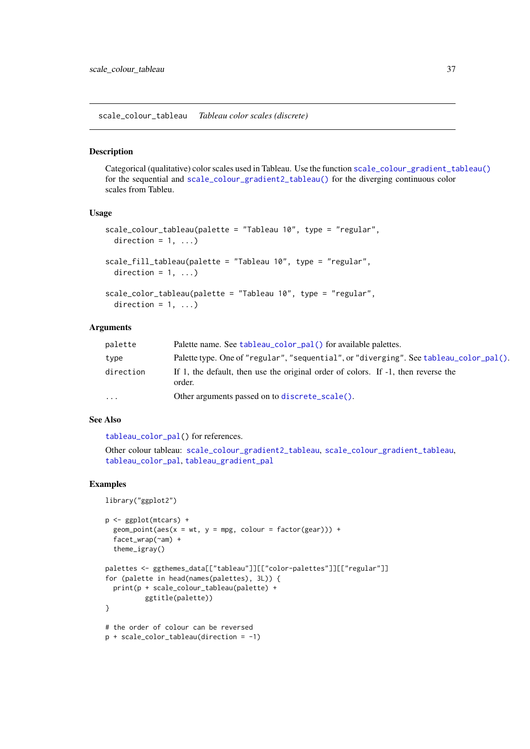<span id="page-36-0"></span>scale\_colour\_tableau *Tableau color scales (discrete)*

### Description

Categorical (qualitative) color scales used in Tableau. Use the function [scale\\_colour\\_gradient\\_tableau\(\)](#page-30-0) for the sequential and [scale\\_colour\\_gradient2\\_tableau\(\)](#page-29-0) for the diverging continuous color scales from Tableu.

### Usage

```
scale_colour_tableau(palette = "Tableau 10", type = "regular",
 direction = 1, ...)
scale_fill_tableau(palette = "Tableau 10", type = "regular",
 direction = 1, ...)
scale_color_tableau(palette = "Tableau 10", type = "regular",
```

```
direction = 1, ...)
```
# Arguments

| palette   | Palette name. See tableau_color_pal() for available palettes.                               |  |
|-----------|---------------------------------------------------------------------------------------------|--|
| type      | Palette type. One of "regular", "sequential", or "diverging". See tableau_color_pal().      |  |
| direction | If 1, the default, then use the original order of colors. If -1, then reverse the<br>order. |  |
| $\ddots$  | Other arguments passed on to discrete_scale().                                              |  |

# See Also

[tableau\\_color\\_pal\(](#page-57-0)) for references.

```
Other colour tableau: scale_colour_gradient2_tableau, scale_colour_gradient_tableau,
tableau_color_pal, tableau_gradient_pal
```
### Examples

library("ggplot2")

```
p <- ggplot(mtcars) +
  geom\_point(aes(x = wt, y = mpg, colour = factor(gear))) +facet_wrap(~am) +
  theme_igray()
palettes <- ggthemes_data[["tableau"]][["color-palettes"]][["regular"]]
for (palette in head(names(palettes), 3L)) {
  print(p + scale_colour_tableau(palette) +
          ggtitle(palette))
}
# the order of colour can be reversed
p + scale_color_tableau(direction = -1)
```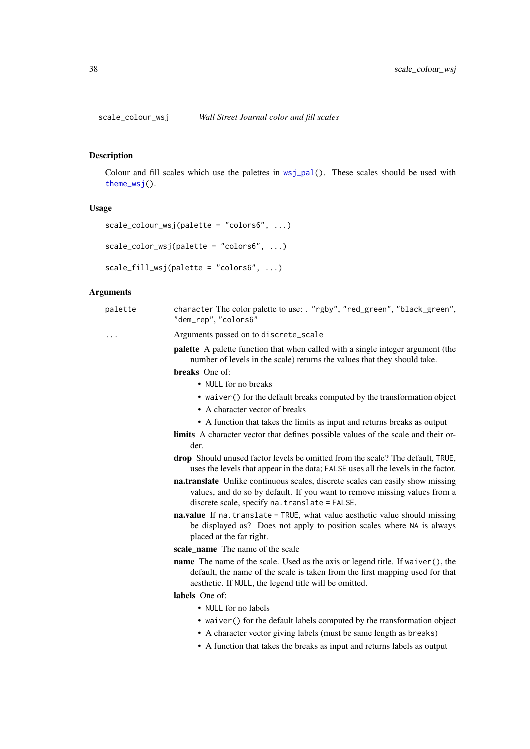# Description

Colour and fill scales which use the palettes in [wsj\\_pal\(](#page-78-0)). These scales should be used with [theme\\_wsj\(](#page-76-0)).

# Usage

```
scale_colour_wsj(palette = "colors6", ...)
```

```
scale_color_wsj(palette = "colors6", ...)
```

```
scale_fill\_wsj(palette = "colors6", ...)
```

| palette | character The color palette to use: . "rgby", "red_green", "black_green",<br>"dem_rep", "colors6"                                                                                                                              |
|---------|--------------------------------------------------------------------------------------------------------------------------------------------------------------------------------------------------------------------------------|
| .       | Arguments passed on to discrete_scale                                                                                                                                                                                          |
|         | <b>palette</b> A palette function that when called with a single integer argument (the<br>number of levels in the scale) returns the values that they should take.                                                             |
|         | breaks One of:                                                                                                                                                                                                                 |
|         | • NULL for no breaks                                                                                                                                                                                                           |
|         | • waiver () for the default breaks computed by the transformation object<br>• A character vector of breaks                                                                                                                     |
|         | • A function that takes the limits as input and returns breaks as output                                                                                                                                                       |
|         | <b>limits</b> A character vector that defines possible values of the scale and their or-<br>der.                                                                                                                               |
|         | drop Should unused factor levels be omitted from the scale? The default, TRUE,<br>uses the levels that appear in the data; FALSE uses all the levels in the factor.                                                            |
|         | na.translate Unlike continuous scales, discrete scales can easily show missing<br>values, and do so by default. If you want to remove missing values from a<br>discrete scale, specify na. translate = FALSE.                  |
|         | na.value If na.translate = TRUE, what value aesthetic value should missing<br>be displayed as? Does not apply to position scales where NA is always<br>placed at the far right.                                                |
|         | scale name The name of the scale                                                                                                                                                                                               |
|         | <b>name</b> The name of the scale. Used as the axis or legend title. If waiver(), the<br>default, the name of the scale is taken from the first mapping used for that<br>aesthetic. If NULL, the legend title will be omitted. |
|         | labels One of:                                                                                                                                                                                                                 |
|         | • NULL for no labels                                                                                                                                                                                                           |
|         | • waiver () for the default labels computed by the transformation object                                                                                                                                                       |
|         | • A character vector giving labels (must be same length as breaks)                                                                                                                                                             |
|         | • A function that takes the breaks as input and returns labels as output                                                                                                                                                       |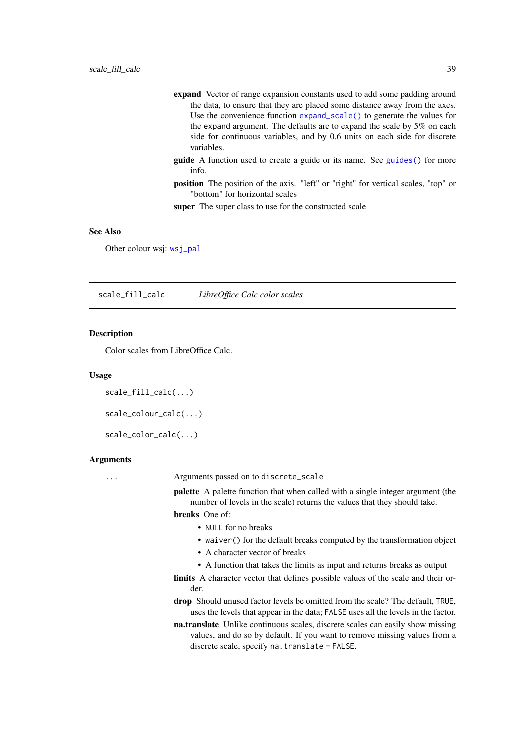- expand Vector of range expansion constants used to add some padding around the data, to ensure that they are placed some distance away from the axes. Use the convenience function [expand\\_scale\(\)](#page-0-0) to generate the values for the expand argument. The defaults are to expand the scale by 5% on each side for continuous variables, and by 0.6 units on each side for discrete variables.
- guide A function used to create a guide or its name. See [guides\(\)](#page-0-0) for more info.
- position The position of the axis. "left" or "right" for vertical scales, "top" or "bottom" for horizontal scales

super The super class to use for the constructed scale

## See Also

Other colour wsj: [wsj\\_pal](#page-78-0)

scale\_fill\_calc *LibreOffice Calc color scales*

### Description

Color scales from LibreOffice Calc.

# Usage

scale\_fill\_calc(...)

scale\_colour\_calc(...)

scale\_color\_calc(...)

### Arguments

... Arguments passed on to discrete\_scale

palette A palette function that when called with a single integer argument (the number of levels in the scale) returns the values that they should take.

breaks One of:

- NULL for no breaks
- waiver() for the default breaks computed by the transformation object
- A character vector of breaks
- A function that takes the limits as input and returns breaks as output
- limits A character vector that defines possible values of the scale and their order.
- drop Should unused factor levels be omitted from the scale? The default, TRUE, uses the levels that appear in the data; FALSE uses all the levels in the factor.
- na.translate Unlike continuous scales, discrete scales can easily show missing values, and do so by default. If you want to remove missing values from a discrete scale, specify na.translate = FALSE.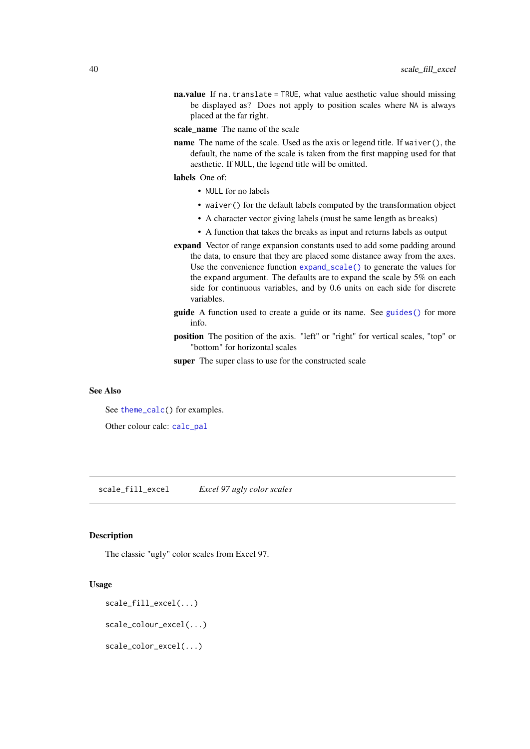- na.value If na.translate = TRUE, what value aesthetic value should missing be displayed as? Does not apply to position scales where NA is always placed at the far right.
- scale\_name The name of the scale
- name The name of the scale. Used as the axis or legend title. If waiver(), the default, the name of the scale is taken from the first mapping used for that aesthetic. If NULL, the legend title will be omitted.
- labels One of:
	- NULL for no labels
	- waiver() for the default labels computed by the transformation object
	- A character vector giving labels (must be same length as breaks)
	- A function that takes the breaks as input and returns labels as output
- expand Vector of range expansion constants used to add some padding around the data, to ensure that they are placed some distance away from the axes. Use the convenience function [expand\\_scale\(\)](#page-0-0) to generate the values for the expand argument. The defaults are to expand the scale by 5% on each side for continuous variables, and by 0.6 units on each side for discrete variables.
- guide A function used to create a guide or its name. See [guides\(\)](#page-0-0) for more info.
- position The position of the axis. "left" or "right" for vertical scales, "top" or "bottom" for horizontal scales
- super The super class to use for the constructed scale

### See Also

See [theme\\_calc\(](#page-61-0)) for examples.

Other colour calc: [calc\\_pal](#page-4-0)

scale\_fill\_excel *Excel 97 ugly color scales*

### <span id="page-39-0"></span>Description

The classic "ugly" color scales from Excel 97.

## Usage

```
scale_fill_excel(...)
```
scale\_colour\_excel(...)

scale\_color\_excel(...)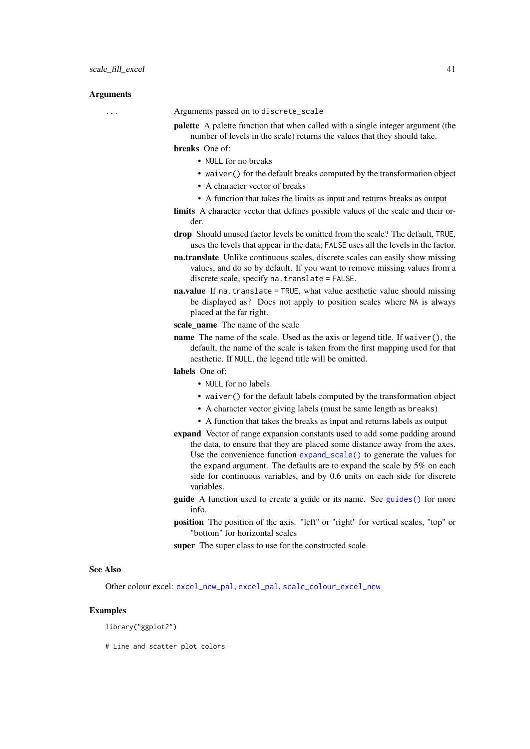## Arguments

... Arguments passed on to discrete\_scale

palette A palette function that when called with a single integer argument (the number of levels in the scale) returns the values that they should take.

breaks One of:

- NULL for no breaks
- waiver() for the default breaks computed by the transformation object
- A character vector of breaks
- A function that takes the limits as input and returns breaks as output

limits A character vector that defines possible values of the scale and their order.

- drop Should unused factor levels be omitted from the scale? The default, TRUE, uses the levels that appear in the data; FALSE uses all the levels in the factor.
- na.translate Unlike continuous scales, discrete scales can easily show missing values, and do so by default. If you want to remove missing values from a discrete scale, specify na.translate = FALSE.

na.value If na.translate = TRUE, what value aesthetic value should missing be displayed as? Does not apply to position scales where NA is always placed at the far right.

- scale name The name of the scale
- name The name of the scale. Used as the axis or legend title. If waiver(), the default, the name of the scale is taken from the first mapping used for that aesthetic. If NULL, the legend title will be omitted.

labels One of:

- NULL for no labels
- waiver() for the default labels computed by the transformation object
- A character vector giving labels (must be same length as breaks)
- A function that takes the breaks as input and returns labels as output
- expand Vector of range expansion constants used to add some padding around the data, to ensure that they are placed some distance away from the axes. Use the convenience function [expand\\_scale\(\)](#page-0-0) to generate the values for the expand argument. The defaults are to expand the scale by 5% on each side for continuous variables, and by 0.6 units on each side for discrete variables.
- guide A function used to create a guide or its name. See [guides\(\)](#page-0-0) for more info.
- position The position of the axis. "left" or "right" for vertical scales, "top" or "bottom" for horizontal scales

super The super class to use for the constructed scale

## See Also

Other colour excel: [excel\\_new\\_pal](#page-11-0), [excel\\_pal](#page-12-0), [scale\\_colour\\_excel\\_new](#page-24-0)

#### Examples

library("ggplot2")

# Line and scatter plot colors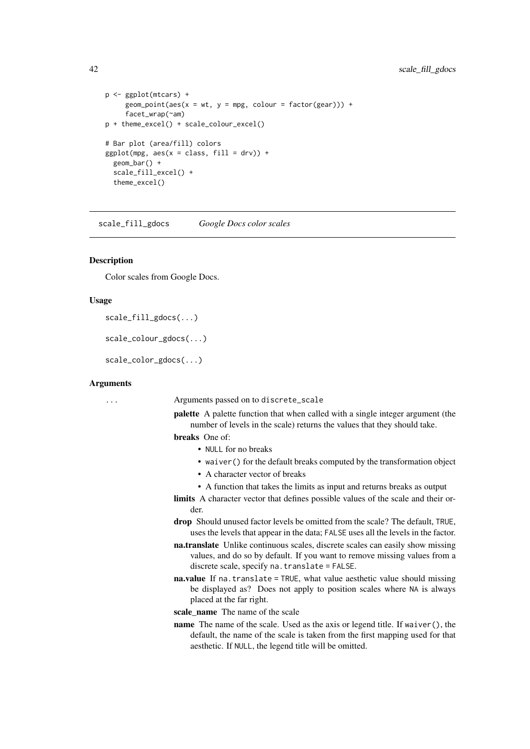```
p <- ggplot(mtcars) +
     geom\_point(aes(x = wt, y = mpg, colour = factor(gear))) +facet_wrap(~am)
p + theme_excel() + scale_colour_excel()
# Bar plot (area/fill) colors
ggplot(mpg, aes(x = class, fill = dry)) +geom_bar() +
  scale_fill_excel() +
  theme excel()
```
scale\_fill\_gdocs *Google Docs color scales*

### Description

Color scales from Google Docs.

## Usage

```
scale_fill_gdocs(...)
```

```
scale_colour_gdocs(...)
```
scale\_color\_gdocs(...)

### Arguments

... Arguments passed on to discrete\_scale

palette A palette function that when called with a single integer argument (the number of levels in the scale) returns the values that they should take.

### breaks One of:

- NULL for no breaks
- waiver() for the default breaks computed by the transformation object
- A character vector of breaks
- A function that takes the limits as input and returns breaks as output
- limits A character vector that defines possible values of the scale and their order.
- drop Should unused factor levels be omitted from the scale? The default, TRUE, uses the levels that appear in the data; FALSE uses all the levels in the factor.
- na.translate Unlike continuous scales, discrete scales can easily show missing values, and do so by default. If you want to remove missing values from a discrete scale, specify na.translate = FALSE.
- na.value If na.translate = TRUE, what value aesthetic value should missing be displayed as? Does not apply to position scales where NA is always placed at the far right.
- scale name The name of the scale
- name The name of the scale. Used as the axis or legend title. If waiver(), the default, the name of the scale is taken from the first mapping used for that aesthetic. If NULL, the legend title will be omitted.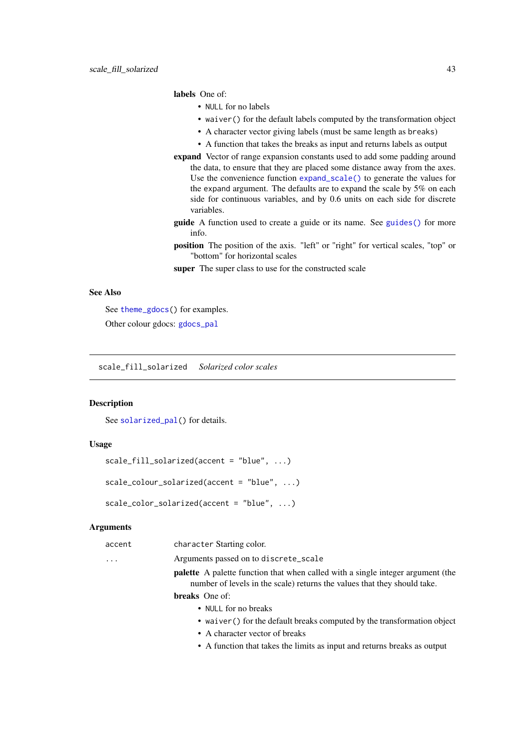# labels One of:

- NULL for no labels
- waiver() for the default labels computed by the transformation object
- A character vector giving labels (must be same length as breaks)
- A function that takes the breaks as input and returns labels as output
- expand Vector of range expansion constants used to add some padding around the data, to ensure that they are placed some distance away from the axes. Use the convenience function [expand\\_scale\(\)](#page-0-0) to generate the values for the expand argument. The defaults are to expand the scale by 5% on each side for continuous variables, and by 0.6 units on each side for discrete variables.
- guide A function used to create a guide or its name. See [guides\(\)](#page-0-0) for more info.
- position The position of the axis. "left" or "right" for vertical scales, "top" or "bottom" for horizontal scales

super The super class to use for the constructed scale

# See Also

See [theme\\_gdocs\(](#page-68-0)) for examples.

Other colour gdocs: [gdocs\\_pal](#page-15-0)

<span id="page-42-0"></span>scale\_fill\_solarized *Solarized color scales*

## Description

See [solarized\\_pal\(](#page-54-0)) for details.

# Usage

```
scale_fill_solarized(accent = "blue", ...)
```

```
scale_colour_solarized(accent = "blue", ...)
```

```
scale_color_solarized(accent = "blue", ...)
```

| accent   | character Starting color.                                                                                                                                          |
|----------|--------------------------------------------------------------------------------------------------------------------------------------------------------------------|
| $\cdots$ | Arguments passed on to discrete_scale                                                                                                                              |
|          | <b>palette</b> A palette function that when called with a single integer argument (the<br>number of levels in the scale) returns the values that they should take. |
|          | <b>breaks</b> One of:                                                                                                                                              |
|          |                                                                                                                                                                    |

- NULL for no breaks
- waiver() for the default breaks computed by the transformation object
- A character vector of breaks
- A function that takes the limits as input and returns breaks as output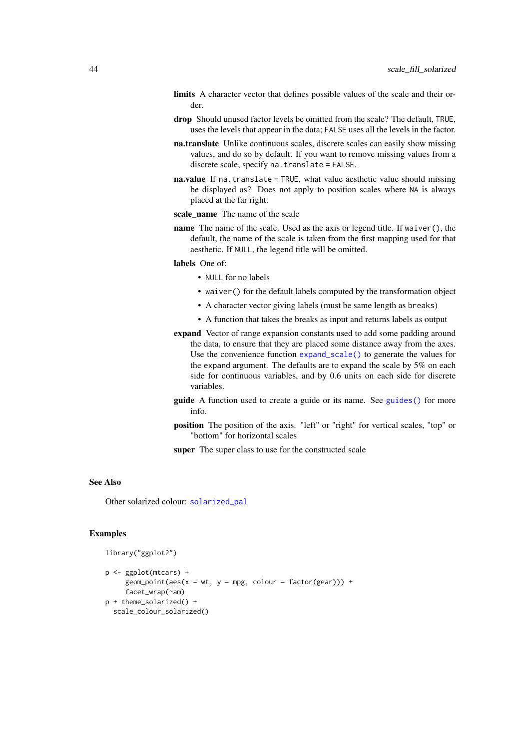- limits A character vector that defines possible values of the scale and their order.
- drop Should unused factor levels be omitted from the scale? The default, TRUE, uses the levels that appear in the data; FALSE uses all the levels in the factor.
- na.translate Unlike continuous scales, discrete scales can easily show missing values, and do so by default. If you want to remove missing values from a discrete scale, specify na.translate = FALSE.
- na.value If na.translate = TRUE, what value aesthetic value should missing be displayed as? Does not apply to position scales where NA is always placed at the far right.
- scale name The name of the scale
- name The name of the scale. Used as the axis or legend title. If waiver(), the default, the name of the scale is taken from the first mapping used for that aesthetic. If NULL, the legend title will be omitted.
- labels One of:
	- NULL for no labels
	- waiver() for the default labels computed by the transformation object
	- A character vector giving labels (must be same length as breaks)
	- A function that takes the breaks as input and returns labels as output
- expand Vector of range expansion constants used to add some padding around the data, to ensure that they are placed some distance away from the axes. Use the convenience function [expand\\_scale\(\)](#page-0-0) to generate the values for the expand argument. The defaults are to expand the scale by 5% on each side for continuous variables, and by 0.6 units on each side for discrete variables.
- guide A function used to create a guide or its name. See [guides\(\)](#page-0-0) for more info.
- position The position of the axis. "left" or "right" for vertical scales, "top" or "bottom" for horizontal scales

super The super class to use for the constructed scale

# See Also

Other solarized colour: [solarized\\_pal](#page-54-0)

### Examples

library("ggplot2")

```
p <- ggplot(mtcars) +
     geom\_point(aes(x = wt, y = mpg, colour = factor(gear))) +facet wrap(~am)
p + theme_solarized() +
  scale_colour_solarized()
```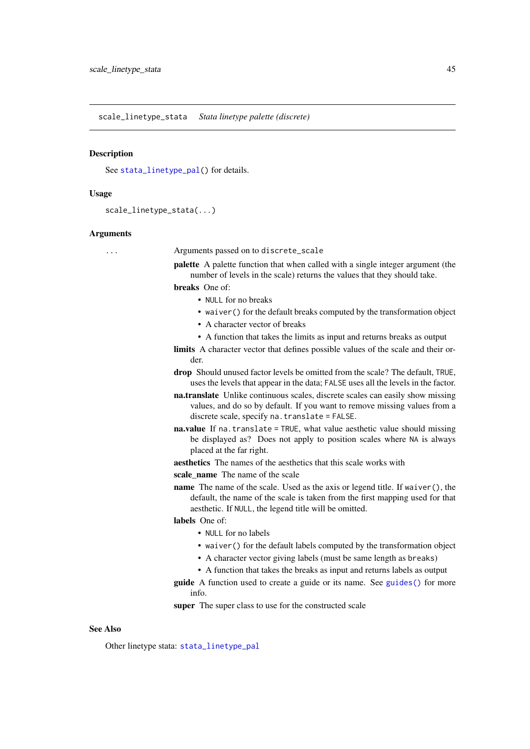<span id="page-44-0"></span>scale\_linetype\_stata *Stata linetype palette (discrete)*

### Description

See [stata\\_linetype\\_pal\(](#page-55-0)) for details.

### Usage

```
scale_linetype_stata(...)
```
#### Arguments

... Arguments passed on to discrete\_scale

palette A palette function that when called with a single integer argument (the number of levels in the scale) returns the values that they should take.

breaks One of:

- NULL for no breaks
- waiver() for the default breaks computed by the transformation object
- A character vector of breaks
- A function that takes the limits as input and returns breaks as output

limits A character vector that defines possible values of the scale and their order.

- drop Should unused factor levels be omitted from the scale? The default, TRUE, uses the levels that appear in the data; FALSE uses all the levels in the factor.
- na.translate Unlike continuous scales, discrete scales can easily show missing values, and do so by default. If you want to remove missing values from a discrete scale, specify na.translate = FALSE.
- na.value If na.translate = TRUE, what value aesthetic value should missing be displayed as? Does not apply to position scales where NA is always placed at the far right.

aesthetics The names of the aesthetics that this scale works with

scale name The name of the scale

name The name of the scale. Used as the axis or legend title. If waiver(), the default, the name of the scale is taken from the first mapping used for that aesthetic. If NULL, the legend title will be omitted.

## labels One of:

- NULL for no labels
- waiver() for the default labels computed by the transformation object
- A character vector giving labels (must be same length as breaks)
- A function that takes the breaks as input and returns labels as output
- guide A function used to create a guide or its name. See [guides\(\)](#page-0-0) for more info.

super The super class to use for the constructed scale

## See Also

Other linetype stata: [stata\\_linetype\\_pal](#page-55-0)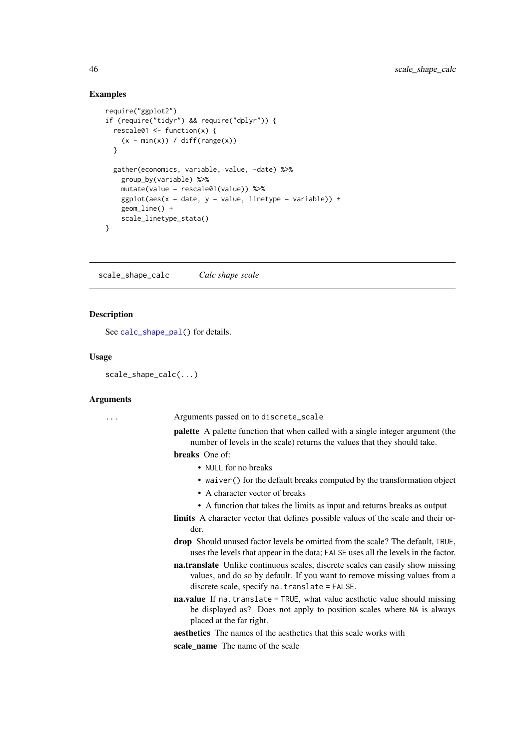### Examples

```
require("ggplot2")
if (require("tidyr") && require("dplyr")) {
  rescale01 <- function(x) {
   (x - min(x)) / diff(range(x))}
  gather(economics, variable, value, -date) %>%
   group_by(variable) %>%
   mutate(value = rescale01(value)) %>%
   ggplot(aes(x = date, y = value, linetype = variable)) +geom_line() +
   scale_linetype_stata()
}
```
scale\_shape\_calc *Calc shape scale*

### Description

See [calc\\_shape\\_pal\(](#page-5-0)) for details.

### Usage

```
scale_shape_calc(...)
```
### Arguments

... Arguments passed on to discrete\_scale

palette A palette function that when called with a single integer argument (the number of levels in the scale) returns the values that they should take.

#### breaks One of:

- NULL for no breaks
- waiver() for the default breaks computed by the transformation object
- A character vector of breaks
- A function that takes the limits as input and returns breaks as output
- limits A character vector that defines possible values of the scale and their order.
- drop Should unused factor levels be omitted from the scale? The default, TRUE, uses the levels that appear in the data; FALSE uses all the levels in the factor.
- na.translate Unlike continuous scales, discrete scales can easily show missing values, and do so by default. If you want to remove missing values from a discrete scale, specify na.translate = FALSE.
- na.value If na.translate = TRUE, what value aesthetic value should missing be displayed as? Does not apply to position scales where NA is always placed at the far right.

aesthetics The names of the aesthetics that this scale works with

scale\_name The name of the scale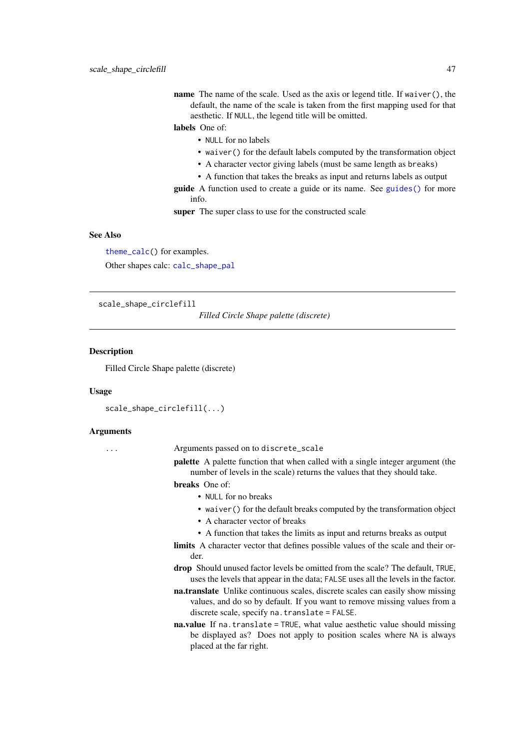name The name of the scale. Used as the axis or legend title. If waiver(), the default, the name of the scale is taken from the first mapping used for that aesthetic. If NULL, the legend title will be omitted.

# labels One of:

- NULL for no labels
- waiver() for the default labels computed by the transformation object
- A character vector giving labels (must be same length as breaks)
- A function that takes the breaks as input and returns labels as output

guide A function used to create a guide or its name. See [guides\(\)](#page-0-0) for more info.

super The super class to use for the constructed scale

### See Also

[theme\\_calc\(](#page-61-0)) for examples. Other shapes calc: [calc\\_shape\\_pal](#page-5-0)

<span id="page-46-0"></span>scale\_shape\_circlefill

*Filled Circle Shape palette (discrete)*

### Description

Filled Circle Shape palette (discrete)

#### Usage

```
scale_shape_circlefill(...)
```
### Arguments

... Arguments passed on to discrete\_scale

palette A palette function that when called with a single integer argument (the number of levels in the scale) returns the values that they should take.

breaks One of:

- NULL for no breaks
	- waiver() for the default breaks computed by the transformation object
	- A character vector of breaks
	- A function that takes the limits as input and returns breaks as output
- limits A character vector that defines possible values of the scale and their order.
- drop Should unused factor levels be omitted from the scale? The default, TRUE, uses the levels that appear in the data; FALSE uses all the levels in the factor.
- na.translate Unlike continuous scales, discrete scales can easily show missing values, and do so by default. If you want to remove missing values from a discrete scale, specify na.translate = FALSE.
- na.value If na.translate = TRUE, what value aesthetic value should missing be displayed as? Does not apply to position scales where NA is always placed at the far right.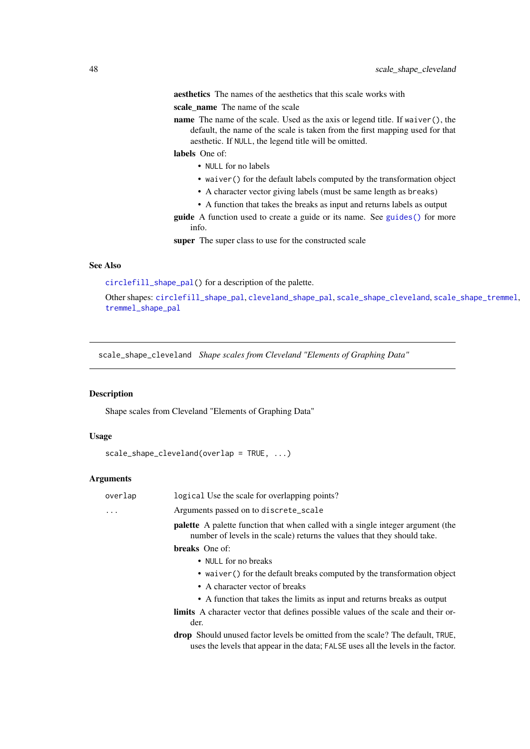aesthetics The names of the aesthetics that this scale works with

scale name The name of the scale

name The name of the scale. Used as the axis or legend title. If waiver(), the default, the name of the scale is taken from the first mapping used for that aesthetic. If NULL, the legend title will be omitted.

labels One of:

- NULL for no labels
- waiver() for the default labels computed by the transformation object
- A character vector giving labels (must be same length as breaks)
- A function that takes the breaks as input and returns labels as output
- guide A function used to create a guide or its name. See [guides\(\)](#page-0-0) for more info.

super The super class to use for the constructed scale

## See Also

[circlefill\\_shape\\_pal\(](#page-7-0)) for a description of the palette.

Other shapes: [circlefill\\_shape\\_pal](#page-7-0), [cleveland\\_shape\\_pal](#page-8-0), [scale\\_shape\\_cleveland](#page-47-0), [scale\\_shape\\_tremmel](#page-51-0), [tremmel\\_shape\\_pal](#page-77-0)

<span id="page-47-0"></span>scale\_shape\_cleveland *Shape scales from Cleveland "Elements of Graphing Data"*

## Description

Shape scales from Cleveland "Elements of Graphing Data"

## Usage

```
scale_shape_cleveland(overlap = TRUE, ...)
```

| overlap | logical Use the scale for overlapping points?                                                                                                                              |
|---------|----------------------------------------------------------------------------------------------------------------------------------------------------------------------------|
| .       | Arguments passed on to discrete_scale                                                                                                                                      |
|         | <b>palette</b> A palette function that when called with a single integer argument (the<br>number of levels in the scale) returns the values that they should take.         |
|         | <b>breaks</b> One of:                                                                                                                                                      |
|         | • NULL for no breaks                                                                                                                                                       |
|         | • waiver () for the default breaks computed by the transformation object                                                                                                   |
|         | • A character vector of breaks                                                                                                                                             |
|         | • A function that takes the limits as input and returns breaks as output                                                                                                   |
|         | <b>limits</b> A character vector that defines possible values of the scale and their or-<br>der.                                                                           |
|         | <b>drop</b> Should unused factor levels be omitted from the scale? The default, TRUE,<br>uses the levels that appear in the data; FALSE uses all the levels in the factor. |
|         |                                                                                                                                                                            |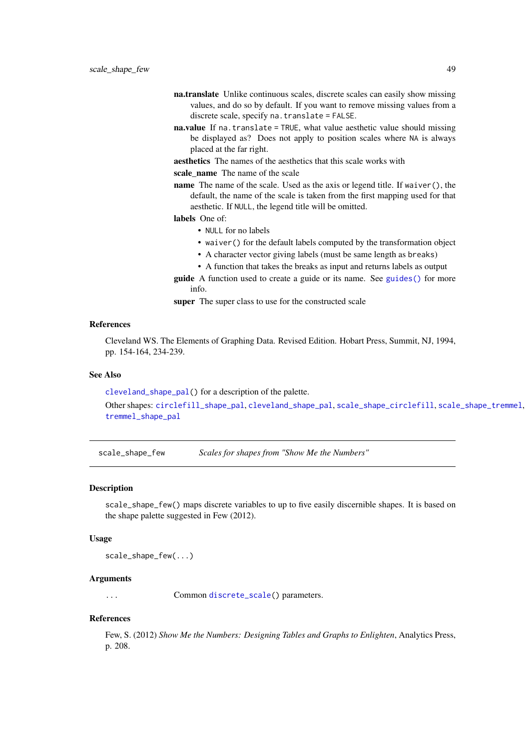- na.translate Unlike continuous scales, discrete scales can easily show missing values, and do so by default. If you want to remove missing values from a discrete scale, specify na.translate = FALSE.
- na.value If na.translate = TRUE, what value aesthetic value should missing be displayed as? Does not apply to position scales where NA is always placed at the far right.

aesthetics The names of the aesthetics that this scale works with

scale name The name of the scale

name The name of the scale. Used as the axis or legend title. If waiver(), the default, the name of the scale is taken from the first mapping used for that aesthetic. If NULL, the legend title will be omitted.

labels One of:

- NULL for no labels
- waiver() for the default labels computed by the transformation object
- A character vector giving labels (must be same length as breaks)
- A function that takes the breaks as input and returns labels as output
- guide A function used to create a guide or its name. See [guides\(\)](#page-0-0) for more info.

super The super class to use for the constructed scale

### References

Cleveland WS. The Elements of Graphing Data. Revised Edition. Hobart Press, Summit, NJ, 1994, pp. 154-164, 234-239.

### See Also

[cleveland\\_shape\\_pal\(](#page-8-0)) for a description of the palette.

Other shapes: [circlefill\\_shape\\_pal](#page-7-0), [cleveland\\_shape\\_pal](#page-8-0), [scale\\_shape\\_circlefill](#page-46-0), [scale\\_shape\\_tremmel](#page-51-0), [tremmel\\_shape\\_pal](#page-77-0)

<span id="page-48-0"></span>scale\_shape\_few *Scales for shapes from "Show Me the Numbers"*

#### Description

scale\_shape\_few() maps discrete variables to up to five easily discernible shapes. It is based on the shape palette suggested in Few (2012).

### Usage

scale\_shape\_few(...)

### Arguments

... Common [discrete\\_scale\(](#page-0-0)) parameters.

### References

Few, S. (2012) *Show Me the Numbers: Designing Tables and Graphs to Enlighten*, Analytics Press, p. 208.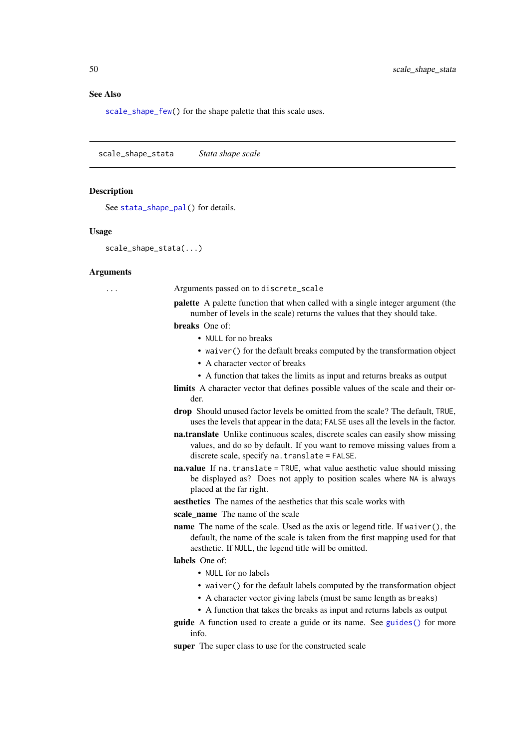### See Also

[scale\\_shape\\_few\(](#page-48-0)) for the shape palette that this scale uses.

<span id="page-49-0"></span>scale\_shape\_stata *Stata shape scale*

### Description

See [stata\\_shape\\_pal\(](#page-56-0)) for details.

### Usage

```
scale_shape_stata(...)
```
#### Arguments

... Arguments passed on to discrete\_scale

palette A palette function that when called with a single integer argument (the number of levels in the scale) returns the values that they should take.

breaks One of:

- NULL for no breaks
- waiver() for the default breaks computed by the transformation object
- A character vector of breaks
- A function that takes the limits as input and returns breaks as output
- limits A character vector that defines possible values of the scale and their order.
- drop Should unused factor levels be omitted from the scale? The default, TRUE, uses the levels that appear in the data; FALSE uses all the levels in the factor.
- na.translate Unlike continuous scales, discrete scales can easily show missing values, and do so by default. If you want to remove missing values from a discrete scale, specify na.translate = FALSE.
- na.value If na.translate = TRUE, what value aesthetic value should missing be displayed as? Does not apply to position scales where NA is always placed at the far right.
- aesthetics The names of the aesthetics that this scale works with

scale name The name of the scale

name The name of the scale. Used as the axis or legend title. If waiver(), the default, the name of the scale is taken from the first mapping used for that aesthetic. If NULL, the legend title will be omitted.

# labels One of:

- NULL for no labels
- waiver() for the default labels computed by the transformation object
- A character vector giving labels (must be same length as breaks)
- A function that takes the breaks as input and returns labels as output
- guide A function used to create a guide or its name. See [guides\(\)](#page-0-0) for more info.

super The super class to use for the constructed scale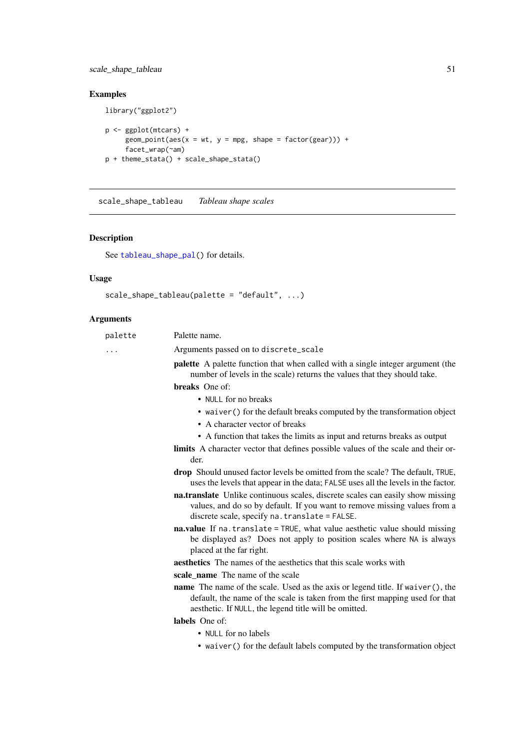# scale\_shape\_tableau 51

# Examples

library("ggplot2")

```
p <- ggplot(mtcars) +
     geom_point(aes(x = wt, y = mpg, shape = factor(gear))) +
     facet_wrap(~am)
p + theme_stata() + scale_shape_stata()
```
<span id="page-50-0"></span>scale\_shape\_tableau *Tableau shape scales*

# Description

See [tableau\\_shape\\_pal\(](#page-60-0)) for details.

# Usage

```
scale_shape_tableau(palette = "default", ...)
```

| palette | Palette name.                                                                                                                                                                                                                  |
|---------|--------------------------------------------------------------------------------------------------------------------------------------------------------------------------------------------------------------------------------|
| .       | Arguments passed on to discrete_scale                                                                                                                                                                                          |
|         | <b>palette</b> A palette function that when called with a single integer argument (the<br>number of levels in the scale) returns the values that they should take.                                                             |
|         | breaks One of:                                                                                                                                                                                                                 |
|         | • NULL for no breaks                                                                                                                                                                                                           |
|         | • waiver () for the default breaks computed by the transformation object                                                                                                                                                       |
|         | • A character vector of breaks                                                                                                                                                                                                 |
|         | • A function that takes the limits as input and returns breaks as output                                                                                                                                                       |
|         | <b>limits</b> A character vector that defines possible values of the scale and their or-<br>der.                                                                                                                               |
|         | <b>drop</b> Should unused factor levels be omitted from the scale? The default, TRUE,<br>uses the levels that appear in the data; FALSE uses all the levels in the factor.                                                     |
|         | na.translate Unlike continuous scales, discrete scales can easily show missing<br>values, and do so by default. If you want to remove missing values from a<br>discrete scale, specify na. translate = FALSE.                  |
|         | na.value If na.translate = TRUE, what value aesthetic value should missing<br>be displayed as? Does not apply to position scales where NA is always<br>placed at the far right.                                                |
|         | <b>aesthetics</b> The names of the aesthetics that this scale works with                                                                                                                                                       |
|         | scale name The name of the scale                                                                                                                                                                                               |
|         | <b>name</b> The name of the scale. Used as the axis or legend title. If waiver(), the<br>default, the name of the scale is taken from the first mapping used for that<br>aesthetic. If NULL, the legend title will be omitted. |
|         | labels One of:                                                                                                                                                                                                                 |
|         | • NULL for no labels                                                                                                                                                                                                           |
|         | • waiver () for the default labels computed by the transformation object                                                                                                                                                       |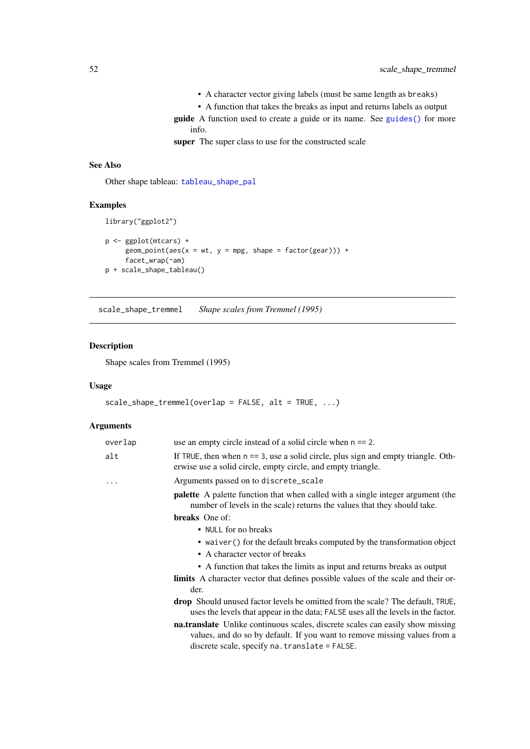- A character vector giving labels (must be same length as breaks)
- A function that takes the breaks as input and returns labels as output
- guide A function used to create a guide or its name. See [guides\(\)](#page-0-0) for more info.

super The super class to use for the constructed scale

## See Also

Other shape tableau: [tableau\\_shape\\_pal](#page-60-0)

# Examples

```
library("ggplot2")
```

```
p <- ggplot(mtcars) +
     geom\_point(aes(x = wt, y = mp, shape = factor(gear))) +facet_wrap(~am)
p + scale_shape_tableau()
```
<span id="page-51-0"></span>scale\_shape\_tremmel *Shape scales from Tremmel (1995)*

# Description

Shape scales from Tremmel (1995)

# Usage

```
scale\_shape\_tremmel(overlap = FALSE, alt = TRUE, ...)
```

| overlap | use an empty circle instead of a solid circle when $n == 2$ .                                                                                                                                                         |
|---------|-----------------------------------------------------------------------------------------------------------------------------------------------------------------------------------------------------------------------|
| alt     | If TRUE, then when $n = 3$ , use a solid circle, plus sign and empty triangle. Oth-<br>erwise use a solid circle, empty circle, and empty triangle.                                                                   |
| .       | Arguments passed on to discrete_scale                                                                                                                                                                                 |
|         | <b>palette</b> A palette function that when called with a single integer argument (the<br>number of levels in the scale) returns the values that they should take.                                                    |
|         | <b>breaks</b> One of:                                                                                                                                                                                                 |
|         | • NULL for no breaks                                                                                                                                                                                                  |
|         | • waiver () for the default breaks computed by the transformation object                                                                                                                                              |
|         | • A character vector of breaks                                                                                                                                                                                        |
|         | • A function that takes the limits as input and returns breaks as output                                                                                                                                              |
|         | <b>limits</b> A character vector that defines possible values of the scale and their or-<br>der.                                                                                                                      |
|         | <b>drop</b> Should unused factor levels be omitted from the scale? The default, TRUE,<br>uses the levels that appear in the data; FALSE uses all the levels in the factor.                                            |
|         | <b>nationalistic</b> Unlike continuous scales, discrete scales can easily show missing<br>values, and do so by default. If you want to remove missing values from a<br>discrete scale, specify na. translate = FALSE. |
|         |                                                                                                                                                                                                                       |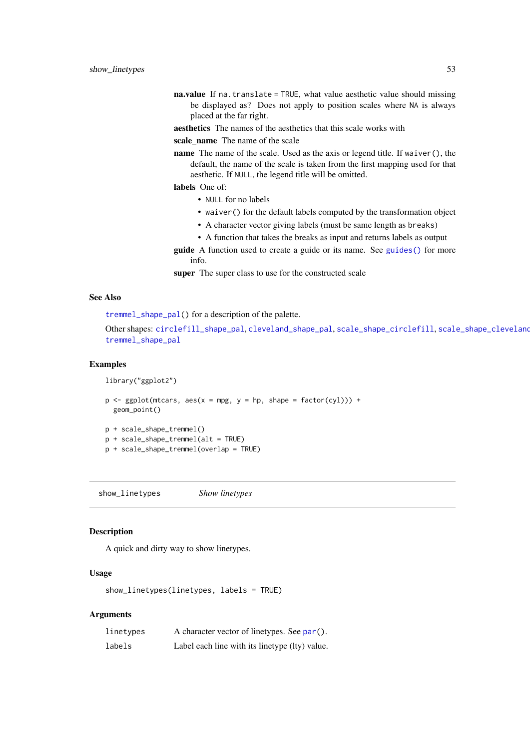- na.value If na.translate = TRUE, what value aesthetic value should missing be displayed as? Does not apply to position scales where NA is always placed at the far right.
- aesthetics The names of the aesthetics that this scale works with

scale name The name of the scale

name The name of the scale. Used as the axis or legend title. If waiver(), the default, the name of the scale is taken from the first mapping used for that aesthetic. If NULL, the legend title will be omitted.

labels One of:

- NULL for no labels
- waiver() for the default labels computed by the transformation object
- A character vector giving labels (must be same length as breaks)
- A function that takes the breaks as input and returns labels as output

guide A function used to create a guide or its name. See [guides\(\)](#page-0-0) for more info.

super The super class to use for the constructed scale

## See Also

[tremmel\\_shape\\_pal\(](#page-77-0)) for a description of the palette.

Other shapes: [circlefill\\_shape\\_pal](#page-7-0), [cleveland\\_shape\\_pal](#page-8-0), [scale\\_shape\\_circlefill](#page-46-0), [scale\\_shape\\_cleveland](#page-47-0) [tremmel\\_shape\\_pal](#page-77-0)

### Examples

library("ggplot2")

```
p \leftarrow ggplot(mtcars, aes(x = mpg, y = hp, shape = factor(cyl))) +geom_point()
```
p + scale\_shape\_tremmel()

```
p + scale_shape_tremmel(alt = TRUE)
```
p + scale\_shape\_tremmel(overlap = TRUE)

<span id="page-52-0"></span>show\_linetypes *Show linetypes*

## **Description**

A quick and dirty way to show linetypes.

### Usage

show\_linetypes(linetypes, labels = TRUE)

| linetypes | A character vector of linetypes. See par().    |
|-----------|------------------------------------------------|
| labels    | Label each line with its linetype (lty) value. |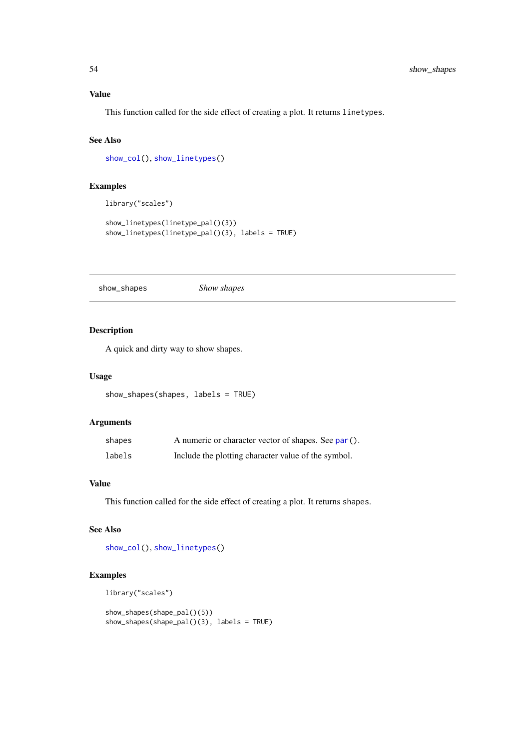### Value

This function called for the side effect of creating a plot. It returns linetypes.

## See Also

[show\\_col\(](#page-0-0)), [show\\_linetypes\(](#page-52-0))

# Examples

library("scales")

```
show_linetypes(linetype_pal()(3))
show_linetypes(linetype_pal()(3), labels = TRUE)
```
show\_shapes *Show shapes*

# Description

A quick and dirty way to show shapes.

## Usage

```
show_shapes(shapes, labels = TRUE)
```
### Arguments

| shapes | A numeric or character vector of shapes. See par(). |
|--------|-----------------------------------------------------|
| labels | Include the plotting character value of the symbol. |

## Value

This function called for the side effect of creating a plot. It returns shapes.

# See Also

[show\\_col\(](#page-0-0)), [show\\_linetypes\(](#page-52-0))

# Examples

```
library("scales")
```

```
show_shapes(shape_pal()(5))
show_shapes(shape_pal()(3), labels = TRUE)
```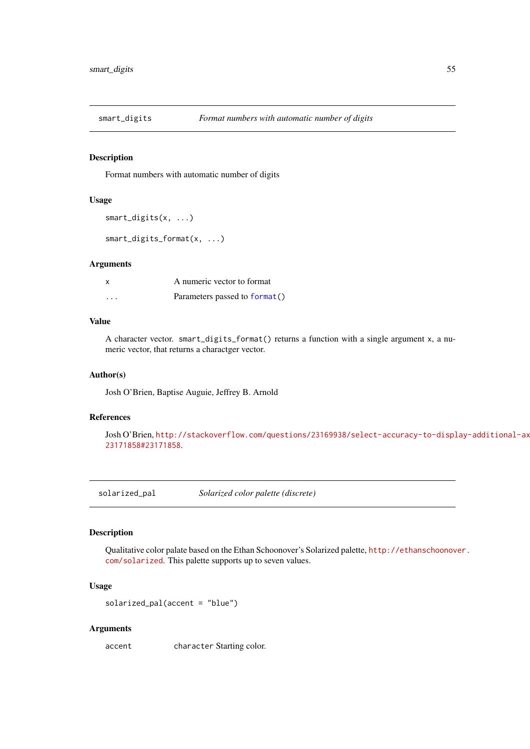### Description

Format numbers with automatic number of digits

## Usage

```
smart_digits(x, ...)
```
smart\_digits\_format(x, ...)

### Arguments

| X        | A numeric vector to format    |
|----------|-------------------------------|
| $\cdots$ | Parameters passed to format() |

### Value

A character vector. smart\_digits\_format() returns a function with a single argument x, a numeric vector, that returns a charactger vector.

# Author(s)

Josh O'Brien, Baptise Auguie, Jeffrey B. Arnold

### References

Josh O'Brien, [http://stackoverflow.com/questions/23169938/select-accuracy-to-displ](http://stackoverflow.com/questions/23169938/select-accuracy-to-display-additional-axis-breaks/23171858#23171858)ay-additional-axis-breaks/ [23171858#23171858](http://stackoverflow.com/questions/23169938/select-accuracy-to-display-additional-axis-breaks/23171858#23171858).

<span id="page-54-0"></span>solarized\_pal *Solarized color palette (discrete)*

# Description

Qualitative color palate based on the Ethan Schoonover's Solarized palette, [http://ethanschoonov](http://ethanschoonover.com/solarized)er. [com/solarized](http://ethanschoonover.com/solarized). This palette supports up to seven values.

### Usage

```
solarized_pal(accent = "blue")
```
# Arguments

accent character Starting color.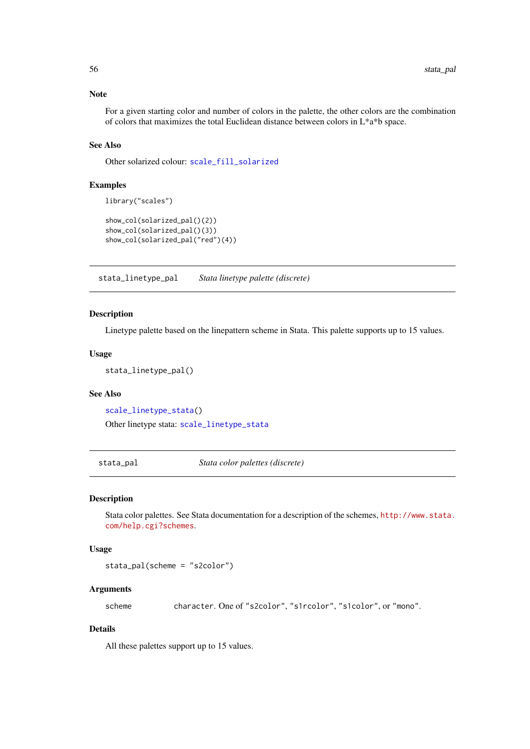### Note

For a given starting color and number of colors in the palette, the other colors are the combination of colors that maximizes the total Euclidean distance between colors in L\*a\*b space.

# See Also

Other solarized colour: [scale\\_fill\\_solarized](#page-42-0)

## Examples

```
library("scales")
show_col(solarized_pal()(2))
show_col(solarized_pal()(3))
show_col(solarized_pal("red")(4))
```
<span id="page-55-0"></span>stata\_linetype\_pal *Stata linetype palette (discrete)*

### Description

Linetype palette based on the linepattern scheme in Stata. This palette supports up to 15 values.

### Usage

```
stata_linetype_pal()
```
## See Also

[scale\\_linetype\\_stata\(](#page-44-0)) Other linetype stata: [scale\\_linetype\\_stata](#page-44-0)

stata\_pal *Stata color palettes (discrete)*

#### Description

Stata color palettes. See Stata documentation for a description of the schemes, [http://www.stata.](http://www.stata.com/help.cgi?schemes) [com/help.cgi?schemes](http://www.stata.com/help.cgi?schemes).

# Usage

stata\_pal(scheme = "s2color")

### Arguments

scheme character. One of "s2color", "s1rcolor", "s1color", or "mono".

# Details

All these palettes support up to 15 values.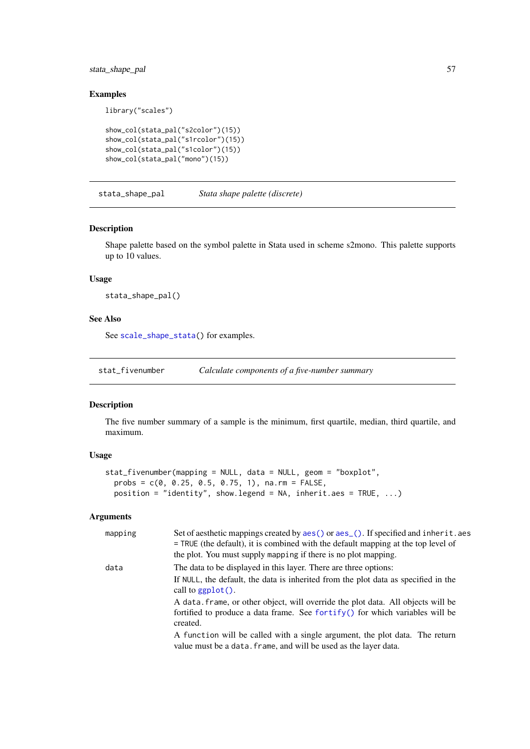### stata\_shape\_pal 57

# Examples

library("scales")

```
show_col(stata_pal("s2color")(15))
show_col(stata_pal("s1rcolor")(15))
show_col(stata_pal("s1color")(15))
show_col(stata_pal("mono")(15))
```
<span id="page-56-0"></span>stata\_shape\_pal *Stata shape palette (discrete)*

# Description

Shape palette based on the symbol palette in Stata used in scheme s2mono. This palette supports up to 10 values.

### Usage

stata\_shape\_pal()

## See Also

See [scale\\_shape\\_stata\(](#page-49-0)) for examples.

stat\_fivenumber *Calculate components of a five-number summary*

## Description

The five number summary of a sample is the minimum, first quartile, median, third quartile, and maximum.

# Usage

```
stat_fivenumber(mapping = NULL, data = NULL, geom = "boxplot",
 probs = c(0, 0.25, 0.5, 0.75, 1), na.rm = FALSE,
 position = "identity", show.legend = NA, inherit.aes = TRUE, \dots)
```

| mapping | Set of aesthetic mappings created by aes () or aes (). If specified and inherit. aes<br>$=$ TRUE (the default), it is combined with the default mapping at the top level of<br>the plot. You must supply mapping if there is no plot mapping. |  |
|---------|-----------------------------------------------------------------------------------------------------------------------------------------------------------------------------------------------------------------------------------------------|--|
| data    | The data to be displayed in this layer. There are three options:                                                                                                                                                                              |  |
|         | If NULL, the default, the data is inherited from the plot data as specified in the<br>call to $ggplot()$ .                                                                                                                                    |  |
|         | A data, frame, or other object, will override the plot data. All objects will be<br>fortified to produce a data frame. See for $\text{trify}()$ for which variables will be<br>created.                                                       |  |
|         | A function will be called with a single argument, the plot data. The return<br>value must be a data. frame, and will be used as the layer data.                                                                                               |  |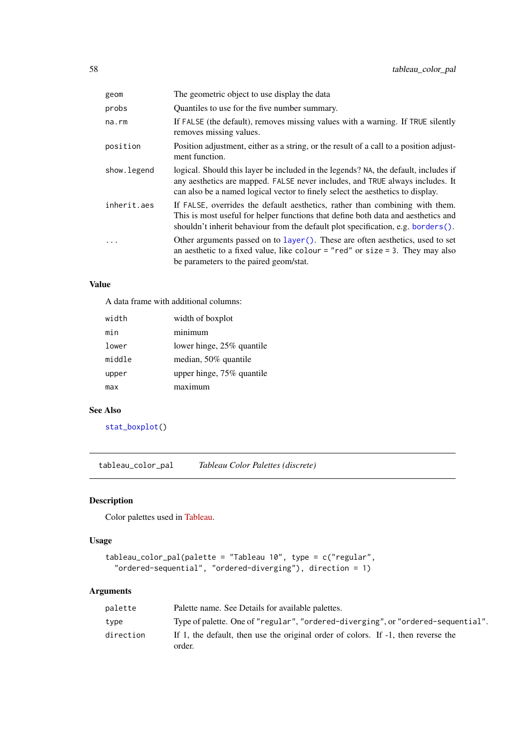| geom        | The geometric object to use display the data                                                                                                                                                                                                              |
|-------------|-----------------------------------------------------------------------------------------------------------------------------------------------------------------------------------------------------------------------------------------------------------|
| probs       | Quantiles to use for the five number summary.                                                                                                                                                                                                             |
| na.rm       | If FALSE (the default), removes missing values with a warning. If TRUE silently<br>removes missing values.                                                                                                                                                |
| position    | Position adjustment, either as a string, or the result of a call to a position adjust-<br>ment function.                                                                                                                                                  |
| show.legend | logical. Should this layer be included in the legends? NA, the default, includes if<br>any aesthetics are mapped. FALSE never includes, and TRUE always includes. It<br>can also be a named logical vector to finely select the aesthetics to display.    |
| inherit.aes | If FALSE, overrides the default aesthetics, rather than combining with them.<br>This is most useful for helper functions that define both data and aesthetics and<br>shouldn't inherit behaviour from the default plot specification, e.g. borders $()$ . |
| .           | Other arguments passed on to layer (). These are often aesthetics, used to set<br>an aesthetic to a fixed value, like colour = "red" or size = 3. They may also<br>be parameters to the paired geom/stat.                                                 |

# Value

A data frame with additional columns:

| width  | width of boxplot          |
|--------|---------------------------|
| min    | minimum                   |
| lower  | lower hinge, 25% quantile |
| middle | median, 50% quantile      |
| upper  | upper hinge, 75% quantile |
| max    | maximum                   |

## See Also

[stat\\_boxplot\(](#page-0-0))

<span id="page-57-0"></span>tableau\_color\_pal *Tableau Color Palettes (discrete)*

# Description

Color palettes used in [Tableau.](http://www.tableausoftware.com/)

# Usage

```
tableau_color_pal(palette = "Tableau 10", type = c("regular",
  "ordered-sequential", "ordered-diverging"), direction = 1)
```

| palette   | Palette name. See Details for available palettes.                                           |
|-----------|---------------------------------------------------------------------------------------------|
| type      | Type of palette. One of "regular", "ordered-diverging", or "ordered-sequential".            |
| direction | If 1, the default, then use the original order of colors. If -1, then reverse the<br>order. |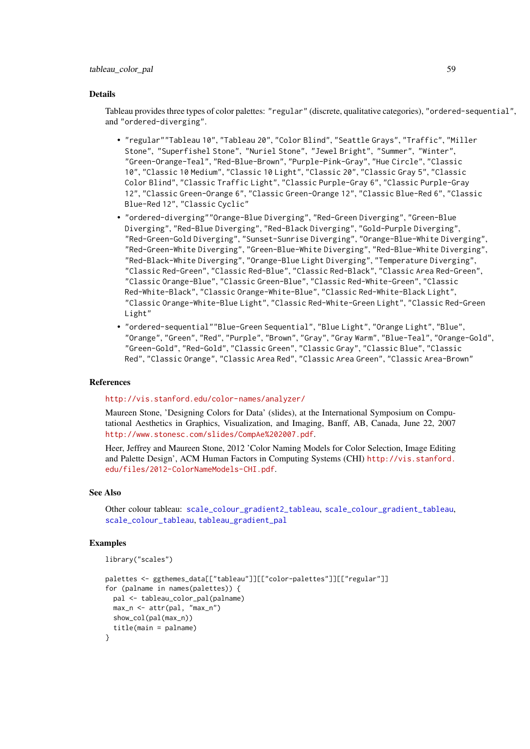#### tableau\_color\_pal 59

### Details

Tableau provides three types of color palettes: "regular" (discrete, qualitative categories), "ordered-sequential", and "ordered-diverging".

- "regular""Tableau 10", "Tableau 20", "Color Blind", "Seattle Grays", "Traffic", "Miller Stone", "Superfishel Stone", "Nuriel Stone", "Jewel Bright", "Summer", "Winter", "Green-Orange-Teal", "Red-Blue-Brown", "Purple-Pink-Gray", "Hue Circle", "Classic 10", "Classic 10 Medium", "Classic 10 Light", "Classic 20", "Classic Gray 5", "Classic Color Blind", "Classic Traffic Light", "Classic Purple-Gray 6", "Classic Purple-Gray 12", "Classic Green-Orange 6", "Classic Green-Orange 12", "Classic Blue-Red 6", "Classic Blue-Red 12", "Classic Cyclic"
- "ordered-diverging""Orange-Blue Diverging", "Red-Green Diverging", "Green-Blue Diverging", "Red-Blue Diverging", "Red-Black Diverging", "Gold-Purple Diverging", "Red-Green-Gold Diverging", "Sunset-Sunrise Diverging", "Orange-Blue-White Diverging", "Red-Green-White Diverging", "Green-Blue-White Diverging", "Red-Blue-White Diverging", "Red-Black-White Diverging", "Orange-Blue Light Diverging", "Temperature Diverging", "Classic Red-Green", "Classic Red-Blue", "Classic Red-Black", "Classic Area Red-Green", "Classic Orange-Blue", "Classic Green-Blue", "Classic Red-White-Green", "Classic Red-White-Black", "Classic Orange-White-Blue", "Classic Red-White-Black Light", "Classic Orange-White-Blue Light", "Classic Red-White-Green Light", "Classic Red-Green Light"
- "ordered-sequential""Blue-Green Sequential", "Blue Light", "Orange Light", "Blue", "Orange", "Green", "Red", "Purple", "Brown", "Gray", "Gray Warm", "Blue-Teal", "Orange-Gold", "Green-Gold", "Red-Gold", "Classic Green", "Classic Gray", "Classic Blue", "Classic Red", "Classic Orange", "Classic Area Red", "Classic Area Green", "Classic Area-Brown"

### References

<http://vis.stanford.edu/color-names/analyzer/>

Maureen Stone, 'Designing Colors for Data' (slides), at the International Symposium on Computational Aesthetics in Graphics, Visualization, and Imaging, Banff, AB, Canada, June 22, 2007 <http://www.stonesc.com/slides/CompAe%202007.pdf>.

Heer, Jeffrey and Maureen Stone, 2012 'Color Naming Models for Color Selection, Image Editing and Palette Design', ACM Human Factors in Computing Systems (CHI) [http://vis.stanford.](http://vis.stanford.edu/files/2012-ColorNameModels-CHI.pdf) [edu/files/2012-ColorNameModels-CHI.pdf](http://vis.stanford.edu/files/2012-ColorNameModels-CHI.pdf).

### See Also

Other colour tableau: [scale\\_colour\\_gradient2\\_tableau](#page-29-0), [scale\\_colour\\_gradient\\_tableau](#page-30-0), [scale\\_colour\\_tableau](#page-36-0), [tableau\\_gradient\\_pal](#page-59-0)

#### Examples

```
library("scales")
```

```
palettes <- ggthemes_data[["tableau"]][["color-palettes"]][["regular"]]
for (palname in names(palettes)) {
 pal <- tableau_color_pal(palname)
  max_n <- attr(pal, "max_n")
  show_col(pal(max_n))
  title(main = palname)
}
```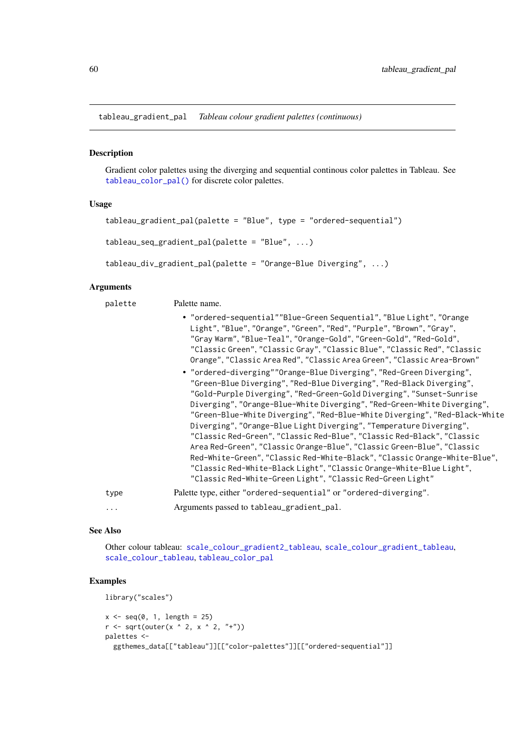<span id="page-59-0"></span>tableau\_gradient\_pal *Tableau colour gradient palettes (continuous)*

## Description

Gradient color palettes using the diverging and sequential continous color palettes in Tableau. See [tableau\\_color\\_pal\(\)](#page-57-0) for discrete color palettes.

### Usage

```
tableau_gradient_pal(palette = "Blue", type = "ordered-sequential")
tableau_seq_gradient_pal(palette = "Blue", ...)
```

```
tableau_div_gradient_pal(palette = "Orange-Blue Diverging", ...)
```
# Arguments

palette Palette name.

|      | • "ordered-sequential""Blue-Green Sequential", "Blue Light", "Orange<br>Light", "Blue", "Orange", "Green", "Red", "Purple", "Brown", "Gray",<br>"Gray Warm", "Blue-Teal", "Orange-Gold", "Green-Gold", "Red-Gold",<br>"Classic Green", "Classic Gray", "Classic Blue", "Classic Red", "Classic<br>Orange", "Classic Area Red", "Classic Area Green", "Classic Area-Brown"                                                                                                                                                                                                                                                                                                                                                                                                                                                  |
|------|----------------------------------------------------------------------------------------------------------------------------------------------------------------------------------------------------------------------------------------------------------------------------------------------------------------------------------------------------------------------------------------------------------------------------------------------------------------------------------------------------------------------------------------------------------------------------------------------------------------------------------------------------------------------------------------------------------------------------------------------------------------------------------------------------------------------------|
|      | • "ordered-diverging""Orange-Blue Diverging", "Red-Green Diverging",<br>"Green-Blue Diverging", "Red-Blue Diverging", "Red-Black Diverging",<br>"Gold-Purple Diverging", "Red-Green-Gold Diverging", "Sunset-Sunrise<br>Diverging", "Orange-Blue-White Diverging", "Red-Green-White Diverging",<br>"Green-Blue-White Diverging", "Red-Blue-White Diverging", "Red-Black-White<br>Diverging", "Orange-Blue Light Diverging", "Temperature Diverging",<br>"Classic Red-Green", "Classic Red-Blue", "Classic Red-Black", "Classic<br>Area Red-Green", "Classic Orange-Blue", "Classic Green-Blue", "Classic<br>Red-White-Green", "Classic Red-White-Black", "Classic Orange-White-Blue",<br>"Classic Red-White-Black Light", "Classic Orange-White-Blue Light",<br>"Classic Red-White-Green Light", "Classic Red-Green Light" |
| type | Palette type, either "ordered-sequential" or "ordered-diverging".                                                                                                                                                                                                                                                                                                                                                                                                                                                                                                                                                                                                                                                                                                                                                          |
| .    | Arguments passed to tableau_gradient_pal.                                                                                                                                                                                                                                                                                                                                                                                                                                                                                                                                                                                                                                                                                                                                                                                  |

### See Also

Other colour tableau: [scale\\_colour\\_gradient2\\_tableau](#page-29-0), [scale\\_colour\\_gradient\\_tableau](#page-30-0), [scale\\_colour\\_tableau](#page-36-0), [tableau\\_color\\_pal](#page-57-0)

## Examples

```
library("scales")
x \leq -\text{seq}(0, 1, \text{length} = 25)r \leftarrow sqrt(out(x \land 2, x \land 2, "+")palettes <-
  ggthemes_data[["tableau"]][["color-palettes"]][["ordered-sequential"]]
```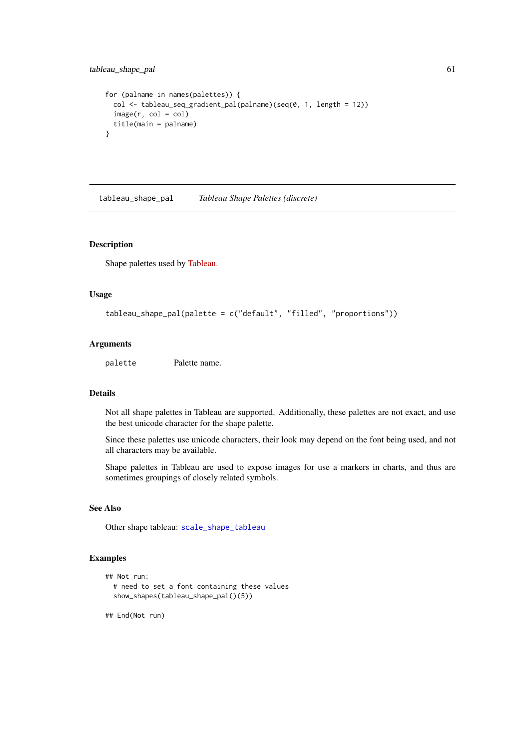```
for (palname in names(palettes)) {
 col \leq tableau_seq_gradient_pal(palname)(seq(0, 1, length = 12))
  image(r, col = col)title(main = palname)
}
```
<span id="page-60-0"></span>tableau\_shape\_pal *Tableau Shape Palettes (discrete)*

## Description

Shape palettes used by [Tableau.](http://www.tableausoftware.com/)

### Usage

```
tableau_shape_pal(palette = c("default", "filled", "proportions"))
```
### Arguments

palette Palette name.

## Details

Not all shape palettes in Tableau are supported. Additionally, these palettes are not exact, and use the best unicode character for the shape palette.

Since these palettes use unicode characters, their look may depend on the font being used, and not all characters may be available.

Shape palettes in Tableau are used to expose images for use a markers in charts, and thus are sometimes groupings of closely related symbols.

#### See Also

Other shape tableau: [scale\\_shape\\_tableau](#page-50-0)

## Examples

```
## Not run:
  # need to set a font containing these values
  show_shapes(tableau_shape_pal()(5))
```
## End(Not run)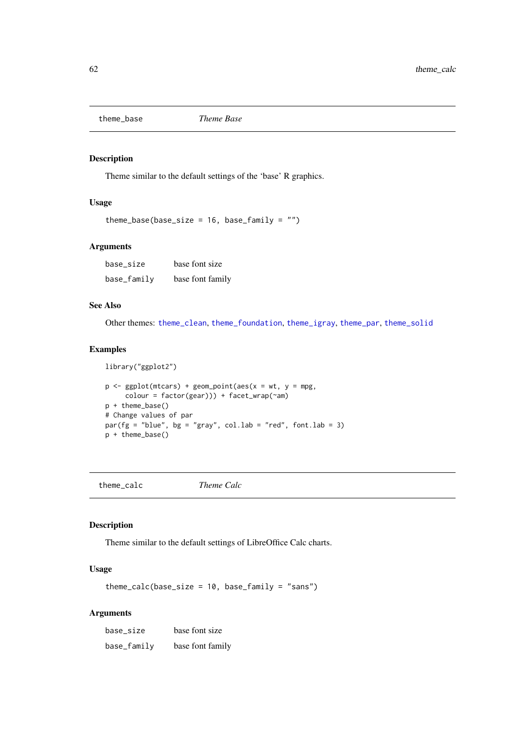<span id="page-61-1"></span>

### Description

Theme similar to the default settings of the 'base' R graphics.

# Usage

```
theme_base(base_size = 16, base_family = "")
```
### Arguments

base\_size base font size base\_family base font family

# See Also

Other themes: [theme\\_clean](#page-62-0), [theme\\_foundation](#page-67-0), [theme\\_igray](#page-69-0), [theme\\_par](#page-72-0), [theme\\_solid](#page-74-0)

## Examples

```
library("ggplot2")
p \leq - ggplot(mtcars) + geom_point(aes(x = wt, y = mpg,
     colour = factor(gear))) + facet_wrap(~am)
p + theme_base()
# Change values of par
par(fg = "blue", bg = "gray", col.lab = "red", font.lab = 3)p + theme_base()
```
<span id="page-61-0"></span>theme\_calc *Theme Calc*

# Description

Theme similar to the default settings of LibreOffice Calc charts.

# Usage

 $themecalc(base_size = 10, base-family = "sans")$ 

| base_size   | base font size   |  |  |
|-------------|------------------|--|--|
| base_family | base font family |  |  |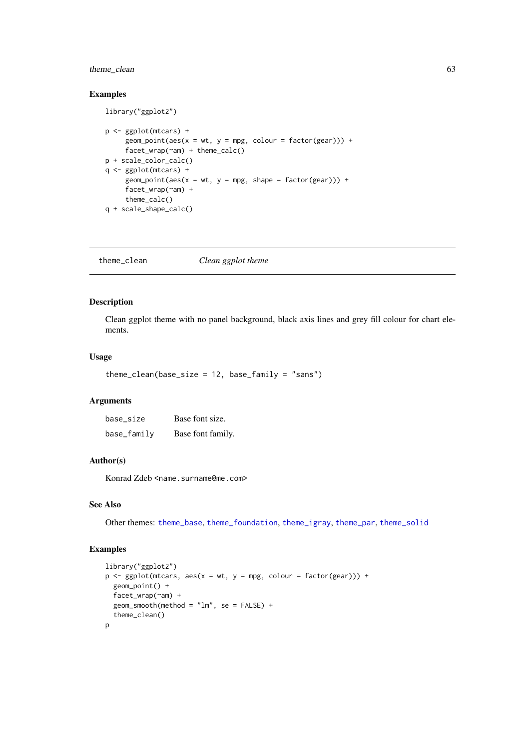### theme\_clean 63

## Examples

library("ggplot2")

```
p <- ggplot(mtcars) +
     geom\_point(aes(x = wt, y = mpg, colour = factor(gear))) +facet_wrap(~am) + theme_calc()
p + scale_color_calc()
q <- ggplot(mtcars) +
     geom\_point(aes(x = wt, y = mp, shape = factor(gear))) +facet_wrap(~am) +
     theme_calc()
q + scale_shape_calc()
```
<span id="page-62-0"></span>theme\_clean *Clean ggplot theme*

### Description

Clean ggplot theme with no panel background, black axis lines and grey fill colour for chart elements.

### Usage

```
themeclean(base_size = 12, base-family = "sans")
```
### Arguments

| base_size   | Base font size.   |
|-------------|-------------------|
| base_family | Base font family. |

### Author(s)

Konrad Zdeb <name.surname@me.com>

## See Also

Other themes: [theme\\_base](#page-61-1), [theme\\_foundation](#page-67-0), [theme\\_igray](#page-69-0), [theme\\_par](#page-72-0), [theme\\_solid](#page-74-0)

# Examples

```
library("ggplot2")
p \leq - ggplot(mtcars, aes(x = wt, y = mpg, colour = factor(gear))) +
 geom_point() +
  facet_wrap(~am) +
  geom\_smooth(method = "lm", se = FALSE) +theme_clean()
p
```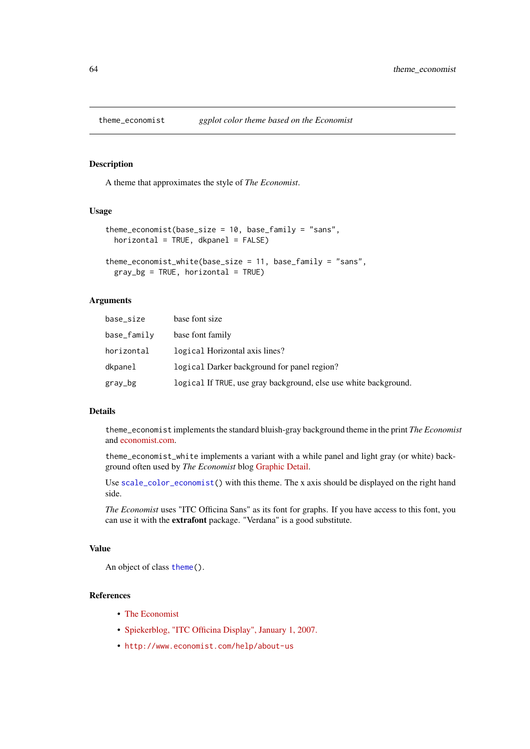## Description

A theme that approximates the style of *The Economist*.

### Usage

```
theme_economist(base_size = 10, base_family = "sans",
 horizontal = TRUE, d\text{kpanel} = FALSE)theme_economist_white(base_size = 11, base_family = "sans",
```

```
gray_b = TRUE, horizontal = TRUE
```
## Arguments

| base_size   | base font size                                                   |
|-------------|------------------------------------------------------------------|
| base_family | base font family                                                 |
| horizontal  | logical Horizontal axis lines?                                   |
| dkpanel     | logical Darker background for panel region?                      |
| gray_bg     | logical If TRUE, use gray background, else use white background. |

### Details

theme\_economist implements the standard bluish-gray background theme in the print *The Economist* and [economist.com.](http://economist.com)

theme\_economist\_white implements a variant with a while panel and light gray (or white) background often used by *The Economist* blog [Graphic Detail.](http://www.economist.com/blogs/graphicdetail)

Use [scale\\_color\\_economist\(](#page-23-0)) with this theme. The x axis should be displayed on the right hand side.

*The Economist* uses "ITC Officina Sans" as its font for graphs. If you have access to this font, you can use it with the extrafont package. "Verdana" is a good substitute.

# Value

An object of class [theme\(](#page-0-0)).

## References

- [The Economist](http://economist.com)
- [Spiekerblog, "ITC Officina Display", January 1, 2007.](http://spiekermann.com/en/itc-officina-display/)
- <http://www.economist.com/help/about-us>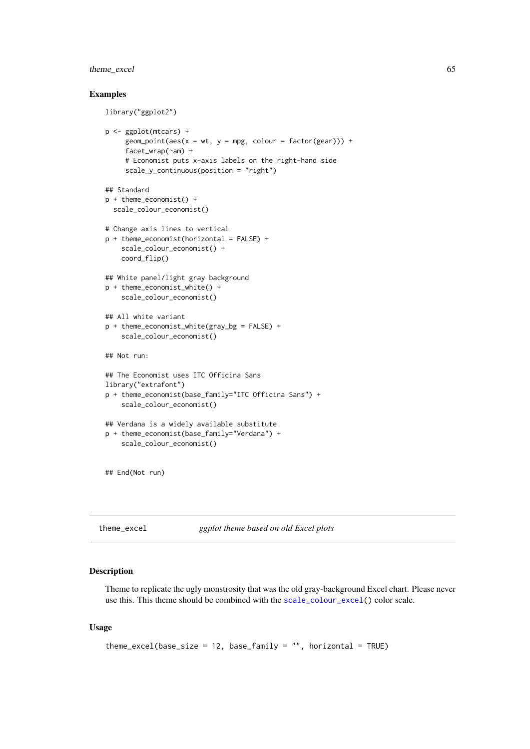### theme\_excel 65

### Examples

```
library("ggplot2")
p <- ggplot(mtcars) +
     geom\_point(aes(x = wt, y = mpg, colour = factor(gear))) +facet_wrap(~am) +
     # Economist puts x-axis labels on the right-hand side
     scale_y_continuous(position = "right")
## Standard
p + theme_economist() +
  scale_colour_economist()
# Change axis lines to vertical
p + theme_economist(horizontal = FALSE) +
    scale_colour_economist() +
    coord_flip()
## White panel/light gray background
p + theme_economist_white() +
    scale_colour_economist()
## All white variant
p + theme_economist_white(gray_bg = FALSE) +
    scale_colour_economist()
## Not run:
## The Economist uses ITC Officina Sans
library("extrafont")
p + theme_economist(base_family="ITC Officina Sans") +
    scale_colour_economist()
## Verdana is a widely available substitute
p + theme_economist(base_family="Verdana") +
    scale_colour_economist()
## End(Not run)
```
<span id="page-64-0"></span>theme\_excel *ggplot theme based on old Excel plots*

### Description

Theme to replicate the ugly monstrosity that was the old gray-background Excel chart. Please never use this. This theme should be combined with the [scale\\_colour\\_excel\(](#page-39-0)) color scale.

# Usage

```
theme_excel(base_size = 12, base_family = ", horizontal = TRUE)
```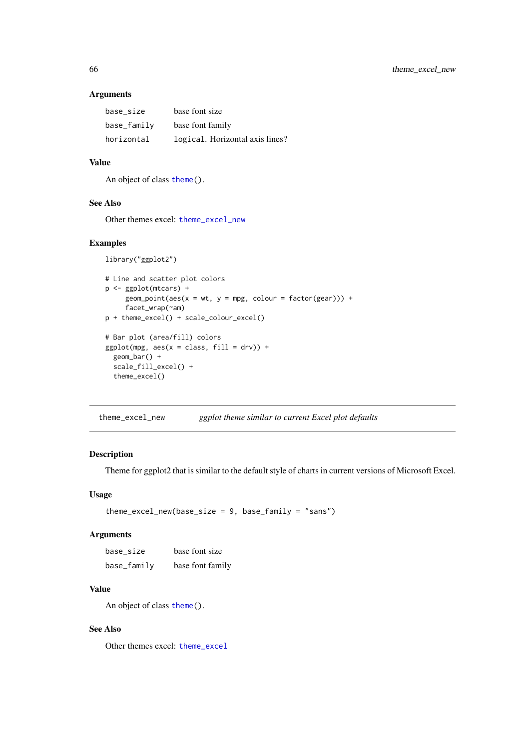# Arguments

| base size   | base font size                  |
|-------------|---------------------------------|
| base_family | base font family                |
| horizontal  | logical. Horizontal axis lines? |

# Value

An object of class [theme\(](#page-0-0)).

## See Also

Other themes excel: [theme\\_excel\\_new](#page-65-0)

# Examples

```
library("ggplot2")
# Line and scatter plot colors
p <- ggplot(mtcars) +
     geom\_point(aes(x = wt, y = mpg, colour = factor(gear))) +facet_wrap(~am)
p + theme_excel() + scale_colour_excel()
# Bar plot (area/fill) colors
ggplot(mpg, aes(x = class, fill = dry)) +geom_bar() +
  scale_fill_excel() +
  theme_excel()
```
<span id="page-65-0"></span>theme\_excel\_new *ggplot theme similar to current Excel plot defaults*

## Description

Theme for ggplot2 that is similar to the default style of charts in current versions of Microsoft Excel.

## Usage

```
theme\_excel_new(base_size = 9, base-family = "sans")
```
# Arguments

| base size   | base font size   |
|-------------|------------------|
| base_family | base font family |

## Value

An object of class [theme\(](#page-0-0)).

## See Also

Other themes excel: [theme\\_excel](#page-64-0)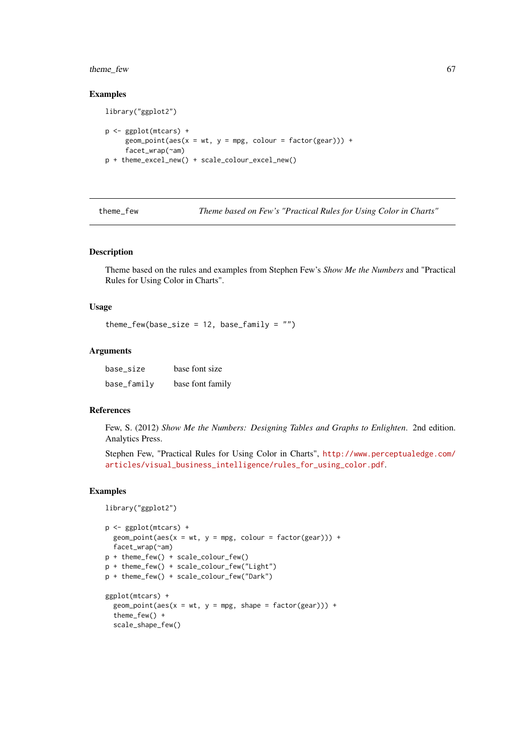#### theme\_few 67

### Examples

```
library("ggplot2")
p <- ggplot(mtcars) +
     geom\_point(aes(x = wt, y = mpg, colour = factor(gear))) +facet_wrap(~am)
p + theme_excel_new() + scale_colour_excel_new()
```
theme\_few *Theme based on Few's "Practical Rules for Using Color in Charts"*

## Description

Theme based on the rules and examples from Stephen Few's *Show Me the Numbers* and "Practical Rules for Using Color in Charts".

## Usage

theme\_few(base\_size =  $12$ , base\_family =  $"$ )

### Arguments

| base_size   | base font size   |
|-------------|------------------|
| base_family | base font family |

### References

Few, S. (2012) *Show Me the Numbers: Designing Tables and Graphs to Enlighten*. 2nd edition. Analytics Press.

Stephen Few, "Practical Rules for Using Color in Charts", [http://www.perceptualedge.com/](http://www.perceptualedge.com/articles/visual_business_intelligence/rules_for_using_color.pdf) [articles/visual\\_business\\_intelligence/rules\\_for\\_using\\_color.pdf](http://www.perceptualedge.com/articles/visual_business_intelligence/rules_for_using_color.pdf).

## Examples

```
library("ggplot2")
p <- ggplot(mtcars) +
 geom\_point(aes(x = wt, y = mpg, colour = factor(gear))) +facet_wrap(~am)
p + theme_few() + scale_colour_few()
p + theme_few() + scale_colour_few("Light")
p + theme_few() + scale_colour_few("Dark")
ggplot(mtcars) +
  geom\_point(aes(x = wt, y = mp, shape = factor(gear))) +theme_few() +
  scale_shape_few()
```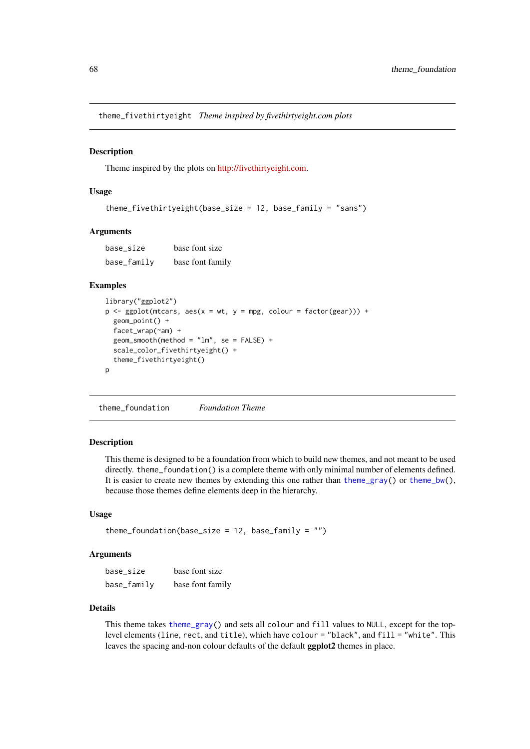theme\_fivethirtyeight *Theme inspired by fivethirtyeight.com plots*

### **Description**

Theme inspired by the plots on [http://fivethirtyeight.com.](fivethirtyeight.com)

# Usage

```
theme_fivethirtyeight(base_size = 12, base_family = "sans")
```
### Arguments

base\_size base font size base\_family base font family

### Examples

```
library("ggplot2")
p \leftarrow ggplot(mtcars, aes(x = wt, y = mpg, colour = factor(gear))) +geom_point() +
  facet_wrap(~am) +
  geom_smooth(method = "lm", se = FALSE) +
  scale_color_fivethirtyeight() +
  theme_fivethirtyeight()
p
```
<span id="page-67-0"></span>theme\_foundation *Foundation Theme*

# Description

This theme is designed to be a foundation from which to build new themes, and not meant to be used directly. theme\_foundation() is a complete theme with only minimal number of elements defined. It is easier to create new themes by extending this one rather than [theme\\_gray\(](#page-0-0)) or [theme\\_bw\(](#page-0-0)), because those themes define elements deep in the hierarchy.

### Usage

```
theme_foundation(base_size = 12, base_family = ")
```
### Arguments

| base size     | base font size   |
|---------------|------------------|
| $base_family$ | base font family |

# Details

This theme takes [theme\\_gray\(](#page-0-0)) and sets all colour and fill values to NULL, except for the toplevel elements (line, rect, and title), which have colour = "black", and fill = "white". This leaves the spacing and-non colour defaults of the default ggplot2 themes in place.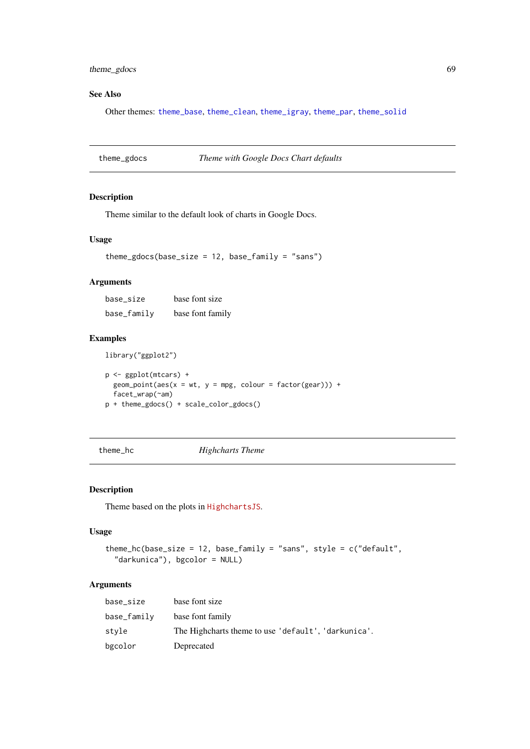#### theme\_gdocs 69

## See Also

Other themes: [theme\\_base](#page-61-1), [theme\\_clean](#page-62-0), [theme\\_igray](#page-69-0), [theme\\_par](#page-72-0), [theme\\_solid](#page-74-0)

<span id="page-68-0"></span>

| theme_gdocs |  | Theme with Google Docs Chart defaults |  |  |
|-------------|--|---------------------------------------|--|--|
|             |  |                                       |  |  |

#### Description

Theme similar to the default look of charts in Google Docs.

## Usage

theme\_gdocs(base\_size =  $12$ , base\_family = "sans")

## Arguments

| base size   | base font size   |  |  |
|-------------|------------------|--|--|
| base_family | base font family |  |  |

#### Examples

library("ggplot2")

p <- ggplot(mtcars) +  $geom\_point(aes(x = wt, y = mpg, colour = factor(gear))) +$ facet\_wrap(~am) p + theme\_gdocs() + scale\_color\_gdocs()

theme\_hc *Highcharts Theme*

# Description

Theme based on the plots in [HighchartsJS](Highcharts JS).

## Usage

```
theme_hc(base_size = 12, base_family = "sans", style = c("default",
  "darkunica"), bgcolor = NULL)
```

| base_size   | base font size                                      |
|-------------|-----------------------------------------------------|
| base_family | base font family                                    |
| style       | The Highcharts theme to use 'default', 'darkunica'. |
| bgcolor     | Deprecated                                          |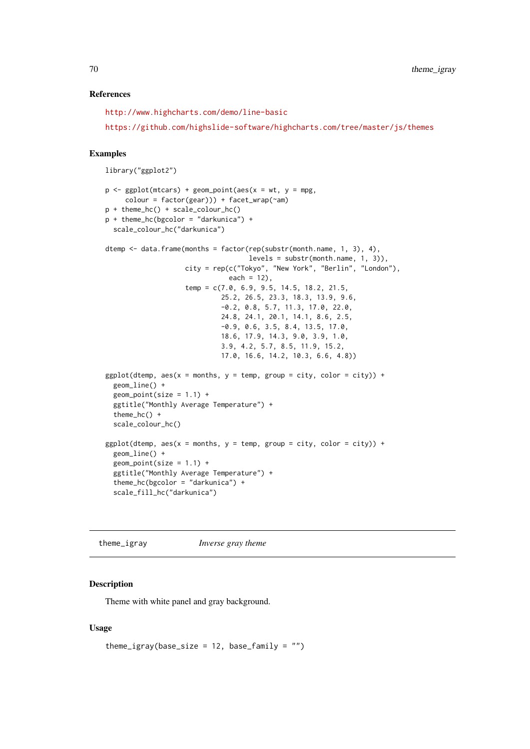### References

<http://www.highcharts.com/demo/line-basic>

<https://github.com/highslide-software/highcharts.com/tree/master/js/themes>

### Examples

```
library("ggplot2")
```

```
p \leq - ggplot(mtcars) + geom_point(aes(x = wt, y = mpg,
     color = factor(gear)) + facet_wrap(\text{ram})p + theme_hc() + scale_colour_hc()
p + theme_hc(bgcolor = "darkunica") +
 scale_colour_hc("darkunica")
dtemp <- data.frame(months = factor(rep(substr(month.name, 1, 3), 4),
                                    levels = substr(month.name, 1, 3)),city = rep(c("Tokyo", "New York", "Berlin", "London"),
                               each = 12),
                    temp = c(7.0, 6.9, 9.5, 14.5, 18.2, 21.5,
                             25.2, 26.5, 23.3, 18.3, 13.9, 9.6,
                             -0.2, 0.8, 5.7, 11.3, 17.0, 22.0,
                             24.8, 24.1, 20.1, 14.1, 8.6, 2.5,
                             -0.9, 0.6, 3.5, 8.4, 13.5, 17.0,
                             18.6, 17.9, 14.3, 9.0, 3.9, 1.0,
                             3.9, 4.2, 5.7, 8.5, 11.9, 15.2,
                             17.0, 16.6, 14.2, 10.3, 6.6, 4.8))
ggplot(dtemp, aes(x = months, y = temp, group = city, color = city)) +geom_line() +
  geom\_point(size = 1.1) +ggtitle("Monthly Average Temperature") +
  theme_hc() +
  scale_colour_hc()
ggplot(dtemp, aes(x = months, y = temp, group = city, color = city)) +geom_line() +
  geom\_point(size = 1.1) +ggtitle("Monthly Average Temperature") +
  theme_hc(bgcolor = "darkunica") +
  scale_fill_hc("darkunica")
```
<span id="page-69-0"></span>theme\_igray *Inverse gray theme*

### Description

Theme with white panel and gray background.

# Usage

```
theme_igray(base_size = 12, base_family = ")
```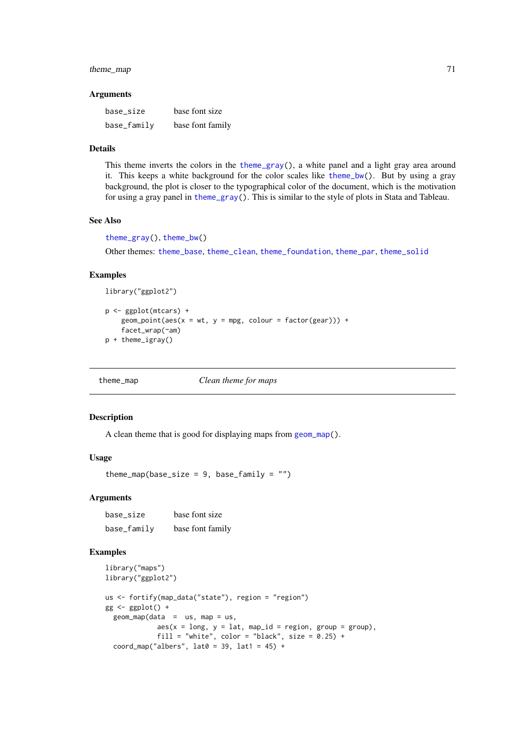### theme\_map 71

### Arguments

| base_size   | base font size   |
|-------------|------------------|
| base_family | base font family |

## Details

This theme inverts the colors in the [theme\\_gray\(](#page-0-0)), a white panel and a light gray area around it. This keeps a white background for the color scales like [theme\\_bw\(](#page-0-0)). But by using a gray background, the plot is closer to the typographical color of the document, which is the motivation for using a gray panel in [theme\\_gray\(](#page-0-0)). This is similar to the style of plots in Stata and Tableau.

## See Also

```
theme_gray(), theme_bw()
Other themes: theme_base, theme_clean, theme_foundation, theme_par, theme_solid
```
#### Examples

library("ggplot2")

```
p <- ggplot(mtcars) +
    geom\_point(aes(x = wt, y = mpg, colour = factor(gear))) +facet_wrap(~am)
p + theme_igray()
```
theme\_map *Clean theme for maps*

### Description

A clean theme that is good for displaying maps from [geom\\_map\(](#page-0-0)).

### Usage

theme map(base size = 9, base family =  $"$ )

## Arguments

base\_size base font size base\_family base font family

# Examples

```
library("maps")
library("ggplot2")
us <- fortify(map_data("state"), region = "region")
gg \leftarrow ggplot() +geom_map(data = us, map = us,aes(x = long, y = lat, map_id = region, group = group),fill = "white", color = "black", size = 0.25) +
  coord_map("albers", lat0 = 39, lat1 = 45) +
```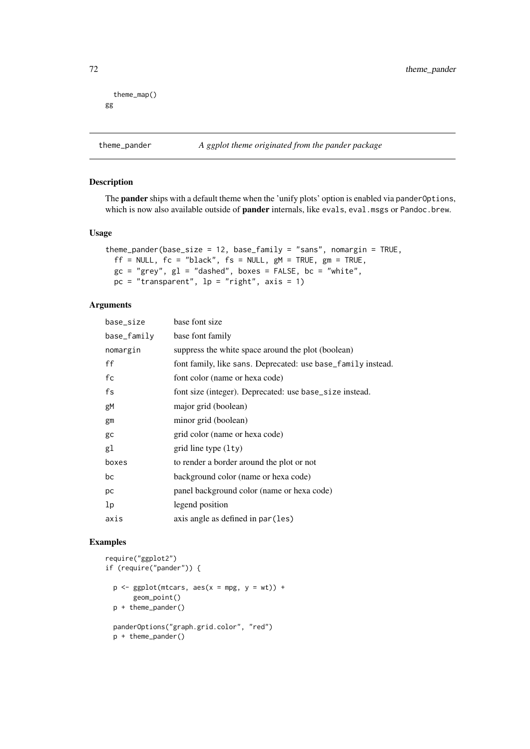```
theme_map()
gg
```
## Description

The **pander** ships with a default theme when the 'unify plots' option is enabled via pander Options, which is now also available outside of **pander** internals, like evals, eval.msgs or Pandoc.brew.

## Usage

```
theme_pander(base_size = 12, base_family = "sans", nomargin = TRUE,
 ff = NULL, fc = "black", fs = NULL, gM = TRUE, gm = TRUE,gc = "grey", gl = "dashed", boxes = FALSE, bc = "white",pc = "transparent", lp = "right", axis = 1)
```
# Arguments

| base_size   | base font size                                               |
|-------------|--------------------------------------------------------------|
| base_family | base font family                                             |
| nomargin    | suppress the white space around the plot (boolean)           |
| ff          | font family, like sans. Deprecated: use base_family instead. |
| fc          | font color (name or hexa code)                               |
| fs          | font size (integer). Deprecated: use base_size instead.      |
| gM          | major grid (boolean)                                         |
| gm          | minor grid (boolean)                                         |
| gc          | grid color (name or hexa code)                               |
| gl          | grid line type $(1ty)$                                       |
| boxes       | to render a border around the plot or not                    |
| bc          | background color (name or hexa code)                         |
| pc          | panel background color (name or hexa code)                   |
| 1p          | legend position                                              |
| axis        | axis angle as defined in par (les)                           |

### Examples

```
require("ggplot2")
if (require("pander")) {
  p \leftarrow ggplot(mtcars, aes(x = mpg, y = wt)) +geom_point()
  p + theme_pander()
  panderOptions("graph.grid.color", "red")
```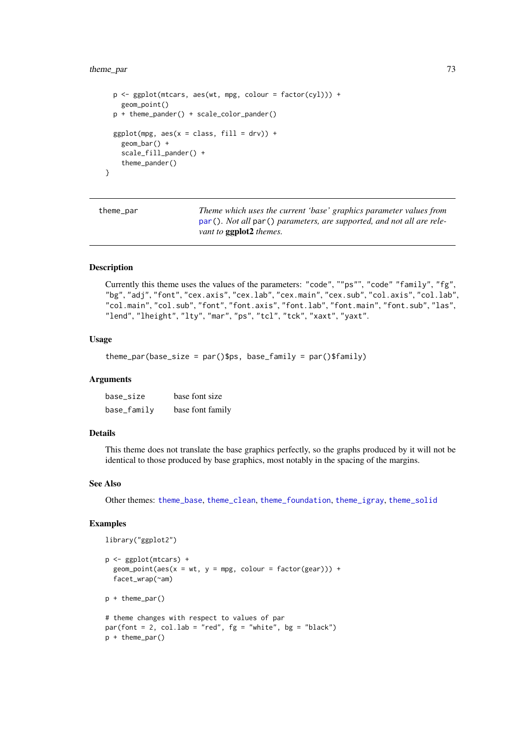# <span id="page-72-1"></span>theme\_par 73

```
p \leftarrow \text{ggplot}(\text{mtcars}, \text{aes}(\text{wt}, \text{mpg}, \text{colour} = \text{factor}(\text{cyl}))) +geom_point()
  p + theme_pander() + scale_color_pander()
  ggplot(mpg, aes(x = class, fill = dry)) +
     geom_bar() +
     scale_fill_pander() +
     theme_pander()
}
```
<span id="page-72-0"></span>theme\_par *Theme which uses the current 'base' graphics parameter values from* [par\(](#page-0-0))*. Not all* par() *parameters, are supported, and not all are relevant to* ggplot2 *themes.*

# Description

Currently this theme uses the values of the parameters: "code", ""ps"", "code" "family", "fg", "bg", "adj", "font", "cex.axis", "cex.lab", "cex.main", "cex.sub", "col.axis", "col.lab", "col.main", "col.sub", "font", "font.axis", "font.lab", "font.main", "font.sub", "las", "lend", "lheight", "lty", "mar", "ps", "tcl", "tck", "xaxt", "yaxt".

# Usage

```
theme_par(base_size = par()$ps, base_family = par()$family)
```
#### Arguments

| base_size   | base font size   |
|-------------|------------------|
| base_family | base font family |

# Details

This theme does not translate the base graphics perfectly, so the graphs produced by it will not be identical to those produced by base graphics, most notably in the spacing of the margins.

#### See Also

Other themes: [theme\\_base](#page-61-0), [theme\\_clean](#page-62-0), [theme\\_foundation](#page-67-0), [theme\\_igray](#page-69-0), [theme\\_solid](#page-74-0)

### Examples

library("ggplot2")

```
p <- ggplot(mtcars) +
  geom\_point(aes(x = wt, y = mpg, colour = factor(gear))) +facet_wrap(~am)
p + theme_par()
# theme changes with respect to values of par
par(font = 2, col.lab = "red", fg = "white", bg = "black")
```

```
p + theme_par()
```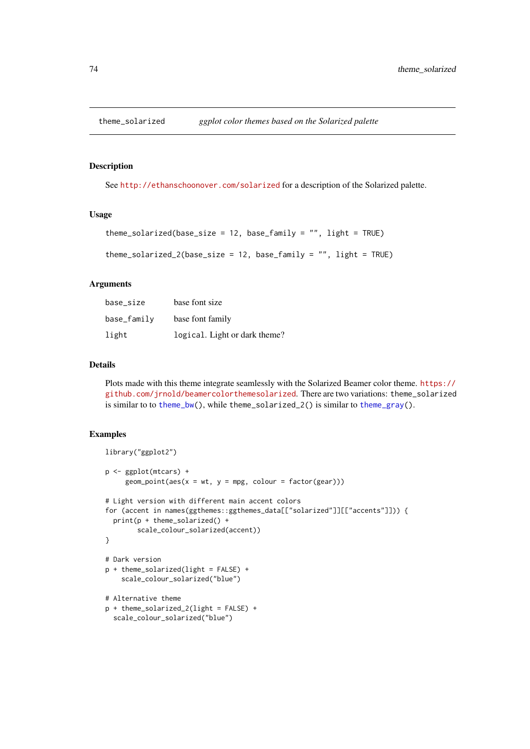<span id="page-73-0"></span>

#### Description

See <http://ethanschoonover.com/solarized> for a description of the Solarized palette.

# Usage

```
theme_solarized(base_size = 12, base_family = "", light = TRUE)
```

```
theme_solarized_2(base_size = 12, base_family = ", light = TRUE)
```
#### Arguments

| base_size   | base font size                |
|-------------|-------------------------------|
| base_family | base font family              |
| light       | logical. Light or dark theme? |

# Details

Plots made with this theme integrate seamlessly with the Solarized Beamer color theme. [https://](https://github.com/jrnold/beamercolorthemesolarized) [github.com/jrnold/beamercolorthemesolarized](https://github.com/jrnold/beamercolorthemesolarized). There are two variations: theme\_solarized is similar to to [theme\\_bw\(](#page-0-0)), while theme\_solarized\_2() is similar to [theme\\_gray\(](#page-0-0)).

# Examples

```
library("ggplot2")
p <- ggplot(mtcars) +
     geom\_point(aes(x = wt, y = mp, colour = factor(gear)))# Light version with different main accent colors
for (accent in names(ggthemes::ggthemes_data[["solarized"]][["accents"]])) {
 print(p + theme_solarized() +
        scale_colour_solarized(accent))
}
# Dark version
p + theme_solarized(light = FALSE) +
    scale_colour_solarized("blue")
# Alternative theme
p + theme_solarized_2(light = FALSE) +
  scale_colour_solarized("blue")
```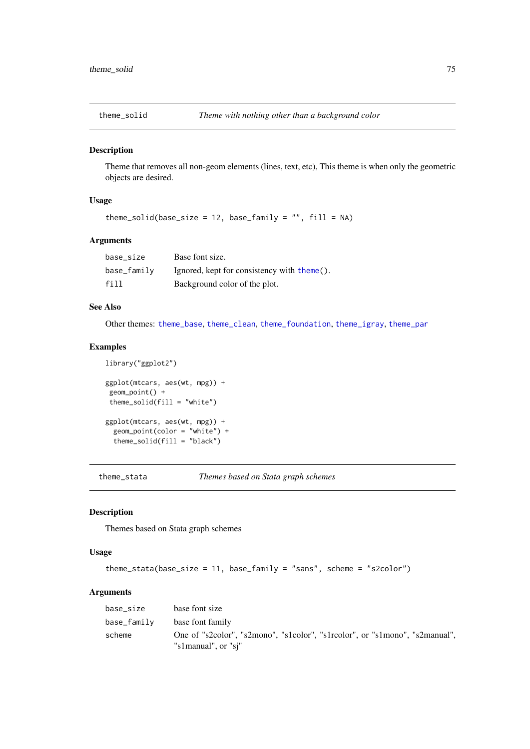<span id="page-74-1"></span><span id="page-74-0"></span>

# Description

Theme that removes all non-geom elements (lines, text, etc), This theme is when only the geometric objects are desired.

# Usage

```
theme_solid(base_size = 12, base_family = ", fill = NA)
```
# Arguments

| base size   | Base font size.                             |
|-------------|---------------------------------------------|
| base_family | Ignored, kept for consistency with theme(). |
| fill        | Background color of the plot.               |

# See Also

Other themes: [theme\\_base](#page-61-0), [theme\\_clean](#page-62-0), [theme\\_foundation](#page-67-0), [theme\\_igray](#page-69-0), [theme\\_par](#page-72-0)

# Examples

```
ggplot(mtcars, aes(wt, mpg)) +
geom_point() +
theme_solid(fill = "white")
ggplot(mtcars, aes(wt, mpg)) +
  geom_point(color = "white") +
  theme_solid(fill = "black")
```
library("ggplot2")

theme\_stata *Themes based on Stata graph schemes*

# Description

Themes based on Stata graph schemes

# Usage

```
theme_stata(base_size = 11, base_family = "sans", scheme = "s2color")
```
# Arguments

| base size   | base font size                                                                                     |
|-------------|----------------------------------------------------------------------------------------------------|
| base_family | base font family                                                                                   |
| scheme      | One of "s2color", "s2mono", "s1color", "s1rcolor", or "s1mono", "s2manual",<br>"s1manual", or "si" |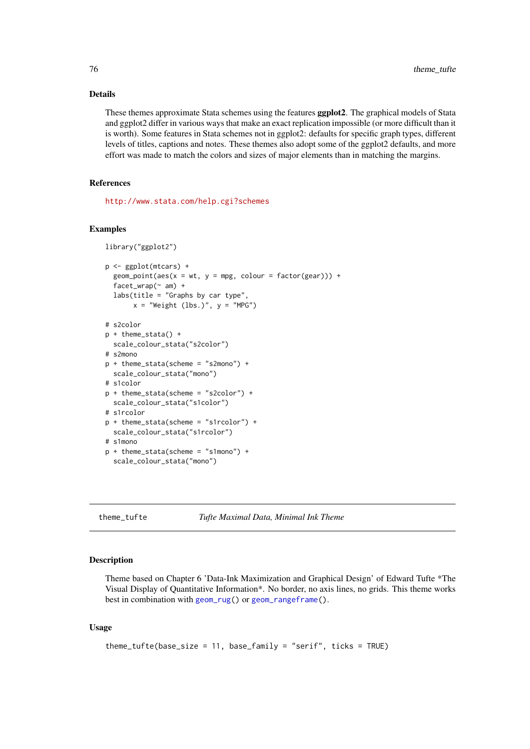# Details

These themes approximate Stata schemes using the features ggplot2. The graphical models of Stata and ggplot2 differ in various ways that make an exact replication impossible (or more difficult than it is worth). Some features in Stata schemes not in ggplot2: defaults for specific graph types, different levels of titles, captions and notes. These themes also adopt some of the ggplot2 defaults, and more effort was made to match the colors and sizes of major elements than in matching the margins.

# References

<http://www.stata.com/help.cgi?schemes>

#### Examples

```
library("ggplot2")
p <- ggplot(mtcars) +
  geom\_point(aes(x = wt, y = mpg, colour = factor(gear))) +facet_wrap(~ am) +
  labs(title = "Graphs by car type",
       x = "Weight (lbs.)", y = "MPG"# s2color
p + theme_stata() +
  scale_colour_stata("s2color")
# s2mono
p + theme_stata(scheme = "s2mono") +
  scale_colour_stata("mono")
# s1color
p + theme_stata(scheme = "s2color") +
  scale_colour_stata("s1color")
# s1rcolor
p + theme_stata(scheme = "s1rcolor") +
 scale_colour_stata("s1rcolor")
# s1mono
p + theme_stata(scheme = "s1mono") +
  scale_colour_stata("mono")
```
theme\_tufte *Tufte Maximal Data, Minimal Ink Theme*

# Description

Theme based on Chapter 6 'Data-Ink Maximization and Graphical Design' of Edward Tufte \*The Visual Display of Quantitative Information\*. No border, no axis lines, no grids. This theme works best in combination with [geom\\_rug\(](#page-0-0)) or [geom\\_rangeframe\(](#page-16-0)).

# Usage

```
theme_tufte(base_size = 11, base_family = "serif", ticks = TRUE)
```
<span id="page-75-0"></span>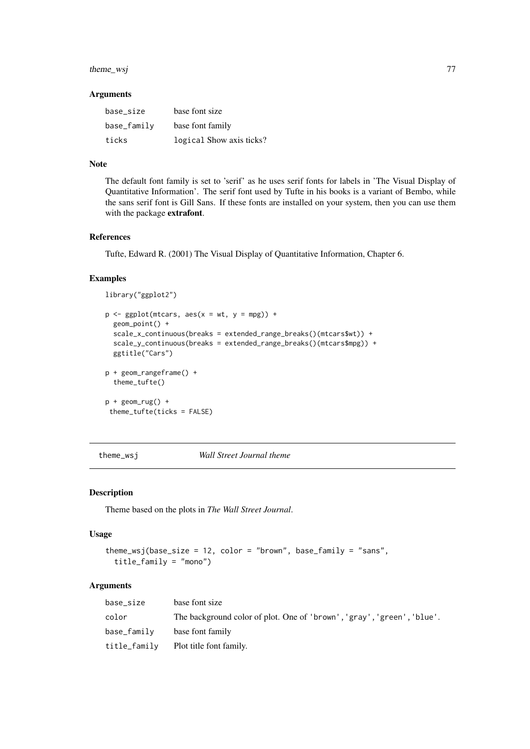#### <span id="page-76-0"></span>theme\_wsj 77

# Arguments

| base size   | base font size           |
|-------------|--------------------------|
| base_family | base font family         |
| ticks       | logical Show axis ticks? |

# Note

The default font family is set to 'serif' as he uses serif fonts for labels in 'The Visual Display of Quantitative Information'. The serif font used by Tufte in his books is a variant of Bembo, while the sans serif font is Gill Sans. If these fonts are installed on your system, then you can use them with the package extrafont.

#### References

Tufte, Edward R. (2001) The Visual Display of Quantitative Information, Chapter 6.

# Examples

library("ggplot2")

```
p \leq - ggplot(mtcars, aes(x = wt, y = mpg)) +
  geom_point() +
  scale_x_continuous(breaks = extended_range_breaks()(mtcars$wt)) +
  scale_y_continuous(breaks = extended_range_breaks()(mtcars$mpg)) +
  ggtitle("Cars")
p + geom_rangeframe() +
  theme_tufte()
p + geom_Tug() +theme_tufte(ticks = FALSE)
```
theme\_wsj *Wall Street Journal theme*

# Description

Theme based on the plots in *The Wall Street Journal*.

# Usage

```
theme_wsj(base_size = 12, color = "brown", base_family = "sans",
 title_family = "mono")
```
# Arguments

| base size    | base font size                                                         |
|--------------|------------------------------------------------------------------------|
| color        | The background color of plot. One of 'brown', 'gray', 'green', 'blue'. |
| base_family  | base font family                                                       |
| title_family | Plot title font family.                                                |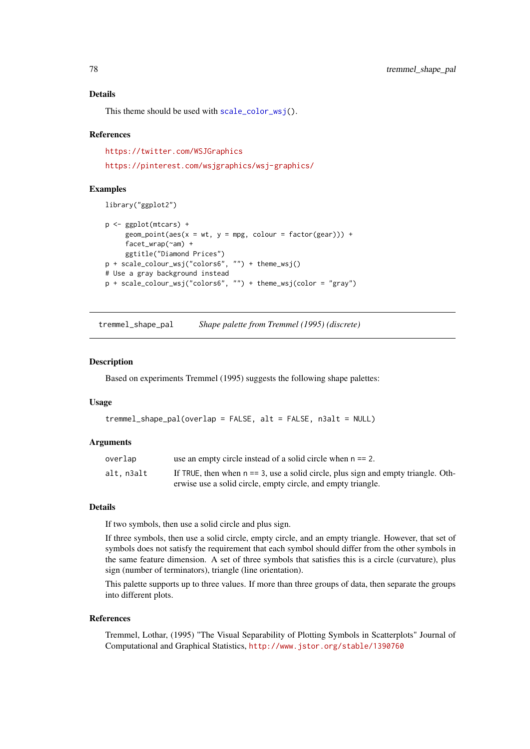# Details

This theme should be used with [scale\\_color\\_wsj\(](#page-37-0)).

# References

<https://twitter.com/WSJGraphics> <https://pinterest.com/wsjgraphics/wsj-graphics/>

# Examples

library("ggplot2")

```
p <- ggplot(mtcars) +
     geom\_point(aes(x = wt, y = mpg, colour = factor(gear))) +facet_wrap(~am) +
     ggtitle("Diamond Prices")
p + scale_colour_wsj("colors6", "") + theme_wsj()
# Use a gray background instead
p + scale_colour_wsj("colors6", "") + theme_wsj(color = "gray")
```
tremmel\_shape\_pal *Shape palette from Tremmel (1995) (discrete)*

#### Description

Based on experiments Tremmel (1995) suggests the following shape palettes:

#### Usage

```
tremmel_shape_pal(overlap = FALSE, alt = FALSE, n3alt = NULL)
```
# Arguments

| overlap   | use an empty circle instead of a solid circle when $n == 2$ .                        |
|-----------|--------------------------------------------------------------------------------------|
| alt.n3alt | If TRUE, then when $n == 3$ , use a solid circle, plus sign and empty triangle. Oth- |
|           | erwise use a solid circle, empty circle, and empty triangle.                         |

# Details

If two symbols, then use a solid circle and plus sign.

If three symbols, then use a solid circle, empty circle, and an empty triangle. However, that set of symbols does not satisfy the requirement that each symbol should differ from the other symbols in the same feature dimension. A set of three symbols that satisfies this is a circle (curvature), plus sign (number of terminators), triangle (line orientation).

This palette supports up to three values. If more than three groups of data, then separate the groups into different plots.

### References

Tremmel, Lothar, (1995) "The Visual Separability of Plotting Symbols in Scatterplots" Journal of Computational and Graphical Statistics, <http://www.jstor.org/stable/1390760>

<span id="page-77-0"></span>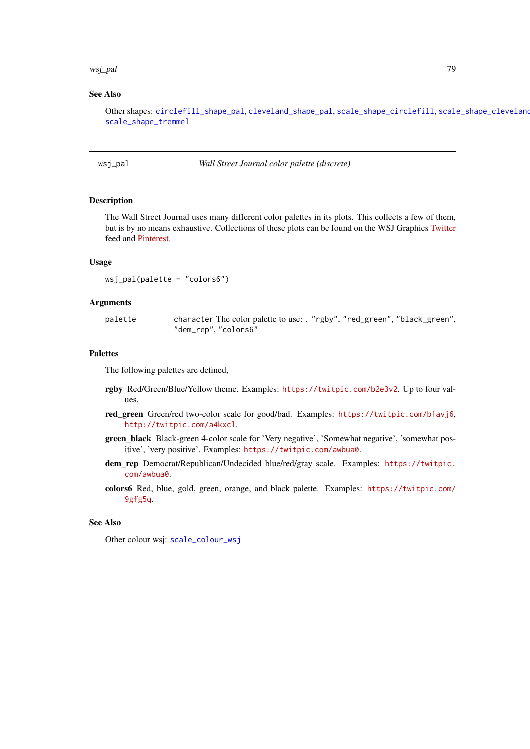#### <span id="page-78-0"></span>wsj\_pal 79

### See Also

Other shapes: [circlefill\\_shape\\_pal](#page-7-0), [cleveland\\_shape\\_pal](#page-8-0), [scale\\_shape\\_circlefill](#page-46-0), [scale\\_shape\\_cleveland](#page-47-0), [scale\\_shape\\_tremmel](#page-51-0)

wsj\_pal *Wall Street Journal color palette (discrete)*

# Description

The Wall Street Journal uses many different color palettes in its plots. This collects a few of them, but is by no means exhaustive. Collections of these plots can be found on the WSJ Graphics [Twitter](https://twitter.com/WSJGraphics) feed and [Pinterest.](https://pinterest.com/wsjgraphics/wsj-graphics/)

#### Usage

```
wsj_pal(palette = "colors6")
```
### Arguments

palette character The color palette to use: . "rgby", "red\_green", "black\_green", "dem\_rep", "colors6"

#### Palettes

The following palettes are defined,

- rgby Red/Green/Blue/Yellow theme. Examples: <https://twitpic.com/b2e3v2>. Up to four values.
- red\_green Green/red two-color scale for good/bad. Examples: <https://twitpic.com/b1avj6>, <http://twitpic.com/a4kxcl>.
- green\_black Black-green 4-color scale for 'Very negative', 'Somewhat negative', 'somewhat positive', 'very positive'. Examples: <https://twitpic.com/awbua0>.
- dem\_rep Democrat/Republican/Undecided blue/red/gray scale. Examples: [https://twitpic.](https://twitpic.com/awbua0) [com/awbua0](https://twitpic.com/awbua0).
- colors6 Red, blue, gold, green, orange, and black palette. Examples: [https://twitpic.com/](https://twitpic.com/9gfg5q) [9gfg5q](https://twitpic.com/9gfg5q).

# See Also

Other colour wsj: [scale\\_colour\\_wsj](#page-37-1)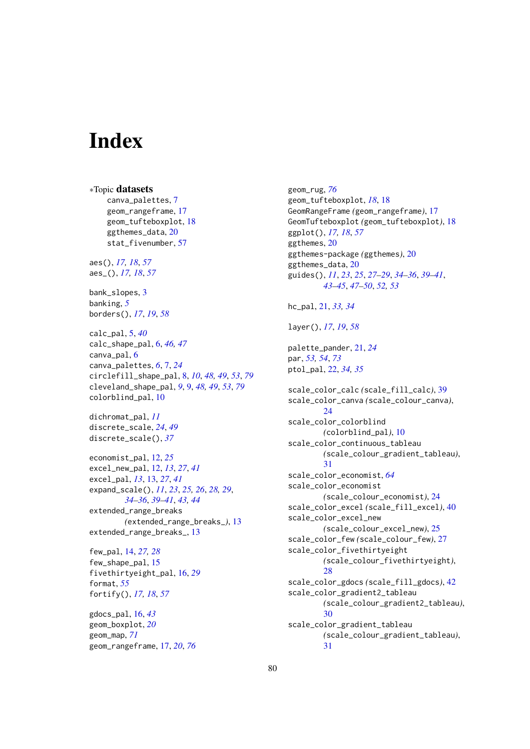# Index

∗Topic datasets canva\_palettes, [7](#page-6-0) geom\_rangeframe, [17](#page-16-1) geom\_tufteboxplot, [18](#page-17-0) ggthemes\_data, [20](#page-19-0) stat\_fivenumber, [57](#page-56-0) aes(), *[17,](#page-16-1) [18](#page-17-0)*, *[57](#page-56-0)* aes\_(), *[17,](#page-16-1) [18](#page-17-0)*, *[57](#page-56-0)* bank\_slopes, [3](#page-2-0) banking, *[5](#page-4-0)* borders(), *[17](#page-16-1)*, *[19](#page-18-0)*, *[58](#page-57-0)* calc\_pal, [5,](#page-4-0) *[40](#page-39-0)* calc\_shape\_pal, [6,](#page-5-0) *[46,](#page-45-0) [47](#page-46-1)* canva\_pal, [6](#page-5-0) canva\_palettes, *[6](#page-5-0)*, [7,](#page-6-0) *[24](#page-23-0)* circlefill\_shape\_pal, [8,](#page-7-1) *[10](#page-9-0)*, *[48,](#page-47-1) [49](#page-48-0)*, *[53](#page-52-0)*, *[79](#page-78-0)* cleveland\_shape\_pal, *[9](#page-8-1)*, [9,](#page-8-1) *[48,](#page-47-1) [49](#page-48-0)*, *[53](#page-52-0)*, *[79](#page-78-0)* colorblind\_pal, [10](#page-9-0) dichromat\_pal, *[11](#page-10-0)* discrete\_scale, *[24](#page-23-0)*, *[49](#page-48-0)* discrete\_scale(), *[37](#page-36-0)* economist\_pal, [12,](#page-11-0) *[25](#page-24-0)* excel\_new\_pal, [12,](#page-11-0) *[13](#page-12-0)*, *[27](#page-26-0)*, *[41](#page-40-0)* excel\_pal, *[13](#page-12-0)*, [13,](#page-12-0) *[27](#page-26-0)*, *[41](#page-40-0)* expand\_scale(), *[11](#page-10-0)*, *[23](#page-22-0)*, *[25,](#page-24-0) [26](#page-25-0)*, *[28,](#page-27-0) [29](#page-28-0)*, *[34](#page-33-0)[–36](#page-35-0)*, *[39](#page-38-0)[–41](#page-40-0)*, *[43,](#page-42-0) [44](#page-43-0)* extended\_range\_breaks *(*extended\_range\_breaks\_*)*, [13](#page-12-0) extended\_range\_breaks\_, [13](#page-12-0) few\_pal, [14,](#page-13-0) *[27,](#page-26-0) [28](#page-27-0)* few\_shape\_pal, [15](#page-14-0) fivethirtyeight\_pal, [16,](#page-15-0) *[29](#page-28-0)* format, *[55](#page-54-0)* fortify(), *[17,](#page-16-1) [18](#page-17-0)*, *[57](#page-56-0)* gdocs\_pal, [16,](#page-15-0) *[43](#page-42-0)*

geom\_boxplot, *[20](#page-19-0)* geom\_map, *[71](#page-70-0)* geom\_rangeframe, [17,](#page-16-1) *[20](#page-19-0)*, *[76](#page-75-0)* geom\_rug, *[76](#page-75-0)* geom\_tufteboxplot, *[18](#page-17-0)*, [18](#page-17-0) GeomRangeFrame *(*geom\_rangeframe*)*, [17](#page-16-1) GeomTufteboxplot *(*geom\_tufteboxplot*)*, [18](#page-17-0) ggplot(), *[17,](#page-16-1) [18](#page-17-0)*, *[57](#page-56-0)* ggthemes, [20](#page-19-0) ggthemes-package *(*ggthemes*)*, [20](#page-19-0) ggthemes\_data, [20](#page-19-0) guides(), *[11](#page-10-0)*, *[23](#page-22-0)*, *[25](#page-24-0)*, *[27](#page-26-0)[–29](#page-28-0)*, *[34](#page-33-0)[–36](#page-35-0)*, *[39](#page-38-0)[–41](#page-40-0)*, *[43](#page-42-0)[–45](#page-44-0)*, *[47](#page-46-1)[–50](#page-49-0)*, *[52,](#page-51-1) [53](#page-52-0)* hc\_pal, [21,](#page-20-0) *[33,](#page-32-0) [34](#page-33-0)* layer(), *[17](#page-16-1)*, *[19](#page-18-0)*, *[58](#page-57-0)* palette\_pander, [21,](#page-20-0) *[24](#page-23-0)* par, *[53,](#page-52-0) [54](#page-53-0)*, *[73](#page-72-1)* ptol\_pal, [22,](#page-21-0) *[34,](#page-33-0) [35](#page-34-0)* scale\_color\_calc *(*scale\_fill\_calc*)*, [39](#page-38-0) scale\_color\_canva *(*scale\_colour\_canva*)*, [24](#page-23-0) scale\_color\_colorblind *(*colorblind\_pal*)*, [10](#page-9-0) scale\_color\_continuous\_tableau *(*scale\_colour\_gradient\_tableau*)*, [31](#page-30-0) scale\_color\_economist, *[64](#page-63-0)* scale\_color\_economist *(*scale\_colour\_economist*)*, [24](#page-23-0) scale\_color\_excel *(*scale\_fill\_excel*)*, [40](#page-39-0) scale\_color\_excel\_new *(*scale\_colour\_excel\_new*)*, [25](#page-24-0) scale\_color\_few *(*scale\_colour\_few*)*, [27](#page-26-0) scale\_color\_fivethirtyeight *(*scale\_colour\_fivethirtyeight*)*, [28](#page-27-0) scale\_color\_gdocs *(*scale\_fill\_gdocs*)*, [42](#page-41-0) scale\_color\_gradient2\_tableau *(*scale\_colour\_gradient2\_tableau*)*, [30](#page-29-0) scale\_color\_gradient\_tableau *(*scale\_colour\_gradient\_tableau*)*, [31](#page-30-0)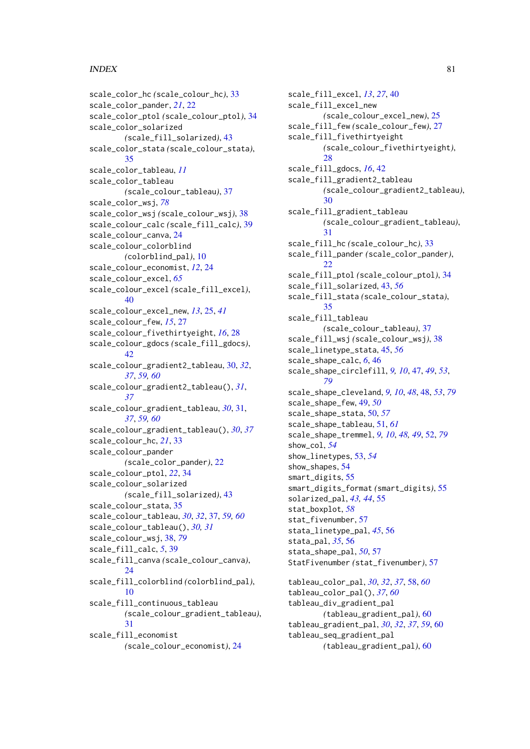# INDEX  $81$

```
scale_color_hc (scale_colour_hc), 33
scale_color_pander, 21, 22
scale_color_ptol (scale_colour_ptol), 34
scale_color_solarized
        (scale_fill_solarized), 43
scale_color_stata (scale_colour_stata),
        35
scale_color_tableau, 11
scale_color_tableau
        (scale_colour_tableau), 37
scale_color_wsj, 78
scale_color_wsj (scale_colour_wsj), 38
scale_colour_calc (scale_fill_calc), 39
scale_colour_canva, 24
scale_colour_colorblind
        (colorblind_pal), 10
scale_colour_economist, 12, 24
scale_colour_excel, 65
scale_colour_excel (scale_fill_excel),
        40scale_colour_excel_new, 13, 25, 41
scale_colour_few, 15, 27
scale_colour_fivethirtyeight, 16, 28
scale_colour_gdocs (scale_fill_gdocs),
        42
scale_colour_gradient2_tableau, 30, 32,
        37, 59, 60
scale_colour_gradient2_tableau(), 31,
        37
scale_colour_gradient_tableau, 30, 31,
        37, 59, 60
scale_colour_gradient_tableau(), 30, 37
scale_colour_hc, 21, 33
scale_colour_pander
        (scale_color_pander), 22
scale_colour_ptol, 22, 34
scale_colour_solarized
        (scale_fill_solarized), 43
scale_colour_stata, 35
scale_colour_tableau, 30, 32, 37, 59, 60
scale_colour_tableau(), 30, 31
scale_colour_wsj, 38, 79
scale_fill_calc, 5, 39
scale_fill_canva (scale_colour_canva),
        24
scale_fill_colorblind (colorblind_pal),
        10
scale_fill_continuous_tableau
        (scale_colour_gradient_tableau),
        31
scale_fill_economist
        (scale_colour_economist), 24
```
scale\_fill\_excel, *[13](#page-12-0)*, *[27](#page-26-0)*, [40](#page-39-0) scale\_fill\_excel\_new *(*scale\_colour\_excel\_new*)*, [25](#page-24-0) scale\_fill\_few *(*scale\_colour\_few*)*, [27](#page-26-0) scale\_fill\_fivethirtyeight *(*scale\_colour\_fivethirtyeight*)*, [28](#page-27-0) scale\_fill\_gdocs, *[16](#page-15-0)*, [42](#page-41-0) scale\_fill\_gradient2\_tableau *(*scale\_colour\_gradient2\_tableau*)*, [30](#page-29-0) scale fill gradient tableau *(*scale\_colour\_gradient\_tableau*)*, [31](#page-30-0) scale\_fill\_hc *(*scale\_colour\_hc*)*, [33](#page-32-0) scale\_fill\_pander *(*scale\_color\_pander*)*, [22](#page-21-0) scale\_fill\_ptol *(*scale\_colour\_ptol*)*, [34](#page-33-0) scale\_fill\_solarized, [43,](#page-42-0) *[56](#page-55-0)* scale\_fill\_stata *(*scale\_colour\_stata*)*, [35](#page-34-0) scale\_fill\_tableau *(*scale\_colour\_tableau*)*, [37](#page-36-0) scale\_fill\_wsj *(*scale\_colour\_wsj*)*, [38](#page-37-2) scale\_linetype\_stata, [45,](#page-44-0) *[56](#page-55-0)* scale\_shape\_calc, *[6](#page-5-0)*, [46](#page-45-0) scale\_shape\_circlefill, *[9,](#page-8-1) [10](#page-9-0)*, [47,](#page-46-1) *[49](#page-48-0)*, *[53](#page-52-0)*, *[79](#page-78-0)* scale\_shape\_cleveland, *[9,](#page-8-1) [10](#page-9-0)*, *[48](#page-47-1)*, [48,](#page-47-1) *[53](#page-52-0)*, *[79](#page-78-0)* scale\_shape\_few, [49,](#page-48-0) *[50](#page-49-0)* scale\_shape\_stata, [50,](#page-49-0) *[57](#page-56-0)* scale\_shape\_tableau, [51,](#page-50-0) *[61](#page-60-0)* scale\_shape\_tremmel, *[9,](#page-8-1) [10](#page-9-0)*, *[48,](#page-47-1) [49](#page-48-0)*, [52,](#page-51-1) *[79](#page-78-0)* show\_col, *[54](#page-53-0)* show\_linetypes, [53,](#page-52-0) *[54](#page-53-0)* show\_shapes, [54](#page-53-0) smart\_digits, [55](#page-54-0) smart\_digits\_format *(*smart\_digits*)*, [55](#page-54-0) solarized\_pal, *[43,](#page-42-0) [44](#page-43-0)*, [55](#page-54-0) stat\_boxplot, *[58](#page-57-0)* stat\_fivenumber, [57](#page-56-0) stata\_linetype\_pal, *[45](#page-44-0)*, [56](#page-55-0) stata\_pal, *[35](#page-34-0)*, [56](#page-55-0) stata\_shape\_pal, *[50](#page-49-0)*, [57](#page-56-0) StatFivenumber *(*stat\_fivenumber*)*, [57](#page-56-0) tableau\_color\_pal, *[30](#page-29-0)*, *[32](#page-31-0)*, *[37](#page-36-0)*, [58,](#page-57-0) *[60](#page-59-0)* tableau\_color\_pal(), *[37](#page-36-0)*, *[60](#page-59-0)* tableau\_div\_gradient\_pal *(*tableau\_gradient\_pal*)*, [60](#page-59-0) tableau\_gradient\_pal, *[30](#page-29-0)*, *[32](#page-31-0)*, *[37](#page-36-0)*, *[59](#page-58-0)*, [60](#page-59-0) tableau\_seq\_gradient\_pal *(*tableau\_gradient\_pal*)*, [60](#page-59-0)